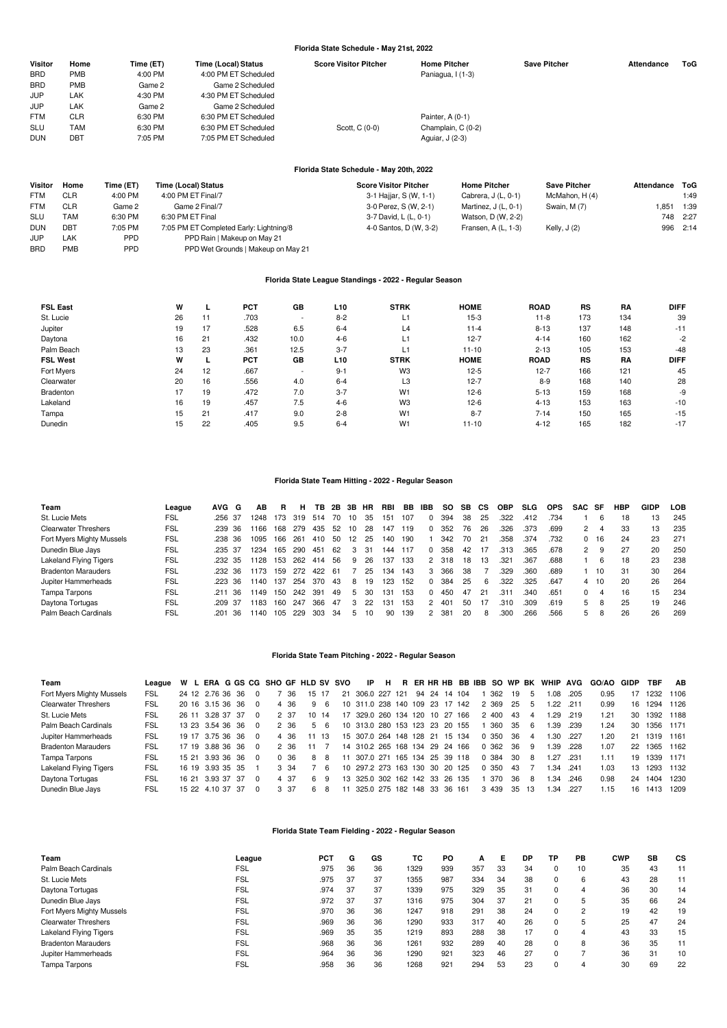# **Florida State Schedule - May 21st, 2022**

| Visitor    | Home       | Time (ET) | Time (Local) Status  | <b>Score Visitor Pitcher</b> | <b>Home Pitcher</b> | <b>Save Pitcher</b> | Attendance | ToG |
|------------|------------|-----------|----------------------|------------------------------|---------------------|---------------------|------------|-----|
| <b>BRD</b> | <b>PMB</b> | 4:00 PM   | 4:00 PM ET Scheduled |                              | Paniagua, I (1-3)   |                     |            |     |
| <b>BRD</b> | <b>PMB</b> | Game 2    | Game 2 Scheduled     |                              |                     |                     |            |     |
| JUP        | LAK        | 4:30 PM   | 4:30 PM ET Scheduled |                              |                     |                     |            |     |
| JUP        | <b>LAK</b> | Game 2    | Game 2 Scheduled     |                              |                     |                     |            |     |
| <b>FTM</b> | <b>CLR</b> | 6:30 PM   | 6:30 PM ET Scheduled |                              | Painter, A (0-1)    |                     |            |     |
| <b>SLU</b> | TAM        | 6:30 PM   | 6:30 PM ET Scheduled | Scott, C (0-0)               | Champlain, C (0-2)  |                     |            |     |
| <b>DUN</b> | DBT        | 7:05 PM   | 7:05 PM ET Scheduled |                              | Aquiar, J (2-3)     |                     |            |     |
|            |            |           |                      |                              |                     |                     |            |     |

# **Florida State Schedule - May 20th, 2022**

| Visitor    | Home       | Time (ET)  | Time (Local) Status                     | <b>Score Visitor Pitcher</b> | <b>Home Pitcher</b>  | <b>Save Pitcher</b> | Attendance | ToG      |
|------------|------------|------------|-----------------------------------------|------------------------------|----------------------|---------------------|------------|----------|
| <b>FTM</b> | <b>CLR</b> | 4:00 PM    | 4:00 PM ET Final/7                      | 3-1 Hajjar, S (W, 1-1)       | Cabrera, J (L, 0-1)  | McMahon, H (4)      |            | 1:49     |
| <b>FTM</b> | <b>CLR</b> | Game 2     | Game 2 Final/7                          | 3-0 Perez, S (W, 2-1)        | Martinez, J (L, 0-1) | Swain, M (7)        | .851       | 1:39     |
| <b>SLU</b> | TAM        | 6:30 PM    | 6:30 PM ET Final                        | 3-7 David, L (L, 0-1)        | Watson, D (W, 2-2)   |                     |            | 748 2:27 |
| <b>DUN</b> | <b>DBT</b> | 7:05 PM    | 7:05 PM ET Completed Early: Lightning/8 | 4-0 Santos, D (W, 3-2)       | Fransen, A (L, 1-3)  | Kelly, $J(2)$       |            | 996 2:14 |
| <b>JUP</b> | LAK        | <b>PPD</b> | PPD Rain   Makeup on May 21             |                              |                      |                     |            |          |
| <b>BRD</b> | <b>PMB</b> | <b>PPD</b> | PPD Wet Grounds   Makeup on May 21      |                              |                      |                     |            |          |

## **Florida State League Standings - 2022 - Regular Season**

| <b>FSL East</b> | W  |    | <b>PCT</b> | GB                       | L10     | <b>STRK</b>    | <b>HOME</b> | <b>ROAD</b> | RS  | RA  | <b>DIFF</b> |
|-----------------|----|----|------------|--------------------------|---------|----------------|-------------|-------------|-----|-----|-------------|
| St. Lucie       | 26 | 11 | .703       | $\overline{\phantom{a}}$ | $8 - 2$ | L1             | $15-3$      | $11 - 8$    | 173 | 134 | 39          |
| Jupiter         | 19 | 17 | .528       | 6.5                      | $6 - 4$ | L4             | $11 - 4$    | $8 - 13$    | 137 | 148 | $-11$       |
| Daytona         | 16 | 21 | .432       | 10.0                     | $4-6$   | L1             | $12 - 7$    | $4 - 14$    | 160 | 162 | $-2$        |
| Palm Beach      | 13 | 23 | .361       | 12.5                     | $3 - 7$ | L1             | $11 - 10$   | $2 - 13$    | 105 | 153 | $-48$       |
| <b>FSL West</b> | W  |    | <b>PCT</b> | GB                       | L10     | <b>STRK</b>    | <b>HOME</b> | <b>ROAD</b> | RS  | RA  | <b>DIFF</b> |
| Fort Myers      | 24 | 12 | .667       | $\overline{\phantom{a}}$ | $9 - 1$ | W <sub>3</sub> | $12 - 5$    | $12 - 7$    | 166 | 121 | 45          |
| Clearwater      | 20 | 16 | .556       | 4.0                      | $6 - 4$ | L <sub>3</sub> | $12 - 7$    | $8 - 9$     | 168 | 140 | 28          |
| Bradenton       | 17 | 19 | .472       | 7.0                      | $3 - 7$ | W <sub>1</sub> | $12-6$      | $5 - 13$    | 159 | 168 | -9          |
| Lakeland        | 16 | 19 | .457       | 7.5                      | $4-6$   | W <sub>3</sub> | $12-6$      | $4 - 13$    | 153 | 163 | $-10$       |
| Tampa           | 15 | 21 | .417       | 9.0                      | $2 - 8$ | W <sub>1</sub> | $8 - 7$     | $7 - 14$    | 150 | 165 | $-15$       |
| Dunedin         | 15 | 22 | .405       | 9.5                      | $6 - 4$ | W <sub>1</sub> | $11 - 10$   | $4 - 12$    | 165 | 182 | $-17$       |

## **Florida State Team Hitting - 2022 - Regular Season**

| Team                        | League     | AVG G   |     | AВ   | R   | н   | TB. | 2B | 3B | <b>HR</b> | RBI | BB  | IBB            | SO. | SB. | CS | <b>OBP</b> | <b>SLG</b> | <b>OPS</b> | SAC SF         |    | HBP | GIDP | LOB |
|-----------------------------|------------|---------|-----|------|-----|-----|-----|----|----|-----------|-----|-----|----------------|-----|-----|----|------------|------------|------------|----------------|----|-----|------|-----|
| St. Lucie Mets              | FSL        | .256 37 |     | 1248 | 173 | 319 | 514 | 70 | 10 | 35        | 151 | 107 | $\mathbf{0}$   | 394 | 38  | 25 | .322       | .412       | .734       |                | հ  | 18  | 13   | 245 |
| <b>Clearwater Threshers</b> | FSL        | .239 36 |     | 1166 | 168 | 279 | 435 | 52 | 10 | 28        | 147 | 119 | $\Omega$       | 352 | 76  | 26 | .326       | .373       | .699       | $\overline{2}$ | 4  | 33  | 13   | 235 |
| Fort Myers Mighty Mussels   | FSL        | .238 36 |     | 1095 | 166 | 261 | 410 | 50 | 12 | 25        | 140 | 190 |                | 342 | 70  | 21 | .358       | .374       | .732       | $\Omega$       | 16 | 24  | 23   | 271 |
| Dunedin Blue Jays           | <b>FSL</b> | .235 37 |     | 1234 | 165 | 290 | 451 | 62 | 3  | -31       | 144 | 117 | $\Omega$       | 358 | 42  |    | .313       | .365       | .678       | $^{2}$         | 9  | 27  | 20   | 250 |
| Lakeland Flying Tigers      | FSL        | .232 35 |     | 1128 | 153 | 262 | 414 | 56 | 9  | 26        | 137 | 133 | 2              | 318 | 18  | 13 | .321       | .367       | .688       |                | 6  | 18  | 23   | 238 |
| <b>Bradenton Marauders</b>  | FSL        | .232 36 |     | 1173 | 159 | 272 | 422 | 61 |    | 25        | 134 | 143 | 3              | 366 | 38  |    | 329        | .360       | .689       |                | 10 | 31  | 30   | 264 |
| Jupiter Hammerheads         | FSL        | .223 36 |     | 1140 | 137 | 254 | 370 | 43 | 8  | 19        | 123 | 152 | $\Omega$       | 384 | 25  | 6  | .322       | .325       | .647       | 4              | 10 | 20  | 26   | 264 |
| Tampa Tarpons               | FSL        | 211     | -36 | 1149 | 150 | 242 | 391 | 49 | 5. | 30        | 131 | 153 | $\Omega$       | 450 | 47  | 21 | .311       | .340       | .651       | <sup>0</sup>   | 4  | 16  | 15   | 234 |
| Daytona Tortugas            | <b>FSL</b> | .209 37 |     | 1183 | 160 | 247 | 366 | 47 | 3  | 22        | 131 | 153 | $\overline{2}$ | 401 | 50  |    | .310       | .309       | .619       | 5              | 8  | 25  | 19   | 246 |
| Palm Beach Cardinals        | FSL        | 201     | -36 | 1140 | 105 | 229 | 303 | 34 | 5  | 10        | 90  | 139 | 2              | 381 | 20  | 8  | .300       | .266       | .566       | 5              | 8  | 26  | 26   | 269 |

## **Florida State Team Pitching - 2022 - Regular Season**

| Team                          | League |  |                  |  |          |      | W L ERA G GS CG SHO GF HLD SV SVO |     |    | IP                             |  |  |              |         |       |              | H R ER HR HB BB IBB SO WP BK WHIP AVG |      | GO/AO | GIDP | TBF       | AB   |
|-------------------------------|--------|--|------------------|--|----------|------|-----------------------------------|-----|----|--------------------------------|--|--|--------------|---------|-------|--------------|---------------------------------------|------|-------|------|-----------|------|
| Fort Myers Mighty Mussels     | FSL    |  | 24 12 2.76 36 36 |  |          | '36  | 15 17                             |     | 21 | 306.0 227 121                  |  |  | 94 24 14 104 | 362     | 19    | $\mathbf{b}$ | 1.08                                  | .205 | 0.95  |      | 1232      | 1106 |
| <b>Clearwater Threshers</b>   | FSL    |  | 20 16 3.15 36 36 |  | $\Omega$ | 4 36 | 9                                 | -6  |    | 10 311.0 238 140 109 23 17 142 |  |  |              | 2 369   | -25   | -5           | 1.22                                  | .211 | 0.99  | 16   | 1294      | 1126 |
| St. Lucie Mets                | FSL    |  | 26 11 3.28 37 37 |  | $\Omega$ | 2 37 | 10                                | -14 | 17 | 329.0 260 134 120 10 27        |  |  | 166          | 2 400   | 43    | 4            | .29                                   | .219 | 1.21  | 30   | 1392      | 1188 |
| Palm Beach Cardinals          | FSL    |  | 13 23 3.54 36 36 |  | $\Omega$ | 2 36 |                                   | 5 6 |    | 10 313.0 280 153 123 23 20 155 |  |  |              | 360     | 35    | -6           | 1.39                                  | .239 | 1.24  | 30   | 1356 1171 |      |
| Jupiter Hammerheads           | FSL    |  | 19 17 3.75 36 36 |  | $\Omega$ | 4 36 | 11                                | -13 |    | 15 307.0 264 148 128 21 15 134 |  |  |              | 0 350   | -36   | 4            | 1.30                                  | .227 | 1.20  |      | 21 1319   | 1161 |
| <b>Bradenton Marauders</b>    | FSL    |  | 17 19 3.88 36 36 |  | $\Omega$ | 2.36 | 11                                |     |    | 14 310.2 265 168 134 29 24 166 |  |  |              | 0 362   | -36   | - 9          | 1.39                                  | .228 | 1.07  | 22   | 1365      | 1162 |
| Tampa Tarpons                 | FSL    |  | 15 21 3.93 36 36 |  | $\Omega$ | 0 36 | 8                                 | 8   | 11 | 307.0 271 165 134 25 39 118    |  |  |              | 0 384   | -30   | 8            | 1.27                                  | .231 | 1.11  | 19   | 1339      | 1171 |
| <b>Lakeland Flying Tigers</b> | FSL    |  | 16 19 3.93 35 35 |  |          | 3 34 |                                   | -6  |    | 10 297.2 273 163 130 30 20 125 |  |  |              | 0 350   | 43    |              | I.34                                  | .241 | 1.03  | 13   | 1293      | 1132 |
| Daytona Tortugas              | FSL    |  | 16 21 3.93 37 37 |  | $\Omega$ | 4 37 | 6.                                | -9  |    | 13 325.0 302 162 142 33 26 135 |  |  |              | 370     | 36.   | -8           | I.34                                  | .246 | 0.98  | 24   | 1404      | 1230 |
| Dunedin Blue Javs             | FSL    |  | 15 22 4.10 37 37 |  | $\Omega$ | 3 37 | 6.                                | 8   | 11 | 325.0 275 182 148 33 36 161    |  |  |              | 3 4 3 9 | 35 13 |              | 1.34                                  | .227 | 1.15  | 16.  | 1413      | 1209 |

# **Florida State Team Fielding - 2022 - Regular Season**

| Team                          | League     | PC1  | G  | GS | ТC   | PO  | А   | Е  | DP | ΤР       | PВ | CWP | SB | CS |
|-------------------------------|------------|------|----|----|------|-----|-----|----|----|----------|----|-----|----|----|
| Palm Beach Cardinals          | <b>FSL</b> | .975 | 36 | 36 | 1329 | 939 | 357 | 33 | 34 | 0        | 10 | 35  | 43 | 11 |
| St. Lucie Mets                | <b>FSL</b> | .975 | 37 | 37 | 1355 | 987 | 334 | 34 | 38 | 0        | 6  | 43  | 28 | 11 |
| Daytona Tortugas              | FSL        | .974 | 37 | 37 | 1339 | 975 | 329 | 35 | 31 | $\Omega$ | 4  | 36  | 30 | 14 |
| Dunedin Blue Jays             | <b>FSL</b> | .972 | 37 | 37 | 1316 | 975 | 304 | 37 | 21 | 0        | 5  | 35  | 66 | 24 |
| Fort Myers Mighty Mussels     | <b>FSL</b> | .970 | 36 | 36 | 1247 | 918 | 291 | 38 | 24 | 0        | 2  | 19  | 42 | 19 |
| <b>Clearwater Threshers</b>   | <b>FSL</b> | .969 | 36 | 36 | 1290 | 933 | 317 | 40 | 26 | 0        | 5  | 25  | 47 | 24 |
| <b>Lakeland Flying Tigers</b> | <b>FSL</b> | .969 | 35 | 35 | 1219 | 893 | 288 | 38 | 17 | 0        | 4  | 43  | 33 | 15 |
| <b>Bradenton Marauders</b>    | <b>FSL</b> | .968 | 36 | 36 | 1261 | 932 | 289 | 40 | 28 |          | 8  | 36  | 35 | 11 |
| Jupiter Hammerheads           | FSL        | .964 | 36 | 36 | 1290 | 921 | 323 | 46 | 27 |          |    | 36  | 31 | 10 |
| Tampa Tarpons                 | <b>FSL</b> | .958 | 36 | 36 | 1268 | 921 | 294 | 53 | 23 | 0        | 4  | 30  | 69 | 22 |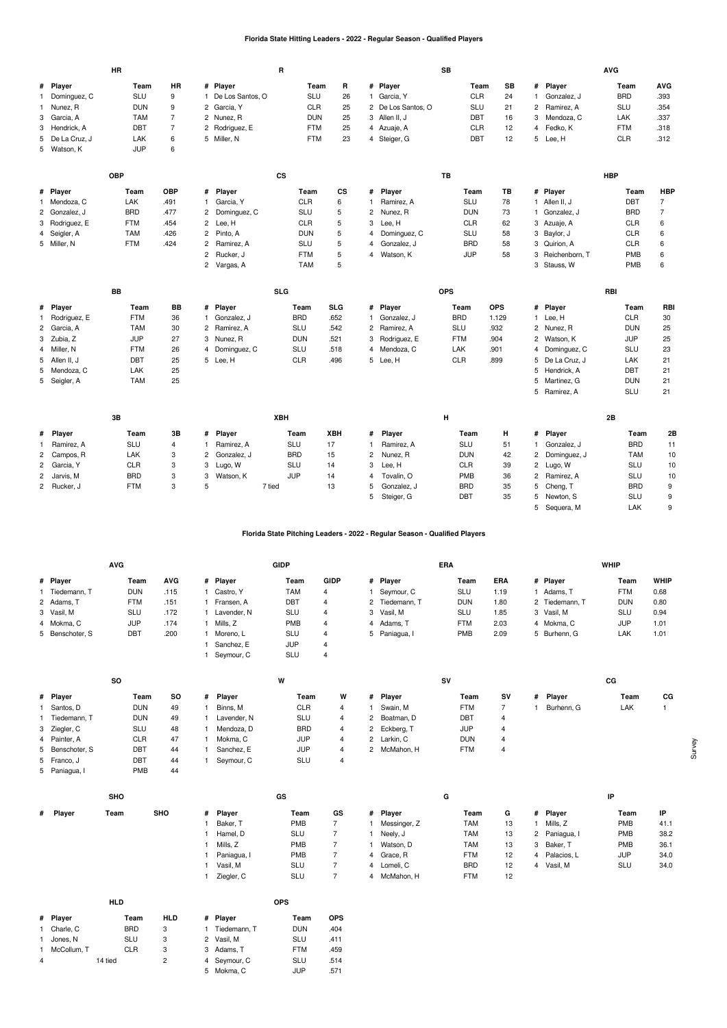## **Florida State Hitting Leaders - 2022 - Regular Season - Qualified Players**

| HR<br># Player<br># Player<br># Player<br><b>AVG</b><br># Player<br>Team<br>Team<br>R<br>Team<br>SB<br>Team<br><b>SLU</b><br><b>BRD</b><br>.393<br>Dominguez, C<br>9<br>1 De Los Santos, O<br>SLU<br>26<br>1 Garcia, Y<br><b>CLR</b><br>24<br>Gonzalez, J<br>$\mathbf{1}$<br>$\mathbf{1}$<br>Nunez, R<br><b>DUN</b><br>9<br>2 Garcia, Y<br><b>CLR</b><br>25<br>2 De Los Santos, O<br><b>SLU</b><br>21<br>Ramirez, A<br><b>SLU</b><br>.354<br>$\overline{c}$<br>1<br>$\overline{7}$<br><b>TAM</b><br>25<br>3 Allen II, J<br><b>DBT</b><br>Mendoza, C<br>.337<br>3 Garcia, A<br>2 Nunez, R<br><b>DUN</b><br>16<br>3<br>LAK<br>DBT<br>$\overline{7}$<br><b>FTM</b><br>Fedko, K<br>.318<br>3 Hendrick, A<br>2 Rodriguez, E<br>25<br><b>CLR</b><br>12<br><b>FTM</b><br>4 Azuaje, A<br>4<br>23<br>5 De La Cruz, J<br>LAK<br>6<br>5 Miller, N<br><b>FTM</b><br><b>DBT</b><br>12<br>5 Lee, H<br><b>CLR</b><br>.312<br>4 Steiger, G<br><b>JUP</b><br>6<br>5 Watson, K<br><b>OBP</b><br><b>CS</b><br><b>TB</b><br><b>HBP</b><br>CS<br><b>HBP</b><br># Player<br>Team<br>OBP<br># Player<br>Team<br>Player<br>Team<br>TВ<br># Player<br>Team<br>#<br>$\overline{7}$<br>6<br>SLU<br><b>DBT</b><br>1 Mendoza, C<br>LAK<br>.491<br>Garcia, Y<br><b>CLR</b><br>Ramirez, A<br>78<br>1 Allen II, J<br>$\mathbf{1}$<br>5<br>$\overline{7}$<br><b>BRD</b><br>.477<br><b>SLU</b><br><b>BRD</b><br>2 Gonzalez, J<br>2<br>Dominguez, C<br>$\overline{c}$<br>Nunez, R<br><b>DUN</b><br>73<br>Gonzalez, J<br>$\mathbf{1}$<br><b>FTM</b><br><b>CLR</b><br>5<br><b>CLR</b><br><b>CLR</b><br>3 Rodriguez, E<br>.454<br>$\overline{2}$<br>Lee, H<br>3<br>Lee, H<br>62<br>3 Azuaje, A<br>6<br>5<br><b>TAM</b><br>.426<br>Pinto, A<br><b>DUN</b><br>Dominguez, C<br><b>SLU</b><br>3 Baylor, J<br>CLR<br>6<br>4 Seigler, A<br>$\overline{2}$<br>58<br>4<br>5 Miller, N<br><b>FTM</b><br>.424<br><b>SLU</b><br>5<br><b>BRD</b><br><b>CLR</b><br>6<br>Ramirez, A<br>Gonzalez, J<br>58<br>3 Quirion, A<br>2<br>4<br>5<br><b>JUP</b><br>PMB<br>6<br>$\overline{c}$<br>Rucker, J<br><b>FTM</b><br>Watson, K<br>58<br>3 Reichenborn, T<br>4<br>5<br><b>TAM</b><br>3 Stauss, W<br>PMB<br>6<br>$\overline{2}$<br>Vargas, A<br><b>SLG</b><br><b>BB</b><br><b>OPS</b><br><b>RBI</b><br><b>BB</b><br># Player<br><b>SLG</b><br># Player<br><b>OPS</b><br># Player<br>RBI<br># Player<br>Team<br>Team<br>Team<br>Team<br><b>FTM</b><br>36<br><b>BRD</b><br>.652<br><b>BRD</b><br>1.129<br><b>CLR</b><br>30<br>Rodriguez, E<br>Gonzalez, J<br>1 Gonzalez, J<br>Lee, H<br>$\mathbf{1}$<br>$\mathbf{1}$<br>1.<br>.932<br>25<br><b>TAM</b><br>30<br><b>SLU</b><br>.542<br>2 Ramirez, A<br><b>SLU</b><br>2 Nunez, R<br><b>DUN</b><br>2 Garcia, A<br>2 Ramirez, A<br><b>JUP</b><br>25<br>27<br>.521<br><b>FTM</b><br>.904<br><b>JUP</b><br>3 Zubia, Z<br>Nunez, R<br><b>DUN</b><br>Rodriguez, E<br>2<br>Watson, K<br>3<br>3<br>23<br><b>FTM</b><br>26<br><b>SLU</b><br>.518<br>.901<br><b>SLU</b><br>Miller, N<br>Dominguez, C<br>Mendoza, C<br><b>LAK</b><br>Dominguez, C<br>$\overline{4}$<br>4<br>4<br>4<br><b>DBT</b><br>CLR<br>21<br>25<br>5 Lee, H<br><b>CLR</b><br>.496<br>5 Lee, H<br>.899<br>5<br>De La Cruz, J<br>LAK<br>5 Allen II, J<br>25<br><b>DBT</b><br>5 Mendoza, C<br>LAK<br>5 Hendrick, A<br>21<br>25<br><b>TAM</b><br>5<br>Martinez, G<br><b>DUN</b><br>21<br>5 Seigler, A<br>5 Ramirez, A<br><b>SLU</b><br>21<br>3B<br><b>XBH</b><br>н<br>2B<br>3B<br>Player<br>XBH<br>Player<br>н<br># Player<br>2E<br>Player<br>Team<br>Team<br>#<br>Team<br>Team<br>#<br>#<br><b>BRD</b><br><b>SLU</b><br><b>SLU</b><br>17<br>SLU<br>4<br>Ramirez, A<br>Ramirez, A<br>51<br>Gonzalez, J<br>11<br>Ramirez, A<br>$\mathbf{1}$<br>1<br>$\mathbf{1}$<br><b>BRD</b><br><b>LAK</b><br>3<br>Gonzalez, J<br>15<br><b>DUN</b><br>2<br>Dominguez, J<br><b>TAM</b><br>10<br>2<br>Campos, R<br>2<br>$\overline{c}$<br>Nunez, R<br>42<br><b>CLR</b><br>3<br>SLU<br><b>CLR</b><br>SLU<br>2 Garcia, Y<br>Lugo, W<br>14<br>3<br>Lee, H<br>39<br>2 Lugo, W<br>10<br>3<br>3<br><b>JUP</b><br>2 Jarvis, M<br><b>BRD</b><br>Tovalin, O<br>PMB<br>Ramirez, A<br><b>SLU</b><br>10<br>3<br>Watson, K<br>14<br>36<br>$\overline{c}$<br>4<br>9<br><b>FTM</b><br>3<br>5<br><b>BRD</b><br>5<br><b>BRD</b><br>2 Rucker, J<br>7 tied<br>13<br>Gonzalez, J<br>35<br>Cheng, T<br>5<br>5<br><b>SLU</b><br>9<br>Steiger, G<br><b>DBT</b><br>35<br>5<br>Newton, S |  | <b>HR</b> |  | R |  |  | <b>SB</b> |  | <b>AVG</b> |  |
|----------------------------------------------------------------------------------------------------------------------------------------------------------------------------------------------------------------------------------------------------------------------------------------------------------------------------------------------------------------------------------------------------------------------------------------------------------------------------------------------------------------------------------------------------------------------------------------------------------------------------------------------------------------------------------------------------------------------------------------------------------------------------------------------------------------------------------------------------------------------------------------------------------------------------------------------------------------------------------------------------------------------------------------------------------------------------------------------------------------------------------------------------------------------------------------------------------------------------------------------------------------------------------------------------------------------------------------------------------------------------------------------------------------------------------------------------------------------------------------------------------------------------------------------------------------------------------------------------------------------------------------------------------------------------------------------------------------------------------------------------------------------------------------------------------------------------------------------------------------------------------------------------------------------------------------------------------------------------------------------------------------------------------------------------------------------------------------------------------------------------------------------------------------------------------------------------------------------------------------------------------------------------------------------------------------------------------------------------------------------------------------------------------------------------------------------------------------------------------------------------------------------------------------------------------------------------------------------------------------------------------------------------------------------------------------------------------------------------------------------------------------------------------------------------------------------------------------------------------------------------------------------------------------------------------------------------------------------------------------------------------------------------------------------------------------------------------------------------------------------------------------------------------------------------------------------------------------------------------------------------------------------------------------------------------------------------------------------------------------------------------------------------------------------------------------------------------------------------------------------------------------------------------------------------------------------------------------------------------------------------------------------------------------------------------------------------------------------------------------------------------------------------------------------------------------------------------------------------------------------------------------------------------------------------------------------------------------------------------------------------------------------------------------------------------------------------------------------------------------------------------------------------------------------------------------------------------------------------------------------------------------------------------------------------------------------------------------------------------------------------------------|--|-----------|--|---|--|--|-----------|--|------------|--|
|                                                                                                                                                                                                                                                                                                                                                                                                                                                                                                                                                                                                                                                                                                                                                                                                                                                                                                                                                                                                                                                                                                                                                                                                                                                                                                                                                                                                                                                                                                                                                                                                                                                                                                                                                                                                                                                                                                                                                                                                                                                                                                                                                                                                                                                                                                                                                                                                                                                                                                                                                                                                                                                                                                                                                                                                                                                                                                                                                                                                                                                                                                                                                                                                                                                                                                                                                                                                                                                                                                                                                                                                                                                                                                                                                                                                                                                                                                                                                                                                                                                                                                                                                                                                                                                                                                                                                                                        |  |           |  |   |  |  |           |  |            |  |
|                                                                                                                                                                                                                                                                                                                                                                                                                                                                                                                                                                                                                                                                                                                                                                                                                                                                                                                                                                                                                                                                                                                                                                                                                                                                                                                                                                                                                                                                                                                                                                                                                                                                                                                                                                                                                                                                                                                                                                                                                                                                                                                                                                                                                                                                                                                                                                                                                                                                                                                                                                                                                                                                                                                                                                                                                                                                                                                                                                                                                                                                                                                                                                                                                                                                                                                                                                                                                                                                                                                                                                                                                                                                                                                                                                                                                                                                                                                                                                                                                                                                                                                                                                                                                                                                                                                                                                                        |  |           |  |   |  |  |           |  |            |  |
|                                                                                                                                                                                                                                                                                                                                                                                                                                                                                                                                                                                                                                                                                                                                                                                                                                                                                                                                                                                                                                                                                                                                                                                                                                                                                                                                                                                                                                                                                                                                                                                                                                                                                                                                                                                                                                                                                                                                                                                                                                                                                                                                                                                                                                                                                                                                                                                                                                                                                                                                                                                                                                                                                                                                                                                                                                                                                                                                                                                                                                                                                                                                                                                                                                                                                                                                                                                                                                                                                                                                                                                                                                                                                                                                                                                                                                                                                                                                                                                                                                                                                                                                                                                                                                                                                                                                                                                        |  |           |  |   |  |  |           |  |            |  |
|                                                                                                                                                                                                                                                                                                                                                                                                                                                                                                                                                                                                                                                                                                                                                                                                                                                                                                                                                                                                                                                                                                                                                                                                                                                                                                                                                                                                                                                                                                                                                                                                                                                                                                                                                                                                                                                                                                                                                                                                                                                                                                                                                                                                                                                                                                                                                                                                                                                                                                                                                                                                                                                                                                                                                                                                                                                                                                                                                                                                                                                                                                                                                                                                                                                                                                                                                                                                                                                                                                                                                                                                                                                                                                                                                                                                                                                                                                                                                                                                                                                                                                                                                                                                                                                                                                                                                                                        |  |           |  |   |  |  |           |  |            |  |
|                                                                                                                                                                                                                                                                                                                                                                                                                                                                                                                                                                                                                                                                                                                                                                                                                                                                                                                                                                                                                                                                                                                                                                                                                                                                                                                                                                                                                                                                                                                                                                                                                                                                                                                                                                                                                                                                                                                                                                                                                                                                                                                                                                                                                                                                                                                                                                                                                                                                                                                                                                                                                                                                                                                                                                                                                                                                                                                                                                                                                                                                                                                                                                                                                                                                                                                                                                                                                                                                                                                                                                                                                                                                                                                                                                                                                                                                                                                                                                                                                                                                                                                                                                                                                                                                                                                                                                                        |  |           |  |   |  |  |           |  |            |  |
|                                                                                                                                                                                                                                                                                                                                                                                                                                                                                                                                                                                                                                                                                                                                                                                                                                                                                                                                                                                                                                                                                                                                                                                                                                                                                                                                                                                                                                                                                                                                                                                                                                                                                                                                                                                                                                                                                                                                                                                                                                                                                                                                                                                                                                                                                                                                                                                                                                                                                                                                                                                                                                                                                                                                                                                                                                                                                                                                                                                                                                                                                                                                                                                                                                                                                                                                                                                                                                                                                                                                                                                                                                                                                                                                                                                                                                                                                                                                                                                                                                                                                                                                                                                                                                                                                                                                                                                        |  |           |  |   |  |  |           |  |            |  |
|                                                                                                                                                                                                                                                                                                                                                                                                                                                                                                                                                                                                                                                                                                                                                                                                                                                                                                                                                                                                                                                                                                                                                                                                                                                                                                                                                                                                                                                                                                                                                                                                                                                                                                                                                                                                                                                                                                                                                                                                                                                                                                                                                                                                                                                                                                                                                                                                                                                                                                                                                                                                                                                                                                                                                                                                                                                                                                                                                                                                                                                                                                                                                                                                                                                                                                                                                                                                                                                                                                                                                                                                                                                                                                                                                                                                                                                                                                                                                                                                                                                                                                                                                                                                                                                                                                                                                                                        |  |           |  |   |  |  |           |  |            |  |
|                                                                                                                                                                                                                                                                                                                                                                                                                                                                                                                                                                                                                                                                                                                                                                                                                                                                                                                                                                                                                                                                                                                                                                                                                                                                                                                                                                                                                                                                                                                                                                                                                                                                                                                                                                                                                                                                                                                                                                                                                                                                                                                                                                                                                                                                                                                                                                                                                                                                                                                                                                                                                                                                                                                                                                                                                                                                                                                                                                                                                                                                                                                                                                                                                                                                                                                                                                                                                                                                                                                                                                                                                                                                                                                                                                                                                                                                                                                                                                                                                                                                                                                                                                                                                                                                                                                                                                                        |  |           |  |   |  |  |           |  |            |  |
|                                                                                                                                                                                                                                                                                                                                                                                                                                                                                                                                                                                                                                                                                                                                                                                                                                                                                                                                                                                                                                                                                                                                                                                                                                                                                                                                                                                                                                                                                                                                                                                                                                                                                                                                                                                                                                                                                                                                                                                                                                                                                                                                                                                                                                                                                                                                                                                                                                                                                                                                                                                                                                                                                                                                                                                                                                                                                                                                                                                                                                                                                                                                                                                                                                                                                                                                                                                                                                                                                                                                                                                                                                                                                                                                                                                                                                                                                                                                                                                                                                                                                                                                                                                                                                                                                                                                                                                        |  |           |  |   |  |  |           |  |            |  |
|                                                                                                                                                                                                                                                                                                                                                                                                                                                                                                                                                                                                                                                                                                                                                                                                                                                                                                                                                                                                                                                                                                                                                                                                                                                                                                                                                                                                                                                                                                                                                                                                                                                                                                                                                                                                                                                                                                                                                                                                                                                                                                                                                                                                                                                                                                                                                                                                                                                                                                                                                                                                                                                                                                                                                                                                                                                                                                                                                                                                                                                                                                                                                                                                                                                                                                                                                                                                                                                                                                                                                                                                                                                                                                                                                                                                                                                                                                                                                                                                                                                                                                                                                                                                                                                                                                                                                                                        |  |           |  |   |  |  |           |  |            |  |
|                                                                                                                                                                                                                                                                                                                                                                                                                                                                                                                                                                                                                                                                                                                                                                                                                                                                                                                                                                                                                                                                                                                                                                                                                                                                                                                                                                                                                                                                                                                                                                                                                                                                                                                                                                                                                                                                                                                                                                                                                                                                                                                                                                                                                                                                                                                                                                                                                                                                                                                                                                                                                                                                                                                                                                                                                                                                                                                                                                                                                                                                                                                                                                                                                                                                                                                                                                                                                                                                                                                                                                                                                                                                                                                                                                                                                                                                                                                                                                                                                                                                                                                                                                                                                                                                                                                                                                                        |  |           |  |   |  |  |           |  |            |  |
|                                                                                                                                                                                                                                                                                                                                                                                                                                                                                                                                                                                                                                                                                                                                                                                                                                                                                                                                                                                                                                                                                                                                                                                                                                                                                                                                                                                                                                                                                                                                                                                                                                                                                                                                                                                                                                                                                                                                                                                                                                                                                                                                                                                                                                                                                                                                                                                                                                                                                                                                                                                                                                                                                                                                                                                                                                                                                                                                                                                                                                                                                                                                                                                                                                                                                                                                                                                                                                                                                                                                                                                                                                                                                                                                                                                                                                                                                                                                                                                                                                                                                                                                                                                                                                                                                                                                                                                        |  |           |  |   |  |  |           |  |            |  |
|                                                                                                                                                                                                                                                                                                                                                                                                                                                                                                                                                                                                                                                                                                                                                                                                                                                                                                                                                                                                                                                                                                                                                                                                                                                                                                                                                                                                                                                                                                                                                                                                                                                                                                                                                                                                                                                                                                                                                                                                                                                                                                                                                                                                                                                                                                                                                                                                                                                                                                                                                                                                                                                                                                                                                                                                                                                                                                                                                                                                                                                                                                                                                                                                                                                                                                                                                                                                                                                                                                                                                                                                                                                                                                                                                                                                                                                                                                                                                                                                                                                                                                                                                                                                                                                                                                                                                                                        |  |           |  |   |  |  |           |  |            |  |
|                                                                                                                                                                                                                                                                                                                                                                                                                                                                                                                                                                                                                                                                                                                                                                                                                                                                                                                                                                                                                                                                                                                                                                                                                                                                                                                                                                                                                                                                                                                                                                                                                                                                                                                                                                                                                                                                                                                                                                                                                                                                                                                                                                                                                                                                                                                                                                                                                                                                                                                                                                                                                                                                                                                                                                                                                                                                                                                                                                                                                                                                                                                                                                                                                                                                                                                                                                                                                                                                                                                                                                                                                                                                                                                                                                                                                                                                                                                                                                                                                                                                                                                                                                                                                                                                                                                                                                                        |  |           |  |   |  |  |           |  |            |  |
|                                                                                                                                                                                                                                                                                                                                                                                                                                                                                                                                                                                                                                                                                                                                                                                                                                                                                                                                                                                                                                                                                                                                                                                                                                                                                                                                                                                                                                                                                                                                                                                                                                                                                                                                                                                                                                                                                                                                                                                                                                                                                                                                                                                                                                                                                                                                                                                                                                                                                                                                                                                                                                                                                                                                                                                                                                                                                                                                                                                                                                                                                                                                                                                                                                                                                                                                                                                                                                                                                                                                                                                                                                                                                                                                                                                                                                                                                                                                                                                                                                                                                                                                                                                                                                                                                                                                                                                        |  |           |  |   |  |  |           |  |            |  |
|                                                                                                                                                                                                                                                                                                                                                                                                                                                                                                                                                                                                                                                                                                                                                                                                                                                                                                                                                                                                                                                                                                                                                                                                                                                                                                                                                                                                                                                                                                                                                                                                                                                                                                                                                                                                                                                                                                                                                                                                                                                                                                                                                                                                                                                                                                                                                                                                                                                                                                                                                                                                                                                                                                                                                                                                                                                                                                                                                                                                                                                                                                                                                                                                                                                                                                                                                                                                                                                                                                                                                                                                                                                                                                                                                                                                                                                                                                                                                                                                                                                                                                                                                                                                                                                                                                                                                                                        |  |           |  |   |  |  |           |  |            |  |
|                                                                                                                                                                                                                                                                                                                                                                                                                                                                                                                                                                                                                                                                                                                                                                                                                                                                                                                                                                                                                                                                                                                                                                                                                                                                                                                                                                                                                                                                                                                                                                                                                                                                                                                                                                                                                                                                                                                                                                                                                                                                                                                                                                                                                                                                                                                                                                                                                                                                                                                                                                                                                                                                                                                                                                                                                                                                                                                                                                                                                                                                                                                                                                                                                                                                                                                                                                                                                                                                                                                                                                                                                                                                                                                                                                                                                                                                                                                                                                                                                                                                                                                                                                                                                                                                                                                                                                                        |  |           |  |   |  |  |           |  |            |  |
|                                                                                                                                                                                                                                                                                                                                                                                                                                                                                                                                                                                                                                                                                                                                                                                                                                                                                                                                                                                                                                                                                                                                                                                                                                                                                                                                                                                                                                                                                                                                                                                                                                                                                                                                                                                                                                                                                                                                                                                                                                                                                                                                                                                                                                                                                                                                                                                                                                                                                                                                                                                                                                                                                                                                                                                                                                                                                                                                                                                                                                                                                                                                                                                                                                                                                                                                                                                                                                                                                                                                                                                                                                                                                                                                                                                                                                                                                                                                                                                                                                                                                                                                                                                                                                                                                                                                                                                        |  |           |  |   |  |  |           |  |            |  |
|                                                                                                                                                                                                                                                                                                                                                                                                                                                                                                                                                                                                                                                                                                                                                                                                                                                                                                                                                                                                                                                                                                                                                                                                                                                                                                                                                                                                                                                                                                                                                                                                                                                                                                                                                                                                                                                                                                                                                                                                                                                                                                                                                                                                                                                                                                                                                                                                                                                                                                                                                                                                                                                                                                                                                                                                                                                                                                                                                                                                                                                                                                                                                                                                                                                                                                                                                                                                                                                                                                                                                                                                                                                                                                                                                                                                                                                                                                                                                                                                                                                                                                                                                                                                                                                                                                                                                                                        |  |           |  |   |  |  |           |  |            |  |
|                                                                                                                                                                                                                                                                                                                                                                                                                                                                                                                                                                                                                                                                                                                                                                                                                                                                                                                                                                                                                                                                                                                                                                                                                                                                                                                                                                                                                                                                                                                                                                                                                                                                                                                                                                                                                                                                                                                                                                                                                                                                                                                                                                                                                                                                                                                                                                                                                                                                                                                                                                                                                                                                                                                                                                                                                                                                                                                                                                                                                                                                                                                                                                                                                                                                                                                                                                                                                                                                                                                                                                                                                                                                                                                                                                                                                                                                                                                                                                                                                                                                                                                                                                                                                                                                                                                                                                                        |  |           |  |   |  |  |           |  |            |  |
|                                                                                                                                                                                                                                                                                                                                                                                                                                                                                                                                                                                                                                                                                                                                                                                                                                                                                                                                                                                                                                                                                                                                                                                                                                                                                                                                                                                                                                                                                                                                                                                                                                                                                                                                                                                                                                                                                                                                                                                                                                                                                                                                                                                                                                                                                                                                                                                                                                                                                                                                                                                                                                                                                                                                                                                                                                                                                                                                                                                                                                                                                                                                                                                                                                                                                                                                                                                                                                                                                                                                                                                                                                                                                                                                                                                                                                                                                                                                                                                                                                                                                                                                                                                                                                                                                                                                                                                        |  |           |  |   |  |  |           |  |            |  |
|                                                                                                                                                                                                                                                                                                                                                                                                                                                                                                                                                                                                                                                                                                                                                                                                                                                                                                                                                                                                                                                                                                                                                                                                                                                                                                                                                                                                                                                                                                                                                                                                                                                                                                                                                                                                                                                                                                                                                                                                                                                                                                                                                                                                                                                                                                                                                                                                                                                                                                                                                                                                                                                                                                                                                                                                                                                                                                                                                                                                                                                                                                                                                                                                                                                                                                                                                                                                                                                                                                                                                                                                                                                                                                                                                                                                                                                                                                                                                                                                                                                                                                                                                                                                                                                                                                                                                                                        |  |           |  |   |  |  |           |  |            |  |
|                                                                                                                                                                                                                                                                                                                                                                                                                                                                                                                                                                                                                                                                                                                                                                                                                                                                                                                                                                                                                                                                                                                                                                                                                                                                                                                                                                                                                                                                                                                                                                                                                                                                                                                                                                                                                                                                                                                                                                                                                                                                                                                                                                                                                                                                                                                                                                                                                                                                                                                                                                                                                                                                                                                                                                                                                                                                                                                                                                                                                                                                                                                                                                                                                                                                                                                                                                                                                                                                                                                                                                                                                                                                                                                                                                                                                                                                                                                                                                                                                                                                                                                                                                                                                                                                                                                                                                                        |  |           |  |   |  |  |           |  |            |  |
|                                                                                                                                                                                                                                                                                                                                                                                                                                                                                                                                                                                                                                                                                                                                                                                                                                                                                                                                                                                                                                                                                                                                                                                                                                                                                                                                                                                                                                                                                                                                                                                                                                                                                                                                                                                                                                                                                                                                                                                                                                                                                                                                                                                                                                                                                                                                                                                                                                                                                                                                                                                                                                                                                                                                                                                                                                                                                                                                                                                                                                                                                                                                                                                                                                                                                                                                                                                                                                                                                                                                                                                                                                                                                                                                                                                                                                                                                                                                                                                                                                                                                                                                                                                                                                                                                                                                                                                        |  |           |  |   |  |  |           |  |            |  |
|                                                                                                                                                                                                                                                                                                                                                                                                                                                                                                                                                                                                                                                                                                                                                                                                                                                                                                                                                                                                                                                                                                                                                                                                                                                                                                                                                                                                                                                                                                                                                                                                                                                                                                                                                                                                                                                                                                                                                                                                                                                                                                                                                                                                                                                                                                                                                                                                                                                                                                                                                                                                                                                                                                                                                                                                                                                                                                                                                                                                                                                                                                                                                                                                                                                                                                                                                                                                                                                                                                                                                                                                                                                                                                                                                                                                                                                                                                                                                                                                                                                                                                                                                                                                                                                                                                                                                                                        |  |           |  |   |  |  |           |  |            |  |
|                                                                                                                                                                                                                                                                                                                                                                                                                                                                                                                                                                                                                                                                                                                                                                                                                                                                                                                                                                                                                                                                                                                                                                                                                                                                                                                                                                                                                                                                                                                                                                                                                                                                                                                                                                                                                                                                                                                                                                                                                                                                                                                                                                                                                                                                                                                                                                                                                                                                                                                                                                                                                                                                                                                                                                                                                                                                                                                                                                                                                                                                                                                                                                                                                                                                                                                                                                                                                                                                                                                                                                                                                                                                                                                                                                                                                                                                                                                                                                                                                                                                                                                                                                                                                                                                                                                                                                                        |  |           |  |   |  |  |           |  |            |  |
|                                                                                                                                                                                                                                                                                                                                                                                                                                                                                                                                                                                                                                                                                                                                                                                                                                                                                                                                                                                                                                                                                                                                                                                                                                                                                                                                                                                                                                                                                                                                                                                                                                                                                                                                                                                                                                                                                                                                                                                                                                                                                                                                                                                                                                                                                                                                                                                                                                                                                                                                                                                                                                                                                                                                                                                                                                                                                                                                                                                                                                                                                                                                                                                                                                                                                                                                                                                                                                                                                                                                                                                                                                                                                                                                                                                                                                                                                                                                                                                                                                                                                                                                                                                                                                                                                                                                                                                        |  |           |  |   |  |  |           |  |            |  |
|                                                                                                                                                                                                                                                                                                                                                                                                                                                                                                                                                                                                                                                                                                                                                                                                                                                                                                                                                                                                                                                                                                                                                                                                                                                                                                                                                                                                                                                                                                                                                                                                                                                                                                                                                                                                                                                                                                                                                                                                                                                                                                                                                                                                                                                                                                                                                                                                                                                                                                                                                                                                                                                                                                                                                                                                                                                                                                                                                                                                                                                                                                                                                                                                                                                                                                                                                                                                                                                                                                                                                                                                                                                                                                                                                                                                                                                                                                                                                                                                                                                                                                                                                                                                                                                                                                                                                                                        |  |           |  |   |  |  |           |  |            |  |
|                                                                                                                                                                                                                                                                                                                                                                                                                                                                                                                                                                                                                                                                                                                                                                                                                                                                                                                                                                                                                                                                                                                                                                                                                                                                                                                                                                                                                                                                                                                                                                                                                                                                                                                                                                                                                                                                                                                                                                                                                                                                                                                                                                                                                                                                                                                                                                                                                                                                                                                                                                                                                                                                                                                                                                                                                                                                                                                                                                                                                                                                                                                                                                                                                                                                                                                                                                                                                                                                                                                                                                                                                                                                                                                                                                                                                                                                                                                                                                                                                                                                                                                                                                                                                                                                                                                                                                                        |  |           |  |   |  |  |           |  |            |  |
|                                                                                                                                                                                                                                                                                                                                                                                                                                                                                                                                                                                                                                                                                                                                                                                                                                                                                                                                                                                                                                                                                                                                                                                                                                                                                                                                                                                                                                                                                                                                                                                                                                                                                                                                                                                                                                                                                                                                                                                                                                                                                                                                                                                                                                                                                                                                                                                                                                                                                                                                                                                                                                                                                                                                                                                                                                                                                                                                                                                                                                                                                                                                                                                                                                                                                                                                                                                                                                                                                                                                                                                                                                                                                                                                                                                                                                                                                                                                                                                                                                                                                                                                                                                                                                                                                                                                                                                        |  |           |  |   |  |  |           |  |            |  |
|                                                                                                                                                                                                                                                                                                                                                                                                                                                                                                                                                                                                                                                                                                                                                                                                                                                                                                                                                                                                                                                                                                                                                                                                                                                                                                                                                                                                                                                                                                                                                                                                                                                                                                                                                                                                                                                                                                                                                                                                                                                                                                                                                                                                                                                                                                                                                                                                                                                                                                                                                                                                                                                                                                                                                                                                                                                                                                                                                                                                                                                                                                                                                                                                                                                                                                                                                                                                                                                                                                                                                                                                                                                                                                                                                                                                                                                                                                                                                                                                                                                                                                                                                                                                                                                                                                                                                                                        |  |           |  |   |  |  |           |  |            |  |
|                                                                                                                                                                                                                                                                                                                                                                                                                                                                                                                                                                                                                                                                                                                                                                                                                                                                                                                                                                                                                                                                                                                                                                                                                                                                                                                                                                                                                                                                                                                                                                                                                                                                                                                                                                                                                                                                                                                                                                                                                                                                                                                                                                                                                                                                                                                                                                                                                                                                                                                                                                                                                                                                                                                                                                                                                                                                                                                                                                                                                                                                                                                                                                                                                                                                                                                                                                                                                                                                                                                                                                                                                                                                                                                                                                                                                                                                                                                                                                                                                                                                                                                                                                                                                                                                                                                                                                                        |  |           |  |   |  |  |           |  |            |  |
|                                                                                                                                                                                                                                                                                                                                                                                                                                                                                                                                                                                                                                                                                                                                                                                                                                                                                                                                                                                                                                                                                                                                                                                                                                                                                                                                                                                                                                                                                                                                                                                                                                                                                                                                                                                                                                                                                                                                                                                                                                                                                                                                                                                                                                                                                                                                                                                                                                                                                                                                                                                                                                                                                                                                                                                                                                                                                                                                                                                                                                                                                                                                                                                                                                                                                                                                                                                                                                                                                                                                                                                                                                                                                                                                                                                                                                                                                                                                                                                                                                                                                                                                                                                                                                                                                                                                                                                        |  |           |  |   |  |  |           |  |            |  |
|                                                                                                                                                                                                                                                                                                                                                                                                                                                                                                                                                                                                                                                                                                                                                                                                                                                                                                                                                                                                                                                                                                                                                                                                                                                                                                                                                                                                                                                                                                                                                                                                                                                                                                                                                                                                                                                                                                                                                                                                                                                                                                                                                                                                                                                                                                                                                                                                                                                                                                                                                                                                                                                                                                                                                                                                                                                                                                                                                                                                                                                                                                                                                                                                                                                                                                                                                                                                                                                                                                                                                                                                                                                                                                                                                                                                                                                                                                                                                                                                                                                                                                                                                                                                                                                                                                                                                                                        |  |           |  |   |  |  |           |  |            |  |

## **Florida State Pitching Leaders - 2022 - Regular Season - Qualified Players**

|                 | <b>AVG</b> |            |             | <b>GIDP</b> |             |                | <b>ERA</b> |            |                | WHIP       |      |
|-----------------|------------|------------|-------------|-------------|-------------|----------------|------------|------------|----------------|------------|------|
| # Player        | Team       | <b>AVG</b> | # Player    | Team        | <b>GIDP</b> | # Player       | Team       | <b>ERA</b> | # Player       | Team       | WHIF |
| Tiedemann. T    | <b>DUN</b> | .115       | Castro, Y   | TAM         | 4           | Sevmour, C     | SLU        | 1.19       | Adams. T       | <b>FTM</b> | 0.68 |
| 2 Adams, T      | <b>FTM</b> | .151       | Fransen, A  | DBT         | 4           | 2 Tiedemann, T | <b>DUN</b> | 1.80       | 2 Tiedemann, T | <b>DUN</b> | 0.80 |
| 3 Vasil, M      | <b>SLU</b> | .172       | Lavender, N | <b>SLU</b>  | 4           | 3 Vasil, M     | SLU        | 1.85       | 3 Vasil, M     | <b>SLU</b> | 0.94 |
| 4 Mokma, C      | JUP        | .174       | Mills. Z    | PMB         | 4           | 4 Adams, T     | <b>FTM</b> | 2.03       | 4 Mokma, C     | JUP        | 1.01 |
| 5 Benschoter, S | <b>DBT</b> | .200       | Moreno, L   | <b>SLU</b>  | 4           | 5 Paniagua, I  | <b>PMB</b> | 2.09       | 5 Burhenn, G   | LAK        | 1.01 |
|                 |            |            | Sanchez, E  | <b>JUP</b>  | 4           |                |            |            |                |            |      |

Seymour, C SLU 4

|                 | <b>SO</b> |            |    |   |               | w |            |   |              | <b>SV</b> |            |    |            | СG |      |    |
|-----------------|-----------|------------|----|---|---------------|---|------------|---|--------------|-----------|------------|----|------------|----|------|----|
| # Player        |           | Team       | so | # | <b>Plaver</b> |   | Team       | W | # Player     |           | Team       | S٧ | Player     |    | Team | CG |
| Santos, D       |           | <b>DUN</b> | 49 |   | Binns, M      |   | <b>CLR</b> | 4 | Swain, M     |           | <b>FTM</b> |    | Burhenn, G |    | LAK  |    |
| Tiedemann, T    |           | <b>DUN</b> | 49 |   | Lavender, N   |   | <b>SLU</b> | 4 | 2 Boatman, D |           | DBT        | 4  |            |    |      |    |
| 3 Ziegler, C    |           | <b>SLU</b> | 48 |   | Mendoza, D    |   | <b>BRD</b> | 4 | 2 Eckberg, T |           | JUP        | 4  |            |    |      |    |
| 4 Painter, A    |           | CLR        | 47 |   | Mokma, C      |   | JUP        | 4 | 2 Larkin, C  |           | <b>DUN</b> | 4  |            |    |      |    |
| 5 Benschoter, S |           | DBT        | 44 |   | Sanchez, E    |   | JUP        | 4 | 2 McMahon, H |           | <b>FTM</b> | 4  |            |    |      |    |
| 5 Franco, J     |           | <b>DBT</b> | 44 |   | Seymour, C    |   | <b>SLU</b> | 4 |              |           |            |    |            |    |      |    |

|          | <b>SHO</b> |            |   |             | GS         |    |   |              | G          |    |               | IP         |      |
|----------|------------|------------|---|-------------|------------|----|---|--------------|------------|----|---------------|------------|------|
| # Player | Team       | <b>SHO</b> | # | Player      | Team       | GS | # | Player       | Team       | G  | # Player      | Team       | IP   |
|          |            |            |   | Baker, T    | <b>PMB</b> |    |   | Messinger, Z | TAM        | 13 | Mills. Z      | <b>PMB</b> | 41.1 |
|          |            |            |   | Hamel, D    | <b>SLU</b> |    |   | Neely, J     | TAM        | 13 | 2 Paniagua, I | <b>PMB</b> | 38.2 |
|          |            |            |   | Mills, Z    | <b>PMB</b> |    |   | Watson, D    | TAM        | 13 | 3 Baker, T    | <b>PMB</b> | 36.1 |
|          |            |            |   | Paniagua, I | PMB        |    | 4 | Grace, R     | <b>FTM</b> | 12 | 4 Palacios, L | JUP        | 34.0 |
|          |            |            |   | Vasil. M    | <b>SLU</b> |    | 4 | Lomeli, C    | <b>BRD</b> | 12 | 4 Vasil, M    | SLU        | 34.0 |
|          |            |            |   | Ziegler, C  | <b>SLU</b> |    | 4 | McMahon, H   | <b>FTM</b> | 12 |               |            |      |

|   |             | HLD     |            |     |   |              | <b>OPS</b> |            |            |
|---|-------------|---------|------------|-----|---|--------------|------------|------------|------------|
|   | Player      |         | Team       | HLD | # | Player       |            | Team       | <b>OPS</b> |
|   | Charle, C   |         | <b>BRD</b> | 3   |   | Tiedemann. T |            | <b>DUN</b> | .404       |
|   | Jones, N    |         | <b>SLU</b> | 3   |   | 2 Vasil, M   |            | <b>SLU</b> | .411       |
|   | McCollum. T |         | <b>CLR</b> | 3   |   | 3 Adams. T   |            | <b>FTM</b> | .459       |
| 4 |             | 14 tied |            | 2   |   | 4 Seymour, C |            | <b>SLU</b> | .514       |
|   |             |         |            |     |   | 5 Mokma, C   |            | <b>JUP</b> | .571       |

Paniagua, I PMB 44

5 Sequera, M LAK 9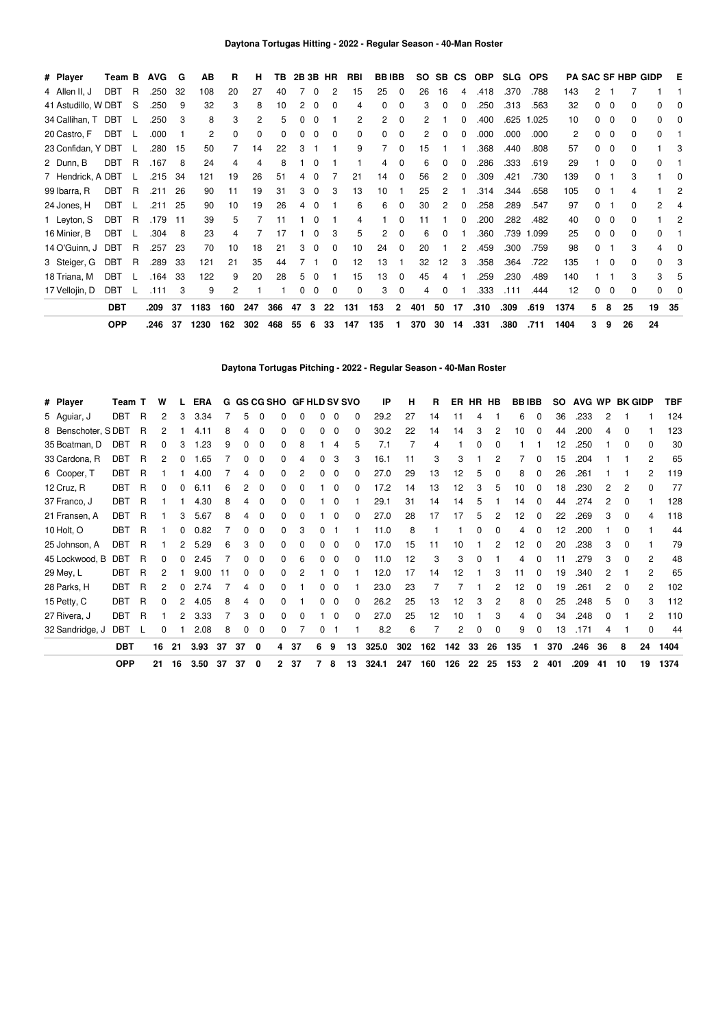| # Player            | Team B     |   | <b>AVG</b> | G   | AВ   | R   | н   | TВ  |    |   | 2B 3B HR | <b>RBI</b> | <b>BBIBB</b> |              |     |    | SO SB CS     | <b>OBP</b> | <b>SLG</b> | <b>OPS</b> |      |   |   | <b>PA SAC SF HBP GIDP</b> |    | Е  |
|---------------------|------------|---|------------|-----|------|-----|-----|-----|----|---|----------|------------|--------------|--------------|-----|----|--------------|------------|------------|------------|------|---|---|---------------------------|----|----|
| 4 Allen II, J       | DBT        | R | .250       | 32  | 108  | 20  | 27  | 40  |    | 0 | 2        | 15         | 25           | 0            | 26  | 16 | 4            | .418       | .370       | .788       | 143  |   |   |                           |    |    |
| 41 Astudillo, W DBT |            | S | .250       | 9   | 32   | 3   | 8   | 10  | 2  | 0 | O        | 4          | 0            | $\mathbf{0}$ | 3   | 0  | 0            | .250       | .313       | .563       | 32   |   | 0 | 0                         | O. |    |
| 34 Callihan, T      | DBT        |   | .250       | 3   | 8    | 3   | 2   | 5   |    | 0 |          | 2          | 2            | $\Omega$     | 2   |    | <sup>0</sup> | .400       | .625       | .025       | 10   |   | 0 | 0                         | 0  |    |
| 20 Castro, F        | <b>DBT</b> |   | .000       |     | 2    | 0   | 0   | 0   |    | ი | 0        | 0          | 0            | 0            |     | o  | <sup>0</sup> | .000       | .000       | .000       | 2    |   | 0 | 0                         | 0  |    |
| 23 Confidan, Y DBT  |            |   | .280       | 15  | 50   |     | 14  | 22  |    |   |          | 9          |              | 0            | 15  |    |              | .368       | .440       | .808       | 57   |   | 0 | 0                         |    |    |
| 2 Dunn, B           | <b>DBT</b> | R | .167       | 8   | 24   | 4   | 4   | 8   |    |   |          |            |              |              | 6   | 0  | 0            | .286       | .333       | .619       | 29   |   | 0 | 0                         | 0  |    |
| 7 Hendrick, A DBT   |            |   | .215       | -34 | 121  | 19  | 26  | 51  |    |   |          | 21         | 14           | 0            | 56  | 2  | 0            | .309       | .421       | .730       | 139  |   |   | 3                         |    |    |
| 99 Ibarra, R        | <b>DBT</b> | R | .211       | 26  | 90   | 11  | 19  | 31  | 3  | 0 | 3        | 13         | 10           |              | 25  | 2  |              | .314       | .344       | .658       | 105  |   |   |                           |    |    |
| 24 Jones, H         | <b>DBT</b> |   | .211       | 25  | 90   | 10  | 19  | 26  | 4  |   |          | 6          | 6            | 0            | 30  | 2  | 0            | .258       | .289       | .547       | 97   |   |   | U                         | 2  |    |
| 1 Leyton, S         | <b>DBT</b> | R | .179       | 11  | 39   | 5   |     | 11  |    |   |          | 4          |              | 0            | 11  |    | 0            | .200       | .282       | .482       | 40   |   | 0 |                           |    |    |
| 16 Minier, B        | <b>DBT</b> |   | .304       | 8   | 23   | 4   |     |     |    |   | 3        | 5          | 2            | $\Omega$     | 6   | n  |              | .360       | .739       | 1.099      | 25   |   | 0 | U                         | 0  |    |
| 14 O'Guinn, J       | DBT        | R | .257       | 23  | 70   | 10  | 18  | 21  |    | 0 | 0        | 10         | 24           | $\Omega$     | 20  |    | 2            | .459       | .300       | .759       | 98   |   |   | 3                         |    |    |
| 3 Steiger, G        | DBT        | R | .289       | 33  | 121  | 21  | 35  | 44  |    |   | 0        | 12         | 13           |              | 32  | 12 | 3            | .358       | .364       | .722       | 135  |   | 0 | U                         | n  |    |
| 18 Triana, M        | <b>DBT</b> |   | .164       | 33  | 122  | 9   | 20  | 28  | 5. | 0 |          | 15         | 13           | $\Omega$     | 45  | 4  |              | .259       | .230       | .489       | 140  |   |   |                           | 3  |    |
| 17 Vellojin, D      | <b>DBT</b> |   | .111       | 3   | 9    | 2   |     |     | 0  | 0 | 0        | 0          | 3            | 0            | 4   | 0  |              | .333       | .111       | .444       | 12   |   | 0 | 0                         | 0  |    |
|                     | <b>DBT</b> |   | .209       | 37  | 1183 | 160 | 247 | 366 | 47 | 3 | 22       | 131        | 153          | $\mathbf{2}$ | 401 | 50 | 17           | .310       | .309       | .619       | 1374 | 5 | 8 | 25                        | 19 | 35 |
|                     | <b>OPP</b> |   | .246       | 37  | 1230 | 162 | 302 | 468 | 55 | 6 | 33       | 147        | 135          |              | 370 | 30 | 14           | .331       | .380       | .711       | 1404 | 3 | 9 | 26                        | 24 |    |

**Daytona Tortugas Pitching - 2022 - Regular Season - 40-Man Roster**

| # Player           | Team T     |              | w  |    | <b>ERA</b> |     |    |          |   | G GS CG SHO GF HLD SV SVO |   |              |          | IP    | н   | R   |     |          | ER HR HB | <b>BBIBB</b> |              | SO. | AVG WP |    |              | <b>BK GIDP</b> | <b>TBF</b> |
|--------------------|------------|--------------|----|----|------------|-----|----|----------|---|---------------------------|---|--------------|----------|-------|-----|-----|-----|----------|----------|--------------|--------------|-----|--------|----|--------------|----------------|------------|
| 5 Aguiar, J        | <b>DBT</b> | $\mathsf{R}$ | 2  | 3  | 3.34       |     | 5  | 0        | 0 | $\mathbf{0}$              |   | 0            | 0        | 29.2  | 27  | 14  | 11  | 4        |          | 6            | 0            | 36  | .233   |    |              |                | 124        |
| 8 Benschoter, SDBT |            | R            | 2  |    | 4.11       | 8   |    | 0        | 0 | 0                         |   | $\Omega$     | $\Omega$ | 30.2  | 22  | 14  | 14  | 3        | 2        | 10           | 0            | 44  | .200   |    | <sup>0</sup> |                | 123        |
| 35 Boatman, D      | DBT        | R            | 0  |    | .23<br>-1  | 9   | 0  | 0        | 0 | 8                         |   | 4            | 5        | 7.1   |     | 4   |     | 0        | 0        |              |              | 12  | .250   |    | 0            | <sup>0</sup>   | 30         |
| 33 Cardona, R      | DBT        | R            |    |    | .65        |     | 0  | 0        | 0 | 4                         |   | 3            | 3        | 16.1  | 11  | 3   | 3   |          | 2        |              | 0            | 15  | .204   |    |              | 2              | 65         |
| 6 Cooper, T        | DBT        | R            |    |    | 4.00       |     | 4  | 0        | 0 | 2                         |   | 0            | 0        | 27.0  | 29  | 13  | 12  | 5        | 0        | 8            | 0            | 26  | .261   |    |              | 2              | 119        |
| 12 Cruz, R         | DBT        | R            | 0  |    | 6.11       | 6   |    | 0        | 0 | 0                         |   | 0            | 0        | 17.2  | 14  | 13  | 12  | 3        | 5        | 10           | <sup>0</sup> | 18  | .230   |    | 2            | <sup>0</sup>   | 77         |
| 37 Franco, J       | <b>DBT</b> | R            |    |    | 4.30       | 8   | 4  | 0        | 0 |                           |   | 0            |          | 29.1  | 31  | 14  | 14  | 5        |          | 14           | 0            | 44  | .274   |    | 0            |                | 128        |
| 21 Fransen, A      | <b>DBT</b> | R            |    | 3  | 5.67       | 8   | 4  | $\Omega$ | 0 | 0                         |   | 0            | 0        | 27.0  | 28  | 17  | 17  | 5        | 2        | 12           | $\Omega$     | 22  | .269   | 3  | $\Omega$     | 4              | 118        |
| 10 Holt, O         | DBT        | R            |    |    | 0.82       |     |    | 0        | 0 | 3                         | 0 |              |          | 11.0  | 8   |     |     | 0        | 0        | 4            | 0            | 12  | .200   |    | 0            |                | 44         |
| 25 Johnson, A      | DBT        | R            |    | 2  | 5.29       | 6   | 3  | 0        | 0 | 0                         | 0 | $\mathbf{0}$ | $\Omega$ | 17.0  | 15  | 11  | 10  |          | 2        | 12           | $\Omega$     | 20  | .238   | 3  | $\Omega$     |                | 79         |
| 45 Lockwood, B     | <b>DBT</b> | R            | 0  | 0  | 2.45       |     | 0  | 0        | 0 | 6                         | 0 | $\mathbf{0}$ | $\Omega$ | 11.0  | 12  | 3   | 3   | $\Omega$ |          | 4            | $\Omega$     | 11  | .279   | 3  | $\Omega$     | 2              | 48         |
| 29 Mey, L          | <b>DBT</b> | R            | 2  |    | 9.00       | -11 | 0  | 0        | 0 | 2                         |   | $\mathbf{0}$ |          | 12.0  | 17  | 14  | 12  |          | 3        | 11           | 0            | 19  | .340   | 2  |              | 2              | 65         |
| 28 Parks, H        | <b>DBT</b> | R            | 2  | 0  | 2.74       |     | 4  | 0        | 0 |                           | 0 | 0            |          | 23.0  | 23  |     |     |          | 2        | 12           | $\Omega$     | 19  | .261   | 2  | 0            | 2              | 102        |
| 15 Petty, C        | <b>DBT</b> | R            | 0  |    | 4.05       | 8   |    | $\Omega$ | 0 |                           |   | 0            | 0        | 26.2  | 25  | 13  | 12  | 3        | 2        | 8            | $\mathbf{0}$ | 25  | .248   | 5  | 0            | 3              | 112        |
| 27 Rivera, J       | <b>DBT</b> | R            |    |    | 3.33       |     | 3  | $\Omega$ | 0 | 0                         |   | 0            | 0        | 27.0  | 25  | 12  | 10  |          | 3        |              | 0            | 34  | .248   | 0  |              | 2              | 110        |
| 32 Sandridge, J    | DBT        |              | 0  |    | 2.08       | 8   | 0  | 0        | 0 |                           | 0 |              |          | 8.2   | 6   |     | 2   | 0        | 0        | 9            | 0            | 13  | .171   |    |              | 0              | 44         |
|                    | <b>DBT</b> |              | 16 | 21 | 3.93       | 37  | 37 | 0        | 4 | 37                        | 6 | 9            | 13       | 325.0 | 302 | 162 | 142 | 33       | 26       | 135          | 1            | 370 | .246   | 36 | 8            | 24             | 1404       |
|                    | <b>OPP</b> |              | 21 | 16 | 3.50       | 37  | 37 | 0        | 2 | -37                       |   | 8            | 13       | 324.1 | 247 | 160 | 126 | 22       | 25       | 153          | 2            | 401 | .209   | 41 | 10           | 19             | 1374       |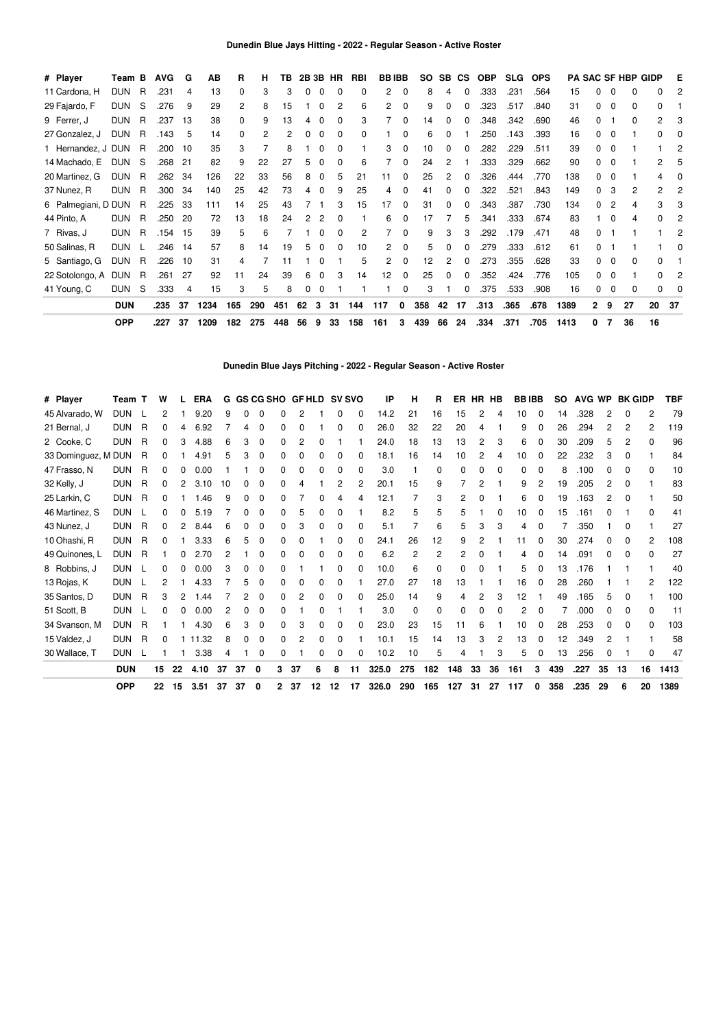| # Player            | Team B     |   | <b>AVG</b> | G   | AB   | R            | н   | TB  |    |   | 2B 3B HR     | RBI | <b>BBIBB</b> |              | <b>SO</b> | <b>SB</b>    | <b>CS</b> | <b>OBP</b> | <b>SLG</b> | <b>OPS</b> |      |              |          | <b>PA SAC SF HBP GIDP</b> |    | Е   |
|---------------------|------------|---|------------|-----|------|--------------|-----|-----|----|---|--------------|-----|--------------|--------------|-----------|--------------|-----------|------------|------------|------------|------|--------------|----------|---------------------------|----|-----|
| 11 Cardona, H       | <b>DUN</b> | R | .231       | 4   | 13   | 0            | 3   | 3   | 0  | 0 | $\Omega$     | 0   | 2            | $\Omega$     | 8         | 4            | 0         | .333       | .231       | .564       | 15   |              | 0        | 0                         | 0  |     |
| 29 Fajardo, F       | <b>DUN</b> | S | .276       | 9   | 29   | 2            | 8   | 15  |    | 0 | 2            | 6   | 2            | $\Omega$     | 9         | 0            | 0         | .323       | .517       | .840       | 31   |              | 0        | 0                         | 0  |     |
| 9 Ferrer, J         | <b>DUN</b> | R | .237       | 13  | 38   | <sup>0</sup> | 9   | 13  | 4  | 0 | 0            | 3   |              |              | 14        |              | O         | .348       | .342       | .690       | 46   |              |          | 0                         | 2  |     |
| 27 Gonzalez, J      | <b>DUN</b> | R | .143       | 5   | 14   | 0            | 2   |     | 0  | 0 | 0            | 0   |              |              | 6         |              |           | .250       | .143       | .393       | 16   |              | 0        |                           | 0  |     |
| 1 Hernandez, J DUN  |            | R | .200       | 10  | 35   | 3            |     | 8   |    | ŋ | 0            |     |              |              | 10        |              |           | .282       | .229       | .511       | 39   |              | 0        |                           |    |     |
| 14 Machado, E       | <b>DUN</b> | S | .268       | 21  | 82   | 9            | 22  | 27  | 5  | ŋ | $\Omega$     | 6   |              |              | 24        |              |           | .333       | .329       | .662       | 90   |              | 0        |                           | 2  |     |
| 20 Martinez, G      | <b>DUN</b> | R | .262       | 34  | 126  | 22           | 33  | 56  | 8  | 0 | 5            | 21  | 11           |              | 25        | 2            |           | 326        | .444       | .770       | 138  |              | 0        |                           | 4  |     |
| 37 Nunez, R         | <b>DUN</b> | R | .300       | -34 | 140  | 25           | 42  | 73  | 4  | 0 | 9            | 25  | 4            |              | 41        | <sup>0</sup> | n         | .322       | .521       | .843       | 149  |              | 3        | 2                         | 2  |     |
| 6 Palmegiani, D DUN |            | R | .225       | 33  | 111  | 14           | 25  | 43  |    |   | 3            | 15  | 17           | <sup>0</sup> | 31        | $\Omega$     | 0         | .343       | .387       | .730       | 134  |              | 2        |                           | 3  |     |
| 44 Pinto, A         | <b>DUN</b> | R | .250       | 20  | 72   | 13           | 18  | 24  | 2  | 2 | 0            |     | 6            |              | 17        |              | 5         | .341       | .333       | .674       | 83   |              | $\Omega$ |                           | 0  |     |
| 7 Rivas, J          | <b>DUN</b> | R | .154       | 15  | 39   | 5            | 6   |     |    | ŋ | 0            | 2   |              | 0            | 9         | 3            | З         | .292       | .179       | .471       | 48   |              |          |                           |    |     |
| 50 Salinas, R       | <b>DUN</b> |   | .246       | -14 | 57   | 8            | 14  | 19  | 5  | 0 | <sup>0</sup> | 10  | 2            |              | 5         |              | 0         | .279       | .333       | .612       | 61   |              |          |                           |    |     |
| 5 Santiago, G       | <b>DUN</b> | R | .226       | 10  | 31   | 4            |     | 11  |    | 0 |              | 5   | 2            | o            | 12        |              | 0         | .273       | .355       | .628       | 33   |              | 0        | n                         | O. |     |
| 22 Sotolongo, A     | DUN        | R | .261       | 27  | 92   | 11           | 24  | 39  | 6  | 0 | 3            | 14  | 12           | 0            | 25        | ŋ            | 0         | .352       | .424       | .776       | 105  |              | 0        |                           | O. |     |
| 41 Young, C         | <b>DUN</b> | S | .333       | 4   | 15   | 3            | 5   | 8   | 0  | 0 |              |     |              | 0            | 3         |              | 0         | .375       | .533       | .908       | 16   |              | 0        | 0                         | 0  |     |
|                     | <b>DUN</b> |   | .235       | 37  | 1234 | 165          | 290 | 451 | 62 | 3 | 31           | 144 | 117          | 0            | 358       | 42           | 17        | .313       | .365       | .678       | 1389 | $\mathbf{2}$ | 9        | 27                        | 20 | -37 |
|                     | <b>OPP</b> |   | .227       | 37  | 1209 | 182          | 275 | 448 | 56 | 9 | 33           | 158 | 161          | 3            | 439       | 66           | 24        | .334       | .371       | .705       | 1413 | 0            |          | 36                        | 16 |     |

**Dunedin Blue Jays Pitching - 2022 - Regular Season - Active Roster**

| # Player            | Team T     |          | W  |    | <b>ERA</b> | G  |              |          |   |          |    |              | GS CG SHO GF HLD SV SVO | IP    | н        | R   |     | ER HR    | HB | <b>BBIBB</b> |          | so  | AVG WP |              | <b>BK GIDP</b> |    | TBF  |
|---------------------|------------|----------|----|----|------------|----|--------------|----------|---|----------|----|--------------|-------------------------|-------|----------|-----|-----|----------|----|--------------|----------|-----|--------|--------------|----------------|----|------|
| 45 Alvarado, W      | <b>DUN</b> |          | 2  |    | 9.20       | g  |              | 0        | O | 2        |    | 0            | 0                       | 14.2  | 21       | 16  | 15  | 2        |    | 10           | 0        | 14  | .328   | 2            |                | 2  | 79   |
| 21 Bernal, J        | <b>DUN</b> | R        | 0  |    | 6.92       |    | 4            | 0        | 0 | 0        |    | 0            | $\Omega$                | 26.0  | 32       | 22  | 20  | 4        |    | 9            | 0        | 26  | .294   | 2            | 2              | 2  | 119  |
| 2 Cooke, C          | <b>DUN</b> | R        | 0  | 3  | 4.88       | 6  | з            | 0        | 0 | 2        |    |              |                         | 24.0  | 18       | 13  | 13  | 2        | 3  | 6            | 0        | 30  | .209   | 5            | 2              | n  | 96   |
| 33 Dominguez, M DUN |            | R        | 0  |    | 4.91       | 5  | 3            | $\Omega$ | 0 | $\Omega$ | 0  | 0            | 0                       | 18.1  | 16       | 14  | 10  | 2        | 4  | 10           | 0        | 22  | .232   | 3            | 0              |    | 84   |
| 47 Frasso, N        | <b>DUN</b> | R        | 0  |    | 0.00       |    |              | 0        | 0 | 0        | 0  | 0            | 0                       | 3.0   |          | 0   | 0   | 0        | 0  | 0            | 0        | 8   | .100   | 0            | 0              |    | 10   |
| 32 Kelly, J         | <b>DUN</b> | R        | 0  | 2  | 3.10       | 10 | 0            | 0        | 0 | 4        |    | 2            | 2                       | 20.1  | 15       | 9   |     | 2        |    | 9            | 2        | 19  | .205   | 2            | 0              |    | 83   |
| 25 Larkin, C        | <b>DUN</b> | R        | 0  |    | 1.46       | 9  |              | 0        | O |          |    |              | 4                       | 12.1  |          | 3   | 2   |          |    | 6            | 0        | 19  | .163   | 2            |                |    | 50   |
| 46 Martinez, S      | <b>DUN</b> |          | 0  |    | 5.19       |    | U            | 0        | 0 | 5        | O  | 0            |                         | 8.2   | 5        | 5   | 5   |          | O  | 10           | 0        | 15  | .161   | O            |                | O  | 41   |
| 43 Nunez, J         | <b>DUN</b> | R        | 0  |    | 8.44       | 6  | 0            | $\Omega$ | 0 | 3        | 0  | $\Omega$     | 0                       | 5.1   |          | 6   | 5   | 3        | З  | 4            | 0        |     | .350   |              | 0              |    | 27   |
| 10 Ohashi, R        | <b>DUN</b> | R        | 0  |    | 3.33       | 6  | 5            | 0        | 0 | 0        |    | 0            | 0                       | 24.1  | 26       | 12  | 9   | 2        |    | 11           | 0        | 30  | .274   | 0            | <sup>0</sup>   | 2  | 108  |
| 49 Quinones, L      | <b>DUN</b> | R        |    |    | 2.70       |    |              | 0        | 0 | 0        | O  | $\Omega$     | 0                       | 6.2   | 2        | 2   | 2   | $\Omega$ |    |              | 0        | 14  | .091   | ი            |                | U  | 27   |
| 8 Robbins, J        | <b>DUN</b> |          | 0  |    | 0.00       | 3  | <sup>0</sup> | $\Omega$ | 0 |          |    | $\mathbf{0}$ | $\Omega$                | 10.0  | 6        | 0   | 0   | $\Omega$ |    | 5            | $\Omega$ | 13  | .176   |              |                |    | 40   |
| 13 Rojas, K         | <b>DUN</b> |          | 2  |    | 4.33       |    |              | 0        | 0 | 0        | 0  | $\Omega$     |                         | 27.0  | 27       | 18  | 13  |          |    | 16           | 0        | 28  | .260   |              |                | 2  | 122  |
| 35 Santos, D        | <b>DUN</b> | R        | 3  | 2  | .44<br>-1  |    | 2            | 0        | 0 | 2        | 0  | 0            | 0                       | 25.0  | 14       | 9   | 4   | 2        | 3  | 12           |          | 49  | .165   | 5            | $\Omega$       |    | 100  |
| 51 Scott, B         | <b>DUN</b> |          | 0  |    | 0.00       | 2  |              | $\Omega$ | 0 |          | 0  |              |                         | 3.0   | $\Omega$ | 0   | 0   | 0        | O  | 2            | 0        |     | .000   | <sup>0</sup> | O              | U  | 11   |
| 34 Svanson, M       | <b>DUN</b> | <b>R</b> |    |    | 4.30       | 6  |              | $\Omega$ | 0 | 3        | 0  | 0            | 0                       | 23.0  | 23       | 15  | 11  | 6        |    | 10           | 0        | 28  | .253   | 0            | <sup>0</sup>   | 0  | 103  |
| 15 Valdez, J        | <b>DUN</b> | R        | 0  |    | 11.32      | 8  | $\Omega$     | 0        | 0 | 2        | 0  | 0            |                         | 10.1  | 15       | 14  | 13  | 3        | 2  | 13           | $\Omega$ | 12  | .349   | 2            |                |    | 58   |
| 30 Wallace, T       | <b>DUN</b> | -1       |    |    | 3.38       | 4  |              | 0        | 0 |          | 0  | 0            | 0                       | 10.2  | 10       | 5   | 4   |          | 3  | 5            | 0        | 13  | .256   | 0            |                | 0  | 47   |
|                     | <b>DUN</b> |          | 15 | 22 | 4.10       | 37 | 37           | 0        | 3 | 37       | 6  | 8            | 11                      | 325.0 | 275      | 182 | 148 | 33       | 36 | 161          | 3        | 439 | .227   | 35           | 13             | 16 | 1413 |
|                     | <b>OPP</b> |          | 22 | 15 | 3.51       | 37 | 37           | 0        | 2 | 37       | 12 | 12           | 17                      | 326.0 | 290      | 165 | 127 | 31       | 27 | 117          | 0        | 358 | .235   | 29           | 6              | 20 | 1389 |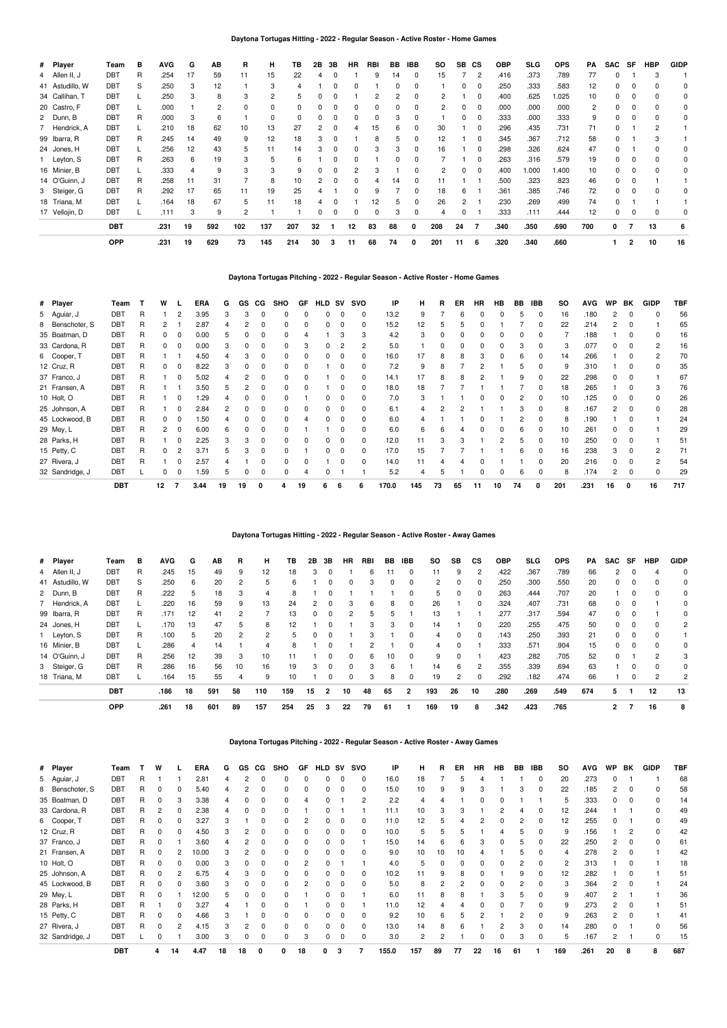## **Daytona Tortugas Hitting - 2022 - Regular Season - Active Roster - Home Games**

| # Player        | Team       | в | <b>AVG</b> | G  | AB  | R   | н        | TB  | 2Β | 3В       | <b>HR</b> | RBI | BB           | <b>IBB</b> | so  | <b>SB</b> | CS       | OBP  | SLG   | <b>OPS</b> | PA  | SAC      | SF | <b>HBP</b> | <b>GIDP</b> |
|-----------------|------------|---|------------|----|-----|-----|----------|-----|----|----------|-----------|-----|--------------|------------|-----|-----------|----------|------|-------|------------|-----|----------|----|------------|-------------|
| 4 Allen II, J   | <b>DBT</b> | R | .254       | 17 | 59  | 11  | 15       | 22  |    | $\Omega$ |           | 9   | 14           | 0          | 15  |           | 2        | .416 | .373  | .789       | 77  | $\Omega$ |    | 3          |             |
| 41 Astudillo, W | <b>DBT</b> | S | .250       | 3  | 12  |     | 3        | 4   |    | 0        | 0         |     | <sup>0</sup> | 0          |     | 0         | $\Omega$ | .250 | .333  | .583       | 12  | 0        |    |            |             |
| 34 Callihan, T  | <b>DBT</b> |   | .250       | 3  | 8   | 3   | 2        | 5   |    |          |           |     |              | 0          | 2   |           | $\Omega$ | .400 | .625  | 1.025      | 10  | $\Omega$ | 0  |            |             |
| 20 Castro, F    | <b>DBT</b> |   | .000       |    | 2   | 0   | 0        |     |    | 0        | ŋ         |     | O            |            | 2   | 0         | $\Omega$ | .000 | .000  | .000       | 2   | O        | 0  |            | 0           |
| 2 Dunn, B       | <b>DBT</b> | R | .000       | 3  | 6   |     | $\Omega$ | 0   |    | 0        | 0         | 0   |              | 0          |     | 0         | $\Omega$ | .333 | .000  | .333       | 9   | $\Omega$ | 0  |            | 0           |
| 7 Hendrick, A   | <b>DBT</b> |   | .210       | 18 | 62  | 10  | 13       | 27  |    | 0        |           | 15  | 6            |            | 30  |           | $\Omega$ | .296 | .435  | .731       | 71  | $\Omega$ |    | 2          |             |
| 99 Ibarra, R    | DBT        | R | .245       | 14 | 49  | 9   | 12       | 18  |    |          |           |     | 5            |            | 12  |           | $\Omega$ | .345 | .367  | .712       | 58  | $\Omega$ |    |            |             |
| 24 Jones, H     | DBT        |   | .256       | 12 | 43  | 5.  | 11       | 14  |    | n        |           |     |              | ŋ          | 16  |           | $\Omega$ | .298 | .326  | .624       | 47  | $\Omega$ |    |            | 0           |
| 1 Leyton, S     | DBT        | R | .263       | 6  | 19  |     | 5        | ĥ   |    | 0        |           |     |              |            |     |           | $\Omega$ | .263 | .316  | .579       | 19  |          |    |            | 0           |
| 16 Minier, B    | DBT        |   | .333       |    | 9   |     | 3        | 9   |    | 0        |           |     |              |            | 2   | 0         | 0        | .400 | 1.000 | 1.400      | 10  |          |    |            | 0           |
| 14 O'Guinn, J   | DBT        | R | .258       | 11 | 31  |     | 8        | 10  |    | 0        | 0         |     | 14           | $\Omega$   | 11  |           |          | .500 | .323  | .823       | 46  |          |    |            |             |
| 3 Steiger, G    | DBT        | R | .292       | 17 | 65  | 11  | 19       | 25  |    |          | 0         | 9   |              | 0          | 18  | 6         |          | .361 | .385  | .746       | 72  |          |    |            |             |
| 18 Triana, M    | DBT        |   | .164       | 18 | 67  | 5   | 11       | 18  |    | 0        |           | 12  | 5            |            | 26  | 2         |          | .230 | .269  | .499       | 74  |          |    |            |             |
| 17 Vellojin, D  | DBT        |   | .111       | 3  | 9   | 2   |          |     |    | 0        | 0         | 0   | 3            | 0          | 4   | 0         |          | .333 | .111  | .444       | 12  | $\Omega$ | 0  | 0          | 0           |
|                 | <b>DBT</b> |   | .231       | 19 | 592 | 102 | 137      | 207 | 32 |          | 12        | 83  | 88           | 0          | 208 | 24        |          | .340 | .350  | .690       | 700 | 0        |    | 13         | 6           |
|                 | <b>OPP</b> |   | .231       | 19 | 629 | 73  | 145      | 214 | 30 | 3        | 11        | 68  | 74           | 0          | 201 | 11        | 6        | .320 | .340  | .660       |     |          | 2  | 10         | 16          |

# **Daytona Tortugas Pitching - 2022 - Regular Season - Active Roster - Home Games**

| # Player        | Team       |   | w  |   | <b>ERA</b> | G  | GS | CG | <b>SHO</b> | GF | <b>HLD</b> | SV       | <b>SVO</b> | IP    | н   | R  | ER | <b>HR</b> | HB | BB | <b>IBB</b> | <b>SO</b> | <b>AVG</b> | <b>WP</b> | BK       | <b>GIDP</b> | <b>TBF</b> |
|-----------------|------------|---|----|---|------------|----|----|----|------------|----|------------|----------|------------|-------|-----|----|----|-----------|----|----|------------|-----------|------------|-----------|----------|-------------|------------|
| 5 Aguiar, J     | DBT        | R |    |   | 3.95       | 3  | 3  |    |            |    |            |          | 0          | 13.2  | 9   |    | ĥ  |           | O  | 5  |            | 16        | .180       |           |          |             | 56         |
| 8 Benschoter, S | <b>DBT</b> | R |    |   | 2.87       |    |    |    | 0          |    |            | 0        | 0          | 15.2  | 12  | 5  |    |           |    |    |            | 22        | .214       |           | 0        |             | 65         |
| 35 Boatman, D   | <b>DBT</b> | R |    |   | 0.00       |    |    |    | 0          |    |            | э        | 3          | 4.2   | 3   |    |    |           |    | O  |            |           | .188       |           | 0        |             | 16         |
| 33 Cardona, R   | <b>DBT</b> | R |    |   | 0.00       |    |    |    |            |    |            |          | 2          | 5.0   |     |    |    |           |    |    |            | 3         | .077       | 0         | $\Omega$ | 2           | 16         |
| 6 Cooper, T     | <b>DBT</b> | R |    |   | 4.50       |    |    |    | 0          |    |            | C        | $\Omega$   | 16.0  | 17  |    |    |           | O  | ĥ  |            | 14        | .266       |           | 0        | 2           | 70         |
| 12 Cruz, R      | <b>DBT</b> | R |    |   | 8.22       |    |    |    | 0          |    |            |          |            | 7.2   | 9   |    |    |           |    |    |            | 9         | .310       |           | 0        |             | 35         |
| 37 Franco, J    | <b>DBT</b> | R |    |   | 5.02       |    | 2  |    | 0          |    |            | ŋ        | $\Omega$   | 14.1  | 17  |    |    |           |    | 9  |            | 22        | .298       |           | $\Omega$ |             | 67         |
| 21 Fransen, A   | <b>DBT</b> |   |    |   | 3.50       |    | 2  | 0  | 0          |    |            |          | 0          | 18.0  | 18  |    |    |           |    |    |            | 18        | .265       |           | 0        |             | 76         |
| 10 Holt, O      | DBT        |   |    |   | .29        |    |    |    | 0          |    |            |          | 0          | 7.0   | 3   |    |    |           | n  |    |            | 10        | .125       |           | $\Omega$ |             | 26         |
| 25 Johnson, A   | <b>DBT</b> | R |    |   | 2.84       |    |    |    | 0          |    | 0          | $\Omega$ | 0          | 6.1   | 4   |    |    |           |    |    |            | 8         | .167       |           | 0        |             | 28         |
| 45 Lockwood, B  | <b>DBT</b> | R |    |   | 1.50       |    |    |    | 0          |    |            | 0        | 0          | 6.0   |     |    |    |           |    |    |            | 8         | .190       |           | $\Omega$ |             | 24         |
| 29 Mey, L       | DBT        | R |    |   | 6.00       | 6  |    |    | 0          |    |            |          | 0          | 6.0   | 6   |    |    |           |    | ĥ  |            | 10        | .261       | 0         | 0        |             | 29         |
| 28 Parks, H     | DBT        | R |    |   | 2.25       | 3  | 3  |    | 0          |    | 0          | 0        | 0          | 12.0  | 11  |    |    |           |    |    |            | 10        | .250       | 0         | 0        |             | 51         |
| 15 Petty, C     | DBT        | R | 0  |   | 3.71       |    |    | 0  | 0          |    | 0          | 0        | 0          | 17.0  | 15  |    |    |           |    | ĥ  |            | 16        | .238       |           | 0        |             | 71         |
| 27 Rivera, J    | DBT        | R |    |   | 2.57       |    |    |    | 0          |    |            | 0        | 0          | 14.0  | 11  |    |    |           |    |    |            | 20        | .216       |           | 0        | 2           | 54         |
| 32 Sandridge, J | <b>DBT</b> |   | 0  | 0 | 1.59       | 5  | 0  | 0  | 0          |    |            |          |            | 5.2   | 4   | 5  |    | 0         | 0  | 6  |            | 8         | .174       |           | 0        | 0           | 29         |
|                 | <b>DBT</b> |   | 12 |   | 3.44       | 19 | 19 | 0  |            | 19 | 6          | 6        | 6          | 170.0 | 145 | 73 | 65 | 11        | 10 | 74 | 0          | 201       | .231       | 16        | 0        | 16          | 717        |

# **Daytona Tortugas Hitting - 2022 - Regular Season - Active Roster - Away Games**

| # Player        | Team       | в | <b>AVG</b> | G  | AB  | R  | н   | ΤВ  | 2Β | 3B       | <b>HR</b> | RBI | BB | <b>IBB</b> | <b>SO</b> | <b>SB</b> | CS       | <b>OBP</b> | <b>SLG</b> | <b>OPS</b> | PA  | <b>SAC</b> | SF       | <b>HBP</b> | <b>GIDP</b> |
|-----------------|------------|---|------------|----|-----|----|-----|-----|----|----------|-----------|-----|----|------------|-----------|-----------|----------|------------|------------|------------|-----|------------|----------|------------|-------------|
| 4 Allen II, J   | <b>DBT</b> | R | .245       | 15 | 49  | 9  | 12  | 18  | 3  |          |           | 6   |    | 0          | 11        | 9         |          | .422       | .367       | .789       | 66  | 2          |          |            |             |
| 41 Astudillo, W | <b>DBT</b> | S | .250       | 6  | 20  | 2  | 5   | 6   |    |          | 0         | 3   | 0  | 0          | 2         | 0         | $\Omega$ | .250       | .300       | .550       | 20  | $\Omega$   | $\Omega$ | $\Omega$   |             |
| 2 Dunn, B       | DBT        | R | .222       | 5  | 18  | 3  | 4   | 8   |    |          |           |     |    | 0          | 5         | 0         | 0        | .263       | .444       | .707       | 20  |            | 0        | 0          | 0           |
| 7 Hendrick, A   | <b>DBT</b> |   | .220       | 16 | 59  | 9  | 13  | 24  | 2  |          | 3         | 6   | 8  | 0          | 26        |           | 0        | .324       | .407       | .731       | 68  | 0          | $\Omega$ |            |             |
| 99 Ibarra, R    | <b>DBT</b> | R | .171       | 12 | 41  | 2  |     | 13  | 0  | $\Omega$ | 2         | 5   | b. |            | 13        |           |          | .277       | .317       | .594       | 47  | 0          | 0        |            | 0           |
| 24 Jones, H     | DBT        |   | .170       | 13 | 47  | 5  | 8   | 12  |    |          |           | 3   | 3  | 0          | 14        |           | $\Omega$ | .220       | .255       | .475       | 50  | 0          | $\Omega$ | $\Omega$   |             |
| 1 Leyton, S     | <b>DBT</b> | R | .100       | 5  | 20  | 2  | 2   | 5   | 0  |          |           | з   |    | 0          | 4         | 0         | $\Omega$ | .143       | .250       | .393       | 21  | $\Omega$   | $\Omega$ | $\Omega$   |             |
| 16 Minier, B    | DBT        |   | .286       | 4  | 14  |    | 4   | 8   |    |          |           | 2   |    | 0          | 4         | 0         |          | .333       | .571       | .904       | 15  | 0          | $\Omega$ | $\Omega$   |             |
| 14 O'Guinn, J   | <b>DBT</b> | R | .256       | 12 | 39  | 3  | 10  | 11  |    |          | U         | 6   | 10 | $\Omega$   | 9         | 0         |          | .423       | .282       | .705       | 52  | $\Omega$   |          | 2          | 3           |
| 3 Steiger, G    | <b>DBT</b> | R | .286       | 16 | 56  | 10 | 16  | 19  | 3  |          | 0         |     | 6  |            | 14        | 6         | 2        | .355       | .339       | .694       | 63  |            |          | $\Omega$   |             |
| 18 Triana, M    | <b>DBT</b> |   | .164       | 15 | 55  | 4  | 9   | 10  |    | $\Omega$ | 0         | 3   | 8  | 0          | 19        | 2         | 0        | .292       | .182       | .474       | 66  |            | $\Omega$ | 2          | 2           |
|                 | DBT        |   | .186       | 18 | 591 | 58 | 110 | 159 | 15 | 2        | 10        | 48  | 65 | 2          | 193       | 26        | 10       | .280       | .269       | .549       | 674 | 5          |          | 12         | 13          |
|                 | <b>OPP</b> |   | .261       | 18 | 601 | 89 | 157 | 254 | 25 | 3        | 22        | 79  | 61 |            | 169       | 19        | 8        | .342       | .423       | .765       |     | 2          |          | 16         | 8           |

**Daytona Tortugas Pitching - 2022 - Regular Season - Active Roster - Away Games**

| # Player<br>5 Aguiar, J | Team<br><b>DBT</b> | R | W |    | <b>ERA</b><br>2.81 | G  | GS<br>2 | СG | <b>SHO</b><br>0 | GF       | <b>HLD</b><br>0 | <b>SV</b> | <b>SVO</b><br>0 | IP<br>16.0 | н<br>18 | R  | ER | <b>HR</b> | HB | BB | <b>IBB</b><br>0 | <b>SO</b><br>20 | <b>AVG</b><br>.273 | <b>WP</b> | BK | <b>GIDP</b> | <b>TBF</b><br>68 |
|-------------------------|--------------------|---|---|----|--------------------|----|---------|----|-----------------|----------|-----------------|-----------|-----------------|------------|---------|----|----|-----------|----|----|-----------------|-----------------|--------------------|-----------|----|-------------|------------------|
| 8 Benschoter, S         | <b>DBT</b>         |   |   |    | 5.40               |    |         | O  | 0               | $\Omega$ | 0               | $\Omega$  | $\Omega$        | 15.0       | 10      |    |    | 3         |    |    | 0               | 22              | .185               | 2         |    | 0           | 58               |
| 35 Boatman, D           | DB <sub>1</sub>    |   |   |    | 3.38               |    |         | 0  | 0               |          |                 |           | 2               | 2.2        | 4       |    |    |           |    |    |                 | 5               | .333               |           |    | 0           | 14               |
| 33 Cardona, R           | <b>DBT</b>         |   |   |    | 2.38               |    |         | 0  | U               |          |                 |           |                 | 11.1       | 10      |    |    |           |    |    |                 | 12              | .244               |           |    | 0           | 49               |
| 6 Cooper, T             | DB <sub>1</sub>    |   |   |    | 3.27               |    |         |    |                 |          | 0               |           | 0               | 11.0       | 12      |    |    |           |    |    |                 | 12              | .255               |           |    | 0           | 49               |
| 12 Cruz, R              | <b>DBT</b>         |   |   |    | 4.50               |    |         | 0  | U               | $\Omega$ | 0               |           | 0               | 10.0       | 5       |    |    |           |    |    |                 | 9               | .156               |           |    | 0           | 42               |
| 37 Franco, J            | <b>DBT</b>         |   |   |    | 3.60               |    | 2       | 0  | 0               | $\Omega$ | 0               |           |                 | 15.0       | 14      | ĥ  |    |           |    |    |                 | 22              | .250               |           |    | 0           | 61               |
| 21 Fransen, A           | <b>DBT</b>         |   |   |    | 10.00              |    | 2       | 0  | 0               | $\Omega$ | 0               |           | 0               | 9.0        | 10      | 10 | 10 |           |    |    |                 | 4               | .278               | 2         |    |             | 42               |
| 10 Holt, O              | DBT                |   |   |    | 0.00               |    |         | 0  | 0               |          | 0               |           |                 | 4.0        | 5       | O  |    |           |    |    | 0               | 2               | .313               |           |    |             | 18               |
| 25 Johnson, A           | DBT                |   |   |    | 6.75               |    |         | 0  | 0               | $\Omega$ | 0               |           | 0               | 10.2       | 11      | 9  |    |           |    |    | 0               | 12              | .282               |           |    |             | 51               |
| 45 Lockwood, B          | DBT                | R |   |    | 3.60               | 3  |         | 0  | 0               |          | 0               | 0         | 0               | 5.0        | 8       |    |    |           |    |    | 0               | 3               | .364               |           |    |             | 24               |
| 29 Mey, L               | DBT                | R |   |    | 12.00              |    |         | 0  | U               |          | 0               |           |                 | 6.0        | 11      | 8  |    |           |    |    | 0               | 9               | .407               |           |    |             | 36               |
| 28 Parks, H             | <b>DBT</b>         | R |   |    | 3.27               |    |         |    | 0               |          | 0               |           |                 | 11.0       | 12      |    |    |           |    |    |                 | 9               | .273               |           |    |             | 51               |
| 15 Petty, C             | DBT                | R |   | 0  | 4.66               | 3  |         |    | 0               | $\Omega$ | 0               | $\Omega$  | 0               | 9.2        | 10      | 6  |    |           |    |    | 0               | 9               | .263               | 2         |    |             | 41               |
| 27 Rivera, J            | <b>DBT</b>         | R |   | 2  | 4.15               | 3  |         | 0  | 0               | $\Omega$ | 0               | 0         | 0               | 13.0       | 14      |    |    |           |    |    | 0               | 14              | .280               |           |    | 0           | 56               |
| 32 Sandridge, J         | DBT                |   |   |    | 3.00               | 3  | 0       | 0  | 0               |          | 0               | 0         | 0               | 3.0        | 2       |    |    | 0         | 0  |    | 0               | 5               | .167               |           |    |             | 15               |
|                         | <b>DBT</b>         |   | 4 | 14 | 4.47               | 18 | 18      | 0  | 0               | 18       | 0               | 3         |                 | 155.0      | 157     | 89 | 77 | 22        | 16 | 61 |                 | 169             | .261               | 20        | 8  | 8           | 687              |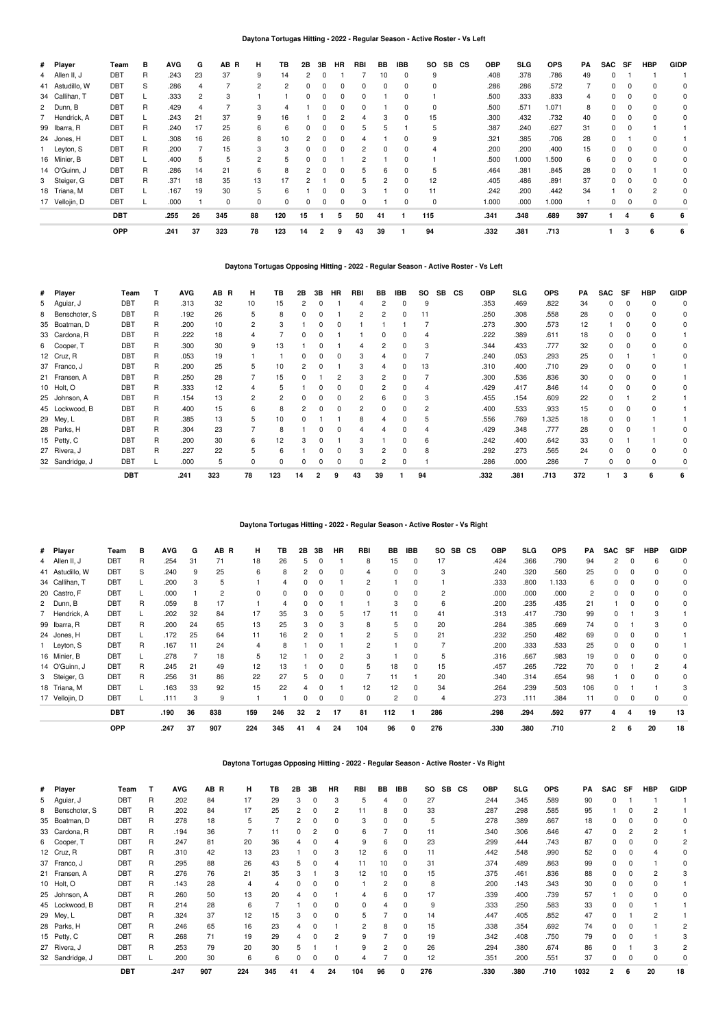## **Daytona Tortugas Hitting - 2022 - Regular Season - Active Roster - Vs Left**

| # Player        | Team       | в  | <b>AVG</b> | G  | AB R | н  | TВ  | 2В | 3В             | HR | <b>RBI</b> | BB | <b>IBB</b> | <b>SO</b> | <b>SB</b> | CS | <b>OBP</b> | <b>SLG</b> | <b>OPS</b> | PA  | <b>SAC</b> | SF       | <b>HBP</b> | GIDP |
|-----------------|------------|----|------------|----|------|----|-----|----|----------------|----|------------|----|------------|-----------|-----------|----|------------|------------|------------|-----|------------|----------|------------|------|
| 4 Allen II, J   | DBT        | R  | .243       | 23 | 37   | 9  | 14  | 2  |                |    |            | 10 | 0          | 9         |           |    | .408       | .378       | .786       | 49  | $\Omega$   |          |            |      |
| 41 Astudillo, W | <b>DBT</b> | S  | .286       |    |      | 2  | 2   |    |                |    | U          | 0  | $\Omega$   | $\Omega$  |           |    | .286       | .286       | .572       |     | n          |          |            |      |
| 34 Callihan, T  | DBT        |    | .333       |    |      |    |     | 0  |                | 0  | 0          |    | 0          |           |           |    | .500       | .333       | .833       |     | 0          |          |            |      |
| 2 Dunn, B       | <b>DBT</b> | R  | .429       |    |      | 3  | 4   |    |                | 0  | 0          |    | 0          | 0         |           |    | .500       | .571       | 1.071      | 8   | 0          | 0        |            |      |
| 7 Hendrick, A   | <b>DBT</b> | L. | .243       | 21 | 37   | 9  | 16  |    |                |    | 4          | з  | $\Omega$   | 15        |           |    | .300       | .432       | .732       | 40  | 0          | $\Omega$ |            | 0    |
| 99 Ibarra, R    | DBT        | R  | .240       | 17 | 25   | 6  | 6   | 0  |                | 0  | 5          | 5  |            | 5         |           |    | .387       | .240       | .627       | 31  | 0          |          |            |      |
| 24 Jones, H     | <b>DBT</b> |    | .308       | 16 | 26   |    | 10  |    |                |    |            |    | $\Omega$   | 9         |           |    | .321       | .385       | .706       | 28  | 0          |          |            |      |
| 1 Leyton, S     | DBT        | R  | .200       |    | 15   |    | 3   | 0  |                | 0  | 2          |    | 0          |           |           |    | .200       | .200       | .400       | 15  | 0          |          |            |      |
| 16 Minier, B    | <b>DBT</b> | L. | .400       | 5  | 5    |    | 5   | 0  |                |    | 2          |    | 0          |           |           |    | .500       | 1.000      | 1.500      | 6   | 0          | 0        |            |      |
| 14 O'Guinn, J   | DBT        | R  | .286       | 14 | 21   | 6  | 8   | 2  | $\Omega$       | 0  | 5          | 6. | 0          | 5         |           |    | .464       | .381       | .845       | 28  | 0          | $\Omega$ |            | Ω    |
| 3 Steiger, G    | DBT        | R  | .371       | 18 | 35   | 13 | 17  |    |                | n. | 5          | 2  | $\Omega$   | 12        |           |    | .405       | .486       | .891       | 37  | 0          |          |            | 0    |
| 18 Triana, M    | <b>DBT</b> |    | .167       | 19 | 30   | 5  | 6   |    |                | U  | 3          |    | $\Omega$   | 11        |           |    | .242       | .200       | .442       | 34  |            | O        | 2          | 0    |
| 17 Vellojin, D  | DBT        |    | .000       |    | 0    | 0  | 0   | 0  |                | 0  | 0          |    | 0          | 0         |           |    | 1.000      | .000       | 1.000      |     | 0          |          |            | 0    |
|                 | DBT        |    | .255       | 26 | 345  | 88 | 120 | 15 |                | 5  | 50         | 41 |            | 115       |           |    | .341       | .348       | .689       | 397 |            |          | 6          | 6    |
|                 | <b>OPP</b> |    | .241       | 37 | 323  | 78 | 123 | 14 | $\overline{2}$ | 9  | 43         | 39 |            | 94        |           |    | .332       | .381       | .713       |     |            | 3        | 6          | 6    |

## **Daytona Tortugas Opposing Hitting - 2022 - Regular Season - Active Roster - Vs Left**

| # Player        | Team       | т | <b>AVG</b> | AB R | н              | TB  | 2В | 3В | <b>HR</b> | <b>RBI</b> | BB | <b>IBB</b> | SO. | <b>SB</b> | <b>CS</b> | OBP  | <b>SLG</b> | <b>OPS</b> | <b>PA</b> | <b>SAC</b> | SF | <b>HBP</b> | <b>GIDP</b> |
|-----------------|------------|---|------------|------|----------------|-----|----|----|-----------|------------|----|------------|-----|-----------|-----------|------|------------|------------|-----------|------------|----|------------|-------------|
| 5 Aguiar, J     | DBT        | R | .313       | 32   | 10             | 15  |    |    |           |            |    |            | 9   |           |           | .353 | .469       | .822       | 34        | 0          |    |            |             |
| 8 Benschoter, S | <b>DBT</b> | R | .192       | 26   | 5              | 8   | O  | O  |           | 2          |    | $\Omega$   | 11  |           |           | .250 | .308       | .558       | 28        | 0          |    |            |             |
| 35 Boatman, D   | DBT        | R | .200       | 10   | $\overline{2}$ | 3   |    | O  |           |            |    |            |     |           |           | .273 | .300       | .573       | 12        |            |    |            |             |
| 33 Cardona, R   | <b>DBT</b> | R | .222       | 18   | 4              |     | O  |    |           |            |    |            |     |           |           | .222 | .389       | .611       | 18        |            |    |            |             |
| 6 Cooper, T     | <b>DBT</b> | R | .300       | 30   | 9              | 13  |    |    |           |            |    |            |     |           |           | .344 | .433       | .777       | 32        | 0          |    |            |             |
| 12 Cruz, R      | DBT        | R | .053       | 19   |                |     |    | O  |           | з          |    |            |     |           |           | .240 | .053       | .293       | 25        | 0          |    |            |             |
| 37 Franco, J    | <b>DBT</b> | R | .200       | 25   | 5              | 10  |    |    |           | 3          |    |            | 13  |           |           | .310 | .400       | .710       | 29        | 0          |    |            |             |
| 21 Fransen, A   | DBT        | R | .250       | 28   |                | 15  |    |    |           |            |    |            |     |           |           | .300 | .536       | .836       | 30        | 0          |    |            |             |
| 10 Holt, O      | DBT        | R | .333       | 12   | $\Delta$       | 5   |    | O  |           |            |    |            |     |           |           | .429 | .417       | .846       | 14        | 0          |    |            |             |
| 25 Johnson, A   | <b>DBT</b> | R | .154       | 13   | $\overline{c}$ | 2   |    | ŋ  |           | 2          | 6  |            |     |           |           | .455 | .154       | .609       | 22        | 0          |    |            |             |
| 45 Lockwood, B  | DBT        | R | .400       | 15   | 6              | 8   |    | 0  |           | 2          |    | 0          |     |           |           | .400 | .533       | .933       | 15        | 0          |    |            |             |
| 29 Mey, L       | <b>DBT</b> | R | .385       | 13   | 5              | 10  |    |    |           |            |    |            |     |           |           | .556 | .769       | 1.325      | 18        | 0          |    |            |             |
| 28 Parks, H     | <b>DBT</b> | R | .304       | 23   |                | 8   |    |    |           |            |    |            |     |           |           | .429 | .348       | .777       | 28        | 0          |    |            |             |
| 15 Petty, C     | DBT        | R | .200       | 30   | 6              | 12  |    | O  |           |            |    |            | 6   |           |           | .242 | .400       | .642       | 33        | 0          |    |            |             |
| 27 Rivera, J    | DBT        | R | .227       | 22   | 5              | 6   |    | O  |           | 3          |    | 0          | 8   |           |           | .292 | .273       | .565       | 24        | 0          |    |            |             |
| 32 Sandridge, J | DBT        |   | .000       | 5    | $\Omega$       | 0   | O  | 0  |           | 0          |    | 0          |     |           |           | .286 | .000       | .286       |           | 0          |    |            |             |
|                 | <b>DBT</b> |   | .241       | 323  | 78             | 123 | 14 | 2  | 9         | 43         | 39 |            | 94  |           |           | .332 | .381       | .713       | 372       |            |    | 6          | 6           |

## **Daytona Tortugas Hitting - 2022 - Regular Season - Active Roster - Vs Right**

| # Player        | Team       | в | <b>AVG</b> | G  | AB R | н   | TB  | 2B | 3В       | <b>HR</b>    | <b>RBI</b>      | BB             | <b>IBB</b> | SO.<br><b>SB</b> | CS | OBP  | SLG  | <b>OPS</b> | PA             | SAC      | SF       | HBP | <b>GIDP</b> |
|-----------------|------------|---|------------|----|------|-----|-----|----|----------|--------------|-----------------|----------------|------------|------------------|----|------|------|------------|----------------|----------|----------|-----|-------------|
| 4 Allen II, J   | <b>DBT</b> | R | .254       | 31 | 71   | 18  | 26  | b  | 0        |              | 8               | 15             | 0          | 17               |    | .424 | .366 | .790       | 94             | 2        | 0        | 6   |             |
| 41 Astudillo, W | <b>DBT</b> | S | .240       | 9  | 25   | 6   | 8   |    | $\Omega$ | O            | 4               | $\Omega$       | $\Omega$   | 3                |    | .240 | .320 | .560       | 25             | 0        | $\Omega$ |     |             |
| 34 Callihan, T  | DBT        |   | .200       | 3  | 5    |     | 4   |    | $\Omega$ |              | 2               |                |            |                  |    | .333 | .800 | 1.133      | 6              | 0        | $\Omega$ | 0   |             |
| 20 Castro, F    | <b>DBT</b> |   | .000       |    | 2    | 0   | 0   |    |          |              | 0               | $\Omega$       |            | $\overline{2}$   |    | .000 | .000 | .000       | $\overline{2}$ | U        | $\Omega$ | O   |             |
| 2 Dunn, B       | DBT        | R | .059       | 8  | 17   |     | 4   |    | $\Omega$ |              |                 | 3              |            | 6                |    | .200 | .235 | .435       | 21             |          | $\Omega$ |     |             |
| Hendrick, A     | DBT        |   | .202       | 32 | 84   | 17  | 35  |    | 0        | h            | 17              |                |            | 41               |    | .313 | .417 | .730       | 99             | U        |          |     |             |
| 99 Ibarra, R    | DBT        | R | .200       | 24 | 65   | 13  | 25  |    | 0        |              | 8               | 5              | 0          | 20               |    | .284 | .385 | .669       | 74             | 0        |          |     |             |
| 24 Jones, H     | DBT        |   | .172       | 25 | 64   | 11  | 16  |    | 0        |              | 2               | 5              | 0          | 21               |    | .232 | .250 | .482       | 69             | 0        | 0        |     |             |
| Leyton, S       | DBT        | R | .167       | 11 | 24   | 4   | 8   |    | 0        |              | 2               |                |            |                  |    | .200 | .333 | .533       | 25             | 0        | 0        | ŋ   |             |
| 16 Minier, B    | DBT        |   | .278       |    | 18   | 5   | 12  |    | 0        |              | 3               |                | $\Omega$   | 5                |    | .316 | .667 | .983       | 19             | $\Omega$ | $\Omega$ | O   |             |
| 14 O'Guinn, J   | <b>DBT</b> | R | .245       | 21 | 49   | 12  | 13  |    | O        | <sup>0</sup> | 5.              | 18             | $\Omega$   | 15               |    | .457 | .265 | .722       | 70             | $\Omega$ |          | 2   |             |
| 3 Steiger, G    | <b>DBT</b> | R | .256       | 31 | 86   | 22  | 27  |    | 0        |              |                 |                |            | 20               |    | .340 | .314 | .654       | 98             |          | $\Omega$ |     |             |
| 18 Triana, M    | DBT        |   | .163       | 33 | 92   | 15  | 22  |    |          |              | 12 <sup>2</sup> | 12             |            | 34               |    | .264 | .239 | .503       | 106            | U        |          |     |             |
| 17 Vellojin, D  | <b>DBT</b> |   | .111       | 3  | 9    |     |     |    | 0        |              | 0               | $\overline{c}$ |            | $\overline{4}$   |    | .273 | .111 | .384       | 11             | 0        |          | 0   |             |
|                 | <b>DBT</b> |   | .190       | 36 | 838  | 159 | 246 | 32 | 2        | 17           | 81              | 112            |            | 286              |    | .298 | .294 | .592       | 977            | 4        |          | 19  | 13          |
|                 | <b>OPP</b> |   | .247       | 37 | 907  | 224 | 345 | 41 |          | 24           | 104             | 96             | 0          | 276              |    | .330 | .380 | .710       |                | 2        | 6        | 20  | 18          |

**Daytona Tortugas Opposing Hitting - 2022 - Regular Season - Active Roster - Vs Right**

| # Player        | Team       |   | <b>AVG</b> | AB <sub>R</sub> | н   | ΤВ  | 2B | 3В | <b>HR</b> | <b>RBI</b> | BB | <b>IBB</b> | <b>SO</b> | <b>SB</b> | CS | OBP  | <b>SLG</b> | <b>OPS</b> | PA   | <b>SAC</b> | SF | <b>HBP</b> | <b>GIDF</b> |
|-----------------|------------|---|------------|-----------------|-----|-----|----|----|-----------|------------|----|------------|-----------|-----------|----|------|------------|------------|------|------------|----|------------|-------------|
| 5 Aguiar, J     | DBT        | R | .202       | 84              | 17  | 29  | 3  | 0  | 3         | 5          | 4  | 0          | 27        |           |    | .244 | .345       | .589       | 90   |            |    |            |             |
| 8 Benschoter, S | <b>DBT</b> | R | .202       | 84              | 17  | 25  | 2  | 0  | 2         | 11         | 8  | 0          | 33        |           |    | .287 | .298       | .585       | 95   |            |    |            |             |
| 35 Boatman, D   | DBT        | R | .278       | 18              | 5   |     | 2  |    | 0         | 3          | 0  | 0          | 5         |           |    | .278 | .389       | .667       | 18   | 0          |    |            |             |
| 33 Cardona, R   | <b>DBT</b> | R | .194       | 36              |     |     |    |    | 0         | 6          |    | 0          | 11        |           |    | .340 | .306       | .646       | 47   | 0          |    |            |             |
| 6 Cooper, T     | <b>DBT</b> | R | .247       | 81              | 20  | 36  |    |    | 4         | 9          | 6  |            | 23        |           |    | .299 | .444       | .743       | 87   | 0          |    |            |             |
| 12 Cruz, R      | <b>DBT</b> | R | .310       | 42              | 13  | 23  |    |    | 3         | 12         | 6  | 0          | 11        |           |    | .442 | .548       | .990       | 52   | 0          |    |            |             |
| 37 Franco, J    | DBT        | R | .295       | 88              | 26  | 43  | 5  |    | 4         | 11         | 10 | 0          | 31        |           |    | .374 | .489       | .863       | 99   | 0          |    |            |             |
| 21 Fransen, A   | <b>DBT</b> | R | .276       | 76              | 21  | 35  |    |    | 3         | 12         | 10 | 0          | 15        |           |    | .375 | .461       | .836       | 88   | 0          |    |            |             |
| 10 Holt, O      | <b>DBT</b> | R | .143       | 28              | 4   |     | 0  | 0  | 0         |            | 2  | 0          | 8         |           |    | .200 | .143       | .343       | 30   | 0          |    |            |             |
| 25 Johnson, A   | <b>DBT</b> | R | .260       | 50              | 13  | 20  |    |    |           |            | 6  |            | 17        |           |    | .339 | .400       | .739       | 57   |            |    |            |             |
| 45 Lockwood, B  | <b>DBT</b> | R | .214       | 28              | 6   |     |    |    | 0         | 0          |    | 0          | 9         |           |    | .333 | .250       | .583       | 33   | 0          |    |            |             |
| 29 Mey, L       | DBT        | R | .324       | 37              | 12  | 15  | 3  | 0  | 0         | 5          |    | 0          | 14        |           |    | .447 | .405       | .852       | 47   | 0          |    |            |             |
| 28 Parks, H     | DBT        | R | .246       | 65              | 16  | 23  |    |    |           | 2          | 8  | 0          | 15        |           |    | .338 | .354       | .692       | 74   | 0          |    |            |             |
| 15 Petty, C     | DBT        | R | .268       | 71              | 19  | 29  | 4  | 0  | 2         | 9          |    | 0          | 19        |           |    | .342 | .408       | .750       | 79   | 0          |    |            |             |
| 27 Rivera, J    | <b>DBT</b> | R | .253       | 79              | 20  | 30  | 5  |    |           | 9          | 2  |            | 26        |           |    | .294 | .380       | .674       | 86   | 0          |    |            |             |
| 32 Sandridge, J | DBT        |   | .200       | 30              | 6   | 6   | 0  | 0  | 0         |            |    | 0          | 12        |           |    | .351 | .200       | .551       | 37   | 0          |    | 0          |             |
|                 | <b>DBT</b> |   | .247       | 907             | 224 | 345 | 41 |    | 24        | 104        | 96 | 0          | 276       |           |    | .330 | .380       | .710       | 1032 | 2          | 6  | 20         | 18          |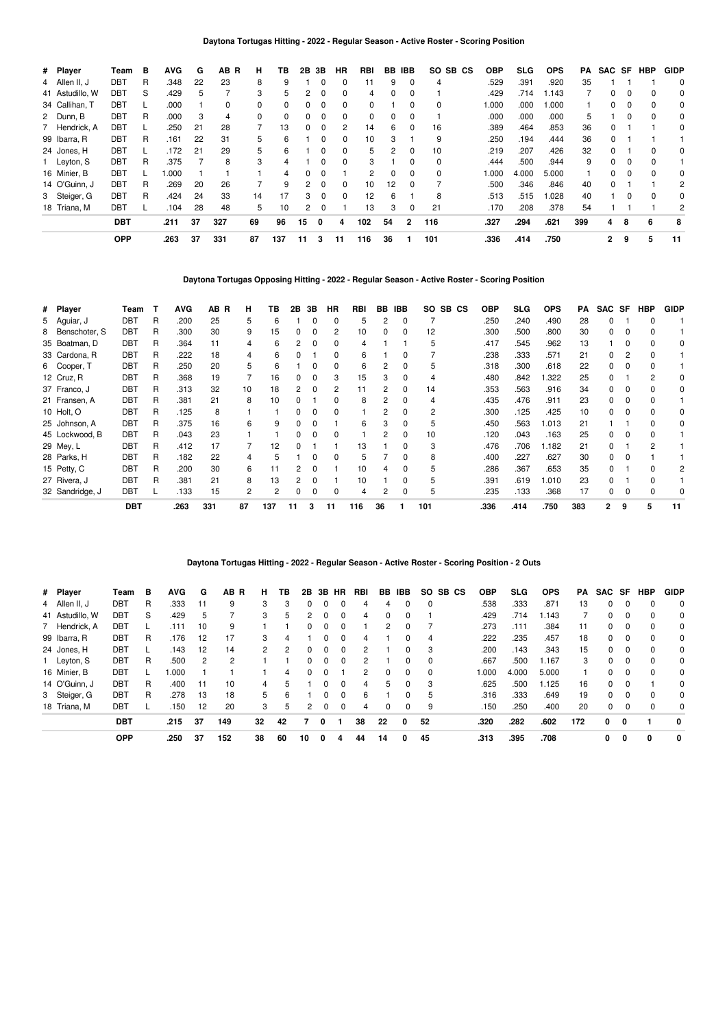# **Daytona Tortugas Hitting - 2022 - Regular Season - Active Roster - Scoring Position**

| # Player        | Team       | в | <b>AVG</b> | G  | AB R     | н. | TВ       | 2В     | 3В       | НR       | RBI      | BВ | <b>IBB</b>     | SO.<br>SB CS | <b>OBP</b> | <b>SLG</b> | <b>OPS</b> | PA  | SAC | SF           | <b>HBP</b>   | <b>GIDP</b> |
|-----------------|------------|---|------------|----|----------|----|----------|--------|----------|----------|----------|----|----------------|--------------|------------|------------|------------|-----|-----|--------------|--------------|-------------|
| 4 Allen II, J   | DBT        | R | .348       | 22 | 23       | 8  | 9        |        | $\Omega$ | $\Omega$ | 11       | 9  | $\Omega$       | 4            | .529       | .391       | .920       | 35  |     |              |              | 0           |
| 41 Astudillo, W | DBT        | S | .429       | 5  |          | 3  | 5        | 2      | $\Omega$ | 0        | 4        | 0  | 0              |              | .429       | .714       | 1.143      |     | 0   | 0            |              | 0           |
| 34 Callihan, T  | <b>DBT</b> |   | .000       |    | $\Omega$ |    | $\Omega$ | 0      | $\Omega$ | $\Omega$ | $\Omega$ |    | <sup>0</sup>   | 0            | 1.000      | .000       | 1.000      |     |     | <sup>0</sup> |              | 0           |
| 2 Dunn, B       | <b>DBT</b> | R | .000       | 3  | 4        | 0  | 0        | 0      | 0        | 0        | 0        | 0  | 0              |              | .000       | .000       | .000       | 5   |     | 0            | 0            | 0           |
| 7 Hendrick, A   | <b>DBT</b> |   | .250       | 21 | 28       |    | 13       | 0      | $\Omega$ | 2        | 14       | 6  | $\Omega$       | 16           | .389       | .464       | .853       | 36  | 0   |              |              | 0           |
| 99 Ibarra, R    | <b>DBT</b> | R | .161       | 22 | 31       | 5  | 6        |        | $\Omega$ | 0        | 10       |    |                | 9            | .250       | .194       | .444       | 36  | 0   |              |              |             |
| 24 Jones, H     | <b>DBT</b> |   | .172       | 21 | 29       | 5  | 6        |        | $\Omega$ | 0        | 5        | 2  | 0              | 10           | .219       | .207       | .426       | 32  | 0   |              |              |             |
| 1 Leyton, S     | DBT        | R | .375       |    | 8        | 3  | 4        |        | $\Omega$ | $\Omega$ | 3        |    | 0              | 0            | .444       | .500       | .944       | 9   | 0   | 0            |              |             |
| 16 Minier, B    | <b>DBT</b> |   | .000       |    |          |    | 4        | 0      | $\Omega$ |          | 2        |    | $\Omega$       | 0            | 1.000      | 4.000      | 5.000      |     |     | <sup>0</sup> |              | 0           |
| 14 O'Guinn, J   | <b>DBT</b> | R | .269       | 20 | 26       |    | 9        | $^{2}$ | 0        | 0        | 10       | 12 | 0              |              | .500       | .346       | .846       | 40  | 0   |              |              | 2           |
| 3 Steiger, G    | DBT        | R | .424       | 24 | 33       | 14 | 17       | 3      | $\Omega$ | $\Omega$ | 12       | 6  |                | 8            | .513       | .515       | 1.028      | 40  |     | $\Omega$     | <sup>0</sup> | 0           |
| 18 Triana, M    | <b>DBT</b> |   | .104       | 28 | 48       | 5  | 10       | 2      | 0        |          | 13       | 3  | $\Omega$       | 21           | .170       | .208       | .378       | 54  |     |              |              | 2           |
|                 | <b>DBT</b> |   | .211       | 37 | 327      | 69 | 96       | 15     | 0        | 4        | 102      | 54 | $\overline{2}$ | 116          | .327       | .294       | .621       | 399 | 4   | 8            | 6            | 8           |
|                 | <b>OPP</b> |   | .263       | 37 | 331      | 87 | 137      | 11     | 3        | 11       | 116      | 36 |                | 101          | .336       | .414       | .750       |     | 2   | 9            | 5            | 11          |

**Daytona Tortugas Opposing Hitting - 2022 - Regular Season - Active Roster - Scoring Position**

| # Player        | Team       | т | <b>AVG</b> | AB R | н  | ΤВ  | 2B | 3В       | <b>HR</b> | <b>RBI</b> | BB | <b>IBB</b> | SO. | SB CS | <b>OBP</b> | <b>SLG</b> | <b>OPS</b> | PА  | <b>SAC</b>   | SF | <b>HBP</b> | <b>GIDP</b> |
|-----------------|------------|---|------------|------|----|-----|----|----------|-----------|------------|----|------------|-----|-------|------------|------------|------------|-----|--------------|----|------------|-------------|
| 5 Aguiar, J     | DBT        | R | .200       | 25   | 5  | 6   |    | $\Omega$ | 0         | 5          | 2  | 0          |     |       | .250       | .240       | .490       | 28  | 0            |    | ი          |             |
| 8 Benschoter, S | DBT        | R | .300       | 30   | 9  | 15  | 0  | 0        | 2         | 10         | 0  | 0          | 12  |       | .300       | .500       | .800       | 30  | 0            |    |            |             |
| 35 Boatman, D   | DBT        | R | .364       | 11   | 4  | 6   |    |          | 0         | 4          |    |            | 5   |       | .417       | .545       | .962       | 13  |              |    |            |             |
| 33 Cardona, R   | DBT        | R | .222       | 18   | 4  | 6   |    |          | 0         | 6          |    | 0          |     |       | .238       | .333       | .571       | 21  | 0            |    |            |             |
| 6 Cooper, T     | DBT        | R | .250       | 20   | 5  | հ   |    |          | 0         | 6          | 2  | 0          | 5   |       | .318       | .300       | .618       | 22  | 0            |    |            |             |
| 12 Cruz, R      | <b>DBT</b> | R | .368       | 19   |    | 16  |    |          | 3         | 15         | 3  | 0          | 4   |       | .480       | .842       | .322       | 25  | 0            |    | 2          |             |
| 37 Franco, J    | <b>DBT</b> | R | .313       | 32   | 10 | 18  |    |          | 2         |            | 2  | 0          | 14  |       | .353       | .563       | .916       | 34  | <sup>0</sup> |    |            |             |
| 21 Fransen, A   | DBT        | R | .381       | 21   | 8  | 10  |    |          | 0         | 8          | 2  | 0          | 4   |       | .435       | .476       | .911       | 23  | 0            |    |            |             |
| 10 Holt, O      | DBT        | R | .125       | 8    |    |     |    |          | 0         |            | 2  | 0          | 2   |       | .300       | .125       | .425       | 10  | 0            |    |            |             |
| 25 Johnson, A   | DBT        | R | .375       | 16   | 6  |     |    |          |           | 6          | 3  | 0          | 5   |       | .450       | .563       | 1.013      | 21  |              |    |            |             |
| 45 Lockwood, B  | DBT        | R | .043       | 23   |    |     |    |          | $\Omega$  |            |    | 0          | 10  |       | .120       | .043       | .163       | 25  | 0            |    |            |             |
| 29 Mey, L       | DBT        | R | .412       | 17   |    | 12  |    |          |           | 13         |    | 0          | 3   |       | .476       | .706       | 1.182      | 21  | 0            |    |            |             |
| 28 Parks, H     | <b>DBT</b> | R | .182       | 22   | 4  |     |    |          | ŋ         | 5          |    | 0          | 8   |       | .400       | .227       | .627       | 30  | 0            |    |            |             |
| 15 Petty, C     | DBT        | R | .200       | 30   | 6  |     |    |          |           | 10         |    | 0          | 5   |       | .286       | .367       | .653       | 35  | 0            |    |            |             |
| 27 Rivera, J    | DBT        | R | .381       | 21   | 8  | 13  | 2  | 0        |           | 10         |    | 0          | 5   |       | .391       | .619       | 010. ا     | 23  | 0            |    |            |             |
| 32 Sandridge, J | DBT        |   | .133       | 15   | 2  | 2   | 0  | 0        | 0         | 4          | 2  | 0          | 5   |       | .235       | .133       | .368       | 17  | 0            |    |            |             |
|                 | <b>DBT</b> |   | .263       | 331  | 87 | 137 | 11 | з        | 11        | 116        | 36 |            | 101 |       | .336       | .414       | .750       | 383 | 2            | 9  | 5          | 11          |

# **Daytona Tortugas Hitting - 2022 - Regular Season - Active Roster - Scoring Position - 2 Outs**

| # Player        | Team       | в | <b>AVG</b> | G   | AB R | н. | ΤВ | 2В       |   | 3B HR        | RBI | BB       | IBB      | SO.      | SB CS | <b>OBP</b> | <b>SLG</b> | <b>OPS</b> | PA  | SAC SF |          | HBP | <b>GIDP</b> |
|-----------------|------------|---|------------|-----|------|----|----|----------|---|--------------|-----|----------|----------|----------|-------|------------|------------|------------|-----|--------|----------|-----|-------------|
| 4 Allen II, J   | DBT        | R | .333       | 11  | 9    | 3  | 3  | 0        |   |              | 4   | 4        | 0        | $\Omega$ |       | .538       | .333       | .871       | 13  | 0      |          | 0   | 0           |
| 41 Astudillo, W | DBT        | S | .429       | 5.  |      | 3  | 5  | 2        |   |              | 4   | 0        | 0        |          |       | .429       | .714       | .143       |     |        |          | 0   | 0           |
| 7 Hendrick, A   | <b>DBT</b> |   | .111       | 10  | 9    |    |    | $\Omega$ |   |              |     | 2        |          |          |       | .273       | .111       | .384       | 11  | 0      |          | 0   | 0           |
| 99 Ibarra, R    | DBT        | R | .176       | 12  | 17   | 3  | 4  |          |   | $\Omega$     | 4   |          | $\Omega$ | 4        |       | .222       | .235       | .457       | 18  | 0      | 0        | 0   | $\Omega$    |
| 24 Jones, H     | <b>DBT</b> |   | .143       | 12  | 14   | 2  | 2  | $\Omega$ |   | <sup>0</sup> | 2   |          | 0        | 3        |       | .200       | .143       | .343       | 15  | 0      | 0        | 0   | 0           |
| 1 Leyton, S     | DBT        | R | .500       | 2   | 2    |    |    | $\Omega$ |   |              | 2   |          |          | 0        |       | .667       | .500       | 1.167      | 3   | 0      | 0        | 0   | 0           |
| 16 Minier, B    | <b>DBT</b> |   | 000.       |     |      |    | 4  | 0        |   |              | 2   | $\Omega$ | $\Omega$ | $\Omega$ |       | 000.1      | 4.000      | 5.000      |     | 0      |          | 0   | $\Omega$    |
| 14 O'Guinn, J   | DBT        | R | .400       | -11 | 10   | 4  | 5  |          |   | <sup>0</sup> | 4   | 5        | 0        | 3        |       | .625       | .500       | 1.125      | 16  | 0      | $\Omega$ |     | 0           |
| 3 Steiger, G    | DBT        | R | .278       | 13  | 18   | 5. | 6  |          |   | <sup>0</sup> | 6   |          |          | 5        |       | .316       | .333       | .649       | 19  | 0      |          | 0   | 0           |
| 18 Triana, M    | <b>DBT</b> |   | .150       | 12  | 20   | 3  | 5  | 2        |   |              | 4   | 0        |          | 9        |       | .150       | .250       | .400       | 20  | 0      |          |     | $\Omega$    |
|                 | <b>DBT</b> |   | .215       | 37  | 149  | 32 | 42 |          | 0 |              | 38  | 22       | 0        | 52       |       | .320       | .282       | .602       | 172 | 0      | 0        |     | 0           |
|                 | <b>OPP</b> |   | .250       | 37  | 152  | 38 | 60 | 10       | 0 | 4            | 44  | 14       | 0        | 45       |       | .313       | .395       | .708       |     | 0      | 0        | 0   | 0           |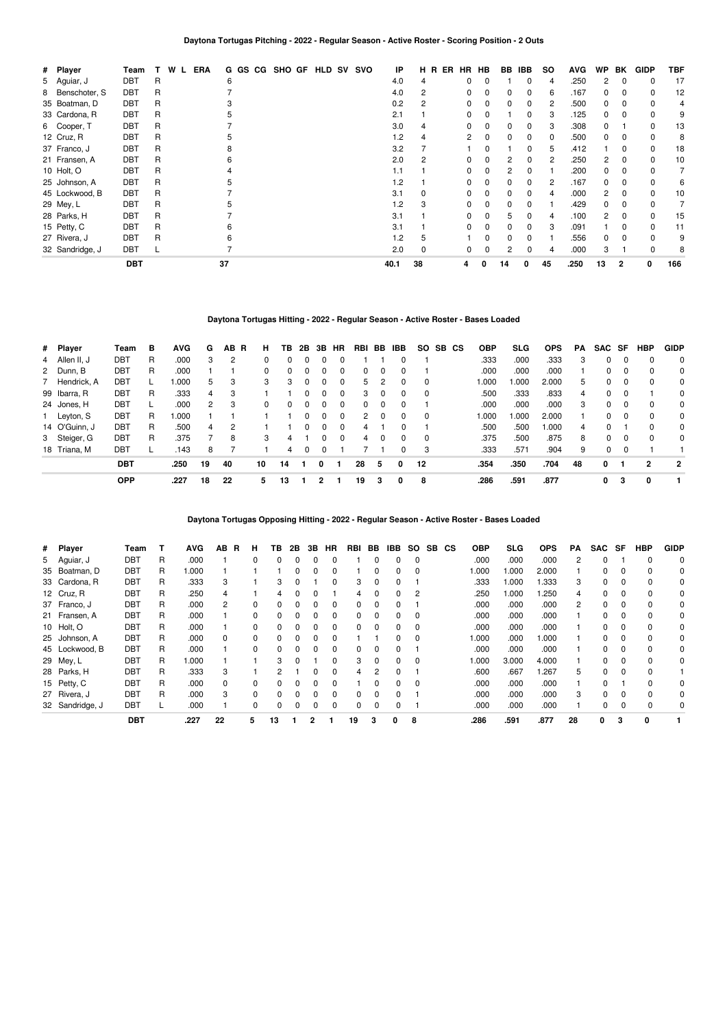| # Player    |                 | Team       |   | W<br>L | <b>ERA</b> |    |  | G GS CG SHO GF |  | <b>HLD SV</b> | svo | IP   |    | H R ER | HR | HB       | BB. | IBB | <b>SO</b> | <b>AVG</b> | <b>WP</b>      | BK             | <b>GIDP</b> | <b>TBF</b> |
|-------------|-----------------|------------|---|--------|------------|----|--|----------------|--|---------------|-----|------|----|--------|----|----------|-----|-----|-----------|------------|----------------|----------------|-------------|------------|
|             | 5 Aguiar, J     | DBT        | R |        |            | 6  |  |                |  |               |     | 4.0  | 4  |        | 0  | $\Omega$ |     | 0   | 4         | .250       | 2              | 0              | 0           | 17         |
|             | 8 Benschoter, S | <b>DBT</b> | R |        |            |    |  |                |  |               |     | 4.0  | 2  |        |    |          | 0   | 0   | 6         | .167       | <sup>0</sup>   | $\Omega$       |             | 12         |
|             | 35 Boatman, D   | DBT        | R |        |            |    |  |                |  |               |     | 0.2  | 2  |        |    | 0        | 0   | 0   | 2         | .500       | 0              | $\Omega$       |             | 4          |
|             | 33 Cardona, R   | <b>DBT</b> | R |        |            |    |  |                |  |               |     | 2.1  |    |        |    | 0        |     | 0   | 3         | .125       | <sup>0</sup>   | 0              |             |            |
|             | 6 Cooper, T     | <b>DBT</b> | R |        |            |    |  |                |  |               |     | 3.0  | 4  |        |    | 0        | 0   | 0   | 3         | .308       | <sup>0</sup>   |                |             | 13         |
| 12 Cruz, R  |                 | <b>DBT</b> | R |        |            |    |  |                |  |               |     | 1.2  | 4  |        |    | $\Omega$ |     | 0   | 0         | .500       |                | $\Omega$       |             | 8          |
|             | 37 Franco, J    | DBT        | R |        |            |    |  |                |  |               |     | 3.2  |    |        |    | 0        |     | 0   | 5         | .412       |                | 0              |             | 18         |
|             | 21 Fransen, A   | <b>DBT</b> | R |        |            |    |  |                |  |               |     | 2.0  | 2  |        | 0  | 0        | 2   | 0   | 2         | .250       | $\overline{2}$ | $\Omega$       |             | 10         |
| 10 Holt, O  |                 | <b>DBT</b> | R |        |            |    |  |                |  |               |     | 1.1  |    |        | 0  | 0        | 2   | 0   |           | .200       |                | $\Omega$       |             |            |
|             | 25 Johnson, A   | <b>DBT</b> | R |        |            |    |  |                |  |               |     | 1.2  |    |        | 0  | 0        |     | 0   | 2         | .167       | 0              | $\Omega$       |             | ь          |
|             | 45 Lockwood, B  | <b>DBT</b> | R |        |            |    |  |                |  |               |     | 3.1  |    |        |    | 0        | 0   | 0   | 4         | .000       |                |                |             | 10         |
| 29 Mey, L   |                 | <b>DBT</b> | R |        |            |    |  |                |  |               |     | 1.2  |    |        |    | 0        |     | 0   |           | .429       |                | 0              |             |            |
|             | 28 Parks, H     | <b>DBT</b> | R |        |            |    |  |                |  |               |     | 3.1  |    |        | 0  | 0        | 5.  | 0   | 4         | .100       | 2              |                |             | 15         |
| 15 Petty, C |                 | <b>DBT</b> | R |        |            |    |  |                |  |               |     | 3.1  |    |        | ŋ  |          |     | 0   | 3         | .091       |                |                |             | 11         |
|             | 27 Rivera, J    | <b>DBT</b> | R |        |            |    |  |                |  |               |     | 1.2  | h  |        |    | 0        |     | 0   |           | .556       |                | 0              |             | 9          |
|             | 32 Sandridge, J | DBT        |   |        |            |    |  |                |  |               |     | 2.0  | 0  |        | 0  | 0        | 2   | 0   | 4         | .000       | 3              |                |             |            |
|             |                 | <b>DBT</b> |   |        |            | 37 |  |                |  |               |     | 40.1 | 38 |        | 4  |          | 14  | 0   | 45        | .250       | 13             | $\overline{2}$ | 0           | 166        |

# **Daytona Tortugas Hitting - 2022 - Regular Season - Active Roster - Bases Loaded**

| # Player      | Team       | в  | <b>AVG</b> | G  | AB R | н. | ΤВ | 2B       | 3B | HR       | RBI BB   |          | IBB          | SO.      | SB CS | <b>OBP</b> | SLG    | <b>OPS</b> | PA | SAC SF       |          | <b>HBP</b> | <b>GIDP</b> |
|---------------|------------|----|------------|----|------|----|----|----------|----|----------|----------|----------|--------------|----------|-------|------------|--------|------------|----|--------------|----------|------------|-------------|
| 4 Allen II, J | DBT        | R  | .000       | 3  | 2    | 0  | 0  |          |    |          |          |          |              |          |       | .333       | .000   | .333       | 3  | $\Omega$     | $\Omega$ | $\Omega$   | $\Omega$    |
| 2 Dunn, B     | DBT        | R  | .000       |    |      | 0  | 0  | 0        | 0  | 0        | 0        | 0        |              |          |       | .000       | .000   | .000       |    | 0            |          | 0          | $\Omega$    |
| 7 Hendrick, A | DBT        |    | 1.000      | 5  | 3    | 3  | 3  | $\Omega$ | 0  | $\Omega$ | 5.       |          |              | $\Omega$ |       | 1.000      | 000.   | 2.000      | 5. | $\Omega$     | 0        | $\Omega$   | $\Omega$    |
| 99 Ibarra, R  | DBT        | R  | .333       | 4  | 3    |    |    | 0        | 0  | 0        | 3        | 0        |              | $\Omega$ |       | .500       | .333   | .833       | 4  | $\Omega$     | $\Omega$ |            | $\Omega$    |
| 24 Jones, H   | DBT        |    | .000       | 2  | 3    | 0  | 0  | $\Omega$ | 0  | $\Omega$ | $\Omega$ | $\Omega$ |              |          |       | .000       | .000   | .000       | 3  | <sup>o</sup> | $\Omega$ | $\Omega$   | $\Omega$    |
| Leyton, S     | DBT        | R. | .000       |    |      |    |    | 0        | 0  | $\Omega$ | 2        | $\Omega$ |              | $\Omega$ |       | 000.1      | 000. ا | 2.000      |    |              | $\Omega$ | $\Omega$   | $\Omega$    |
| 14 O'Guinn, J | DBT        | R. | .500       | 4  | 2    |    |    | 0        | 0  | 0        | 4        |          |              |          |       | .500       | .500   | 000.1      | 4  | $\Omega$     |          | $\Omega$   | $\Omega$    |
| 3 Steiger, G  | <b>DBT</b> | R. | .375       |    | 8    | 3  | 4  |          | 0  | $\Omega$ | 4        | $\Omega$ | <sup>0</sup> | $\Omega$ |       | .375       | .500   | .875       | 8  | $\Omega$     | $\Omega$ | $\Omega$   | $\Omega$    |
| 18 Triana, M  | DBT        |    | .143       | 8  |      |    | 4  | 0        | 0  |          |          |          |              | 3        |       | .333       | .571   | .904       | 9  | $\Omega$     | $\Omega$ |            |             |
|               | <b>DBT</b> |    | .250       | 19 | 40   | 10 | 14 |          | 0  |          | 28       | 5        | 0            | 12       |       | .354       | .350   | .704       | 48 | 0            |          | 2          | -2          |
|               | <b>OPP</b> |    | .227       | 18 | 22   | 5. | 13 |          |    |          | 19       | з        | 0            | 8        |       | .286       | .591   | .877       |    | 0            | 3        | 0          |             |

**Daytona Tortugas Opposing Hitting - 2022 - Regular Season - Active Roster - Bases Loaded**

| # Player        | Team       |   | <b>AVG</b> | AВ<br>R | н        | ΤВ       | 2Β           | 3В           | HR.      | RBI | BB       | IBB | <b>SO</b> | SB. | <b>CS</b> | <b>OBP</b> | <b>SLG</b> | <b>OPS</b> | РA | <b>SAC</b> | SF           | <b>HBP</b> | <b>GIDP</b> |
|-----------------|------------|---|------------|---------|----------|----------|--------------|--------------|----------|-----|----------|-----|-----------|-----|-----------|------------|------------|------------|----|------------|--------------|------------|-------------|
| 5 Aguiar, J     | DBT        | R | .000       |         | $\Omega$ | 0        |              | 0            | 0        |     |          |     |           |     |           | .000       | .000       | .000       | 2  | 0          |              | $\Omega$   | 0           |
| 35 Boatman, D   | <b>DBT</b> | R | 1.000      |         |          |          |              | 0            | 0        |     | 0        | 0   | 0         |     |           | 1.000      | 1.000      | 2.000      |    | 0          | 0            | $\Omega$   | 0           |
| 33 Cardona, R   | DBT        | R | .333       | 3       |          | 3        | <sup>0</sup> |              | 0        | 3   | 0        | 0   |           |     |           | .333       | 1.000      | 1.333      | 3  | 0          | $\Omega$     | $\Omega$   | 0           |
| 12 Cruz, R      | DBT        | R | .250       | 4       |          |          |              |              |          | 4   |          |     |           |     |           | .250       | 1.000      | .250       | 4  | 0          |              | $\Omega$   | 0           |
| 37 Franco, J    | DBT        | R | .000       |         | 0        | $\Omega$ |              |              | 0        | 0   | 0        | 0   |           |     |           | .000       | .000       | .000       | 2  | 0          |              | $\Omega$   |             |
| 21 Fransen, A   | DBT        | R | .000       |         | $\Omega$ | 0        | 0            | <sup>0</sup> | 0        | 0   | $\Omega$ | 0   | 0         |     |           | .000       | .000       | .000       |    | 0          | $\Omega$     | $\Omega$   | 0           |
| 10 Holt, O      | <b>DBT</b> | R | .000       |         | 0        | 0        |              |              | 0        | 0   | $\Omega$ | n   | $\Omega$  |     |           | .000       | .000       | .000       |    | 0          | $\Omega$     | $\Omega$   | 0           |
| 25 Johnson, A   | DBT        | R | .000       |         | $\Omega$ | 0        |              |              | 0        |     |          |     |           |     |           | 1.000      | .000       | .000       |    | 0          |              | $\Omega$   | 0           |
| 45 Lockwood, B  | <b>DBT</b> | R | .000       |         | $\Omega$ | $\Omega$ |              | $^{(1)}$     | 0        | 0   | $\Omega$ | 0   |           |     |           | .000       | .000       | .000       |    | 0          | 0            | $\Omega$   | 0           |
| 29 Mey, L       | <b>DBT</b> | R | 000.1      |         |          | 3        | n            |              | 0        | 3   | $\Omega$ | 0   | $\Omega$  |     |           | 1.000      | 3.000      | 4.000      |    | 0          | $\Omega$     | $\Omega$   | 0           |
| 28 Parks, H     | DBT        | R | .333       | 3       |          | 2        |              |              | 0        | 4   |          |     |           |     |           | .600       | .667       | .267       | 5  | 0          |              | $\Omega$   |             |
| 15 Petty, C     | DBT        | R | .000       | 0       | 0        | $\Omega$ |              |              | 0        |     | 0        |     |           |     |           | .000       | .000       | .000       |    | 0          |              | $\Omega$   | 0           |
| 27 Rivera, J    | DBT        | R | .000       | 3       | $\Omega$ | $\Omega$ |              | <sup>0</sup> | $\Omega$ | 0   | 0        | 0   |           |     |           | .000       | .000       | .000       | 3  | 0          | <sup>0</sup> | $\Omega$   | 0           |
| 32 Sandridge, J | <b>DBT</b> |   | .000       |         | 0        | $\Omega$ |              |              | 0        | 0   | 0        | 0   |           |     |           | .000       | .000       | .000       |    | 0          |              | $\Omega$   | 0           |
|                 | <b>DBT</b> |   | .227       | 22      | 5        | 13       |              |              |          | 19  | 3        | 0   | 8         |     |           | .286       | .591       | .877       | 28 | 0          | 3            | 0          |             |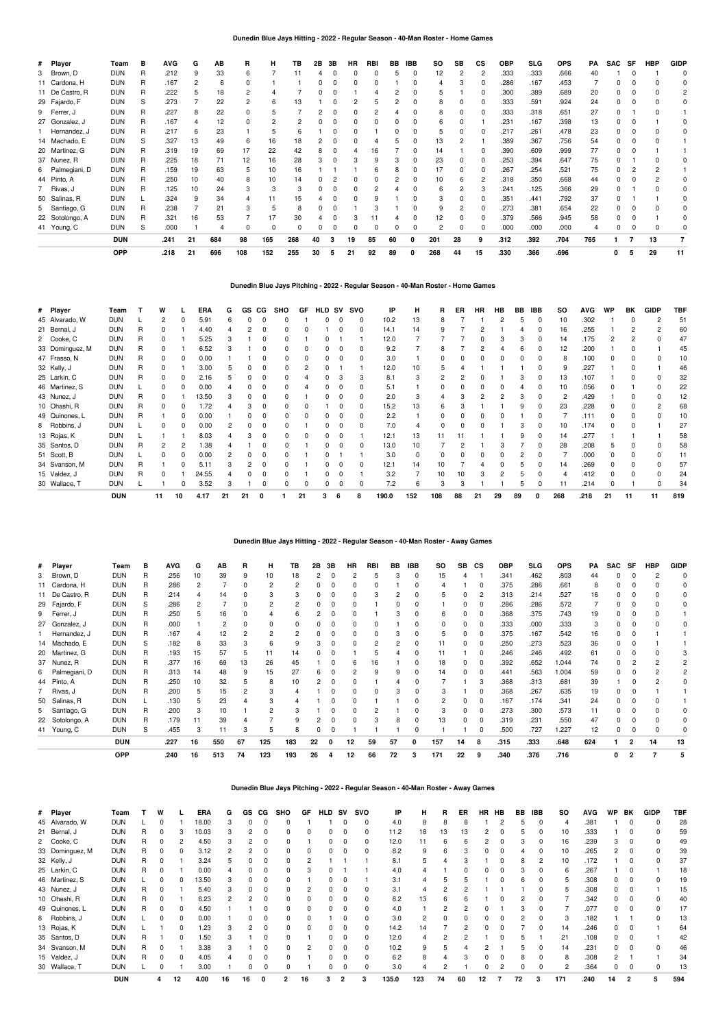## **Dunedin Blue Jays Hitting - 2022 - Regular Season - 40-Man Roster - Home Games**

| # Player        | Team       | в            | <b>AVG</b> | G              | AВ  | R   | н   | ΤВ       | 2B | 3В | HR | RBI | BB | <b>IBB</b> | so  | SB | <b>CS</b>    | OBP  | <b>SLG</b> | <b>OPS</b> | PA  | SAC | SF | HBP | <b>GIDP</b>    |
|-----------------|------------|--------------|------------|----------------|-----|-----|-----|----------|----|----|----|-----|----|------------|-----|----|--------------|------|------------|------------|-----|-----|----|-----|----------------|
| 3 Brown, D      | <b>DUN</b> | R            | .212       | q              | 33  | ĥ   |     |          |    |    |    |     |    |            | 12  |    |              | .333 | .333       | .666       | 40  |     |    |     |                |
| 11 Cardona, H   | <b>DUN</b> | R            | .167       | $\overline{2}$ | 6   | O   |     |          |    |    |    |     |    |            | 4   |    | 0            | .286 | .167       | .453       |     |     |    |     |                |
| 11 De Castro, R | <b>DUN</b> | R            | 222        | 5              | 18  | 2   |     |          |    |    |    |     |    |            |     |    | 0            | .300 | .389       | .689       | 20  |     |    |     |                |
| 29 Fajardo, F   | <b>DUN</b> | S            | .273       |                | 22  | 2   | ĥ   | 13       |    |    |    |     |    |            | 8   |    | 0            | .333 | .591       | .924       | 24  |     |    |     |                |
| 9 Ferrer, J     | <b>DUN</b> | R            | .227       | 8              | 22  |     |     |          |    |    |    |     |    |            | 8   |    | 0            | .333 | .318       | .651       | 27  |     |    |     |                |
| 27 Gonzalez, J  | <b>DUN</b> | R            | .167       |                | 12  | U   |     |          |    |    |    |     |    |            | հ   |    |              | .231 | .167       | .398       | 13  |     |    |     |                |
| Hernandez, J    | <b>DUN</b> | R            | .217       | 6              | 23  |     |     | 6        |    |    |    |     |    |            | 5   |    | $\Omega$     | .217 | .261       | .478       | 23  |     |    |     |                |
| 14 Machado, E   | <b>DUN</b> | S            | .327       | 13             | 49  | 6   | 16  | 18       |    |    |    |     |    |            | 13  |    |              | .389 | .367       | .756       | 54  |     |    |     |                |
| 20 Martinez, G  | <b>DUN</b> | R            | .319       | 19             | 69  | 17  | 22  | 42       |    |    |    | 16  |    | 0          | 14  |    | 0            | .390 | .609       | .999       | 77  |     |    |     |                |
| 37 Nunez, R     | <b>DUN</b> | R            | .225       | 18             | 71  | 12  | 16  | 28       |    |    |    |     |    |            | 23  |    | 0            | .253 | .394       | .647       | 75  |     |    |     |                |
| 6 Palmegiani, D | <b>DUN</b> | R            | .159       | 19             | 63  | 5   | 10  | 16       |    |    |    |     |    |            | 17  |    | 0            | .267 | .254       | .521       | 75  |     |    |     |                |
| 44 Pinto, A     | <b>DUN</b> | R            | .250       | 10             |     | 8   | 10  | 14       |    |    |    |     |    |            | 10  | 6  | $\mathbf{2}$ | .318 | .350       | .668       | 44  |     |    |     |                |
| 7 Rivas, J      | <b>DUN</b> | $\mathsf{R}$ | .125       | 10             | 24  | 3   | 3   | 3        |    |    |    |     |    |            | 6   |    | 3            | .241 | .125       | .366       | 29  |     |    |     |                |
| 50 Salinas, R   | <b>DUN</b> |              | .324       | 9              | 34  |     | 11  | 15       |    |    |    |     |    |            | 3   |    | 0            | .351 | .441       | .792       | 37  |     |    |     |                |
| 5 Santiago, G   | <b>DUN</b> | R            | .238       |                | 21  |     |     | 8        |    |    |    |     |    |            | 9   |    | 0            | .273 | .381       | .654       | 22  |     |    |     |                |
| 22 Sotolongo, A | <b>DUN</b> | R            | .321       | 16             | 53  |     |     | 30       |    |    |    |     |    |            | 12  |    | 0            | .379 | .566       | .945       | 58  |     |    |     |                |
| 41 Young, C     | <b>DUN</b> | S            | .000       |                |     |     |     | $\Omega$ |    |    |    |     |    |            |     |    | 0            | .000 | .000       | .000       | 4   |     |    |     |                |
|                 | <b>DUN</b> |              | .241       | 21             | 684 | 98  | 165 | 268      | 40 |    | 19 | 85  | 60 | 0          | 201 | 28 | 9            | .312 | .392       | .704       | 765 |     |    | 13  | $\overline{7}$ |
|                 | OPP        |              | .218       | 21             | 696 | 108 | 152 | 255      | 30 | 5  | 21 | 92  | 89 | 0          | 268 | 44 | 15           | .330 | .366       | .696       |     | 0   | 5  | 29  | 11             |

## **Dunedin Blue Jays Pitching - 2022 - Regular Season - 40-Man Roster - Home Games**

| # Player        | Team       |   | W  |    | ERA   | G  | GS | СG | <b>SHO</b> | GF | <b>HLD</b> | <b>SV</b> | svo | IP    | н        | R   | ER | <b>HR</b> | HB | BB | <b>IBB</b> | <b>SO</b>      | <b>AVG</b> | WP | BK | <b>GIDP</b> | <b>TBF</b> |
|-----------------|------------|---|----|----|-------|----|----|----|------------|----|------------|-----------|-----|-------|----------|-----|----|-----------|----|----|------------|----------------|------------|----|----|-------------|------------|
| 45 Alvarado, W  | <b>DUN</b> |   | 2  |    | 5.91  | 6  |    |    |            |    |            |           | 0   | 10.2  | 13       | 8   |    |           |    |    | 0          | 10             | .302       |    |    |             | 51         |
| 21 Bernal, J    | <b>DUN</b> | R | 0  |    | 4.40  |    |    |    |            |    |            |           | 0   | 14.1  | 14       |     |    |           |    |    |            | 16             | .255       |    |    |             | 60         |
| 2 Cooke, C      | <b>DUN</b> | R |    |    | 5.25  |    |    |    |            |    |            |           |     | 12.0  |          |     |    |           |    |    |            | 14             | .175       |    |    |             | 47         |
| 33 Dominguez, M | <b>DUN</b> |   |    |    | 6.52  |    |    |    |            |    |            |           |     | 9.2   |          | 8   |    |           |    |    |            | 12             | .200       |    |    |             | 45         |
| 47 Frasso, N    | <b>DUN</b> | R | 0  |    | 0.00  |    |    |    |            |    |            |           |     | 3.0   |          |     |    |           |    |    |            | 8              | .100       |    |    |             | 10         |
| 32 Kelly, J     | <b>DUN</b> | R | 0  |    | 3.00  |    |    |    |            |    |            |           |     | 12.0  | 10       |     |    |           |    |    |            | 9              | .227       |    |    |             | 46         |
| 25 Larkin, C    | <b>DUN</b> | R | 0  |    | 2.16  | h  |    | 0  |            |    |            |           | з   | 8.1   | 3        |     |    |           |    |    |            | 13             | .107       |    |    |             | 32         |
| 46 Martinez, S  | <b>DUN</b> |   | 0  |    | 0.00  |    |    |    |            |    |            |           | O   | 5.1   |          |     |    |           |    |    |            | 10             | .056       |    |    |             | 22         |
| 43 Nunez, J     | <b>DUN</b> | R | 0  |    | 3.50  |    |    |    |            |    |            |           |     | 2.0   |          |     |    |           |    |    |            | $\overline{c}$ | .429       |    |    |             | 12         |
| 10 Ohashi, R    | <b>DUN</b> |   |    |    | .72   |    |    |    |            |    |            |           |     | 15.2  | 13       | ĥ   |    |           |    |    |            | 23             | .228       |    |    |             | 68         |
| 49 Quinones, L  | <b>DUN</b> |   |    |    | 0.00  |    |    |    |            |    |            |           |     | 2.2   |          |     |    |           |    |    |            |                | .111       |    |    |             | 10         |
| 8 Robbins, J    | <b>DUN</b> |   | n  |    | 0.00  |    |    |    |            |    |            |           |     | 7.0   |          |     |    |           |    |    |            | 10             | .174       |    |    |             | 27         |
| 13 Rojas, K     | <b>DUN</b> |   |    |    | 8.03  |    |    | ŋ  |            |    |            |           |     | 12.1  | 13       | 11  |    |           |    |    |            | 14             | .277       |    |    |             | 58         |
| 35 Santos, D    | <b>DUN</b> | R | 2  |    | 1.38  |    |    |    |            |    |            |           | 0   | 13.0  | 10       |     |    |           |    |    |            | 28             | .208       | b. |    |             | 58         |
| 51 Scott, B     | <b>DUN</b> |   |    |    | 0.00  |    |    |    |            |    |            |           |     | 3.0   | $\Omega$ |     |    |           |    |    |            |                | .000       |    |    |             |            |
| 34 Svanson, M   | <b>DUN</b> |   |    |    | 5.11  |    |    |    |            |    |            |           |     | 12.1  | 14       | 10  |    |           |    |    |            | 14             | .269       |    |    |             | 57         |
| 15 Valdez, J    | <b>DUN</b> |   |    |    | 24.55 |    |    |    |            |    |            |           |     | 3.2   |          | 10  | 10 |           |    |    |            |                | .412       |    |    |             | 24         |
| 30 Wallace, T   | <b>DUN</b> |   |    |    | 3.52  | 3  |    |    |            |    |            |           |     | 7.2   | 6        | 3   |    |           |    |    |            |                | .214       |    |    |             | 34         |
|                 | <b>DUN</b> |   | 11 | 10 | 4.17  | 21 | 21 |    |            | 21 |            | 6         |     | 190.0 | 152      | 108 | 88 | 21        | 29 | 89 | ŋ          | 268            | .218       | 21 | 11 | 11          | 819        |

# **Dunedin Blue Jays Hitting - 2022 - Regular Season - 40-Man Roster - Away Games**

| # Player        | Team       | в | <b>AVG</b> | G            | AВ  | R  | н.             | тв             | 2Β | 3В       | HR       | <b>RBI</b> | BB | IBB | <b>SO</b> | SB | СS             | OBP  | SLG  | <b>OPS</b> | PA  | SAC          | SF | HBP            | <b>GIDP</b> |
|-----------------|------------|---|------------|--------------|-----|----|----------------|----------------|----|----------|----------|------------|----|-----|-----------|----|----------------|------|------|------------|-----|--------------|----|----------------|-------------|
| 3 Brown, D      | <b>DUN</b> | R | .256       | 10           | 39  | 9  | 10             | 18             |    | $\Omega$ |          |            |    |     | 15        |    |                | .341 | .462 | .803       | 44  |              |    |                |             |
| 11 Cardona, H   | <b>DUN</b> | R | .286       | $\mathbf{2}$ |     | 0  | $\overline{2}$ | $\overline{c}$ |    | $\Omega$ | $\Omega$ | ŋ          |    |     |           |    | 0              | .375 | .286 | .661       | 8   |              |    |                |             |
| 11 De Castro, R | <b>DUN</b> | R | .214       |              | 14  |    |                |                |    | $\Omega$ | $\Omega$ |            |    |     | 5         |    | $\overline{c}$ | .313 | .214 | .527       | 16  |              |    |                |             |
| 29 Fajardo, F   | <b>DUN</b> | S | .286       |              |     | 0  |                |                |    | 0        | n        |            |    |     |           | 0  | 0              | .286 | .286 | .572       |     |              |    |                |             |
| 9 Ferrer, J     | <b>DUN</b> | R | .250       | b            | 16  |    |                |                |    | 0        | $\Omega$ |            | 3  |     | 6         | 0  | 0              | .368 | .375 | .743       | 19  |              |    |                |             |
| 27 Gonzalez, J  | <b>DUN</b> | R | .000       |              |     |    |                |                |    |          |          |            |    |     |           |    | 0              | .333 | .000 | .333       | 3   |              |    |                |             |
| Hernandez, J    | <b>DUN</b> | R | .167       | 4            | 12  |    |                |                |    | $\Omega$ | n        |            | з  |     | 5         |    | 0              | .375 | .167 | .542       | 16  |              |    |                |             |
| 14 Machado, E   | <b>DUN</b> | S | .182       | 8            | 33  |    |                | 9              |    | $\Omega$ | n        | 2          |    |     | 11        |    | 0              | .250 | .273 | .523       | 36  |              |    |                |             |
| 20 Martinez, G  | <b>DUN</b> | R | .193       | 15           | 57  | 5. | 11             | 14             |    | $\Omega$ |          | 5          |    |     | 11        |    | $\Omega$       | .246 | .246 | .492       | 61  |              |    |                |             |
| 37 Nunez, R     | <b>DUN</b> | R | .377       | 16           | 69  | 13 | 26             | 45             |    |          | ĥ        | 16         |    |     | 18        | 0  | 0              | .392 | .652 | 1.044      | 74  |              |    |                |             |
| 6 Palmegiani, D | <b>DUN</b> | R | .313       | 14           | 48  | q  | 15             | 27             |    | $\Omega$ |          | q          | q  |     | 14        |    | $\Omega$       | .441 | .563 | 1.004      | 59  |              |    |                |             |
| 44 Pinto, A     | <b>DUN</b> | R | .250       | 10           | 32  | 5  | 8              | 10             |    | $\Omega$ | n        |            |    |     |           |    | 3              | .368 | .313 | .681       | 39  |              |    | $\overline{c}$ |             |
| 7 Rivas, J      | <b>DUN</b> | R | .200       | 5            | 15  |    |                |                |    | n        | n        |            |    |     |           |    | $\Omega$       | .368 | .267 | .635       | 19  |              |    |                |             |
| 50 Salinas, R   | <b>DUN</b> |   | .130       | 5            | 23  |    |                |                |    | $\Omega$ | n        |            |    |     |           | 0  | 0              | .167 | .174 | .341       | 24  |              |    |                |             |
| 5 Santiago, G   | <b>DUN</b> | R | .200       | 3            | 10  |    |                |                |    | $\Omega$ |          |            |    |     |           |    | 0              | .273 | .300 | .573       | 11  |              |    |                |             |
| 22 Sotolongo, A | <b>DUN</b> | R | .179       |              | 39  |    |                |                |    | $\Omega$ |          |            | 8  |     | 13        |    | 0              | .319 | .231 | .550       | 47  |              |    |                |             |
| 41 Young, C     | <b>DUN</b> | S | .455       |              | 11  |    |                |                |    |          |          |            |    |     |           |    |                | .500 | .727 | 1.227      | 12  |              |    |                |             |
|                 | <b>DUN</b> |   | .227       | 16           | 550 | 67 | 125            | 183            | 22 |          | 12       | 59         | 57 | 0   | 157       | 14 | 8              | .315 | .333 | .648       | 624 |              |    | 14             | 13          |
|                 | <b>OPP</b> |   | .240       | 16           | 513 | 74 | 123            | 193            | 26 | 4        | 12       | 66         | 72 | 3   | 171       | 22 | 9              | .340 | .376 | .716       |     | $\mathbf{0}$ | 2  |                |             |

## **Dunedin Blue Jays Pitching - 2022 - Regular Season - 40-Man Roster - Away Games**

| # Player        | Team       |    | w |          | ERA   | G  | GS | CG | SHO          | GF | <b>HLD</b> | <b>SV</b>      | svo      | IP    | н   | R  | ER | <b>HR</b> | <b>HB</b> | BB | IBB | SO             | <b>AVG</b> | <b>WP</b> | BK             | <b>GIDP</b> | TBF |
|-----------------|------------|----|---|----------|-------|----|----|----|--------------|----|------------|----------------|----------|-------|-----|----|----|-----------|-----------|----|-----|----------------|------------|-----------|----------------|-------------|-----|
| 45 Alvarado, W  | <b>DUN</b> |    |   |          | 18.00 | 3  |    |    |              |    |            |                |          | 4.0   | 8   |    | 8  |           |           |    |     |                | .381       |           |                |             | 28  |
| 21 Bernal, J    | <b>DUN</b> | R  |   |          | 10.03 | 3  |    |    |              |    |            |                |          | 11.2  | 18  | 13 | 13 |           |           |    |     | 10             | .333       |           |                |             | 59  |
| 2 Cooke, C      | <b>DUN</b> | R  |   |          | 4.50  | з  |    |    |              |    |            |                |          | 12.0  | 11  |    | Բ  |           |           |    |     | 16             | .239       |           |                |             | 49  |
| 33 Dominguez, M | <b>DUN</b> | R  |   |          | 3.12  | 2  |    |    |              |    |            |                |          | 8.2   | 9   |    |    |           |           |    |     | 10             | .265       |           |                |             | 39  |
| 32 Kelly, J     | <b>DUN</b> | R  |   |          | 3.24  | 5. |    |    |              |    |            |                |          | 8.1   | 5   |    |    |           |           |    |     | 10             | .172       |           |                |             | 37  |
| 25 Larkin, C    | <b>DUN</b> | R  |   |          | 0.00  |    |    |    |              |    |            |                |          | 4.0   |     |    |    |           |           |    |     | 6              | .267       |           |                |             | 18  |
| 46 Martinez, S  | <b>DUN</b> |    |   |          | 13.50 | 3  |    |    |              |    |            |                |          | 3.1   | 4   |    |    |           |           |    |     | 5              | .308       | 0         |                |             | 19  |
| 43 Nunez, J     | <b>DUN</b> | R  |   |          | 5.40  | 3  |    |    |              |    |            |                |          | 3.1   | 4   |    |    |           |           |    |     |                | .308       | 0         |                |             | 15  |
| 10 Ohashi, R    | <b>DUN</b> | R. |   |          | 6.23  | 2  |    |    |              |    |            |                |          | 8.2   | 13  |    |    |           |           |    |     |                | .342       | 0         |                |             | 40  |
| 49 Quinones, L  | <b>DUN</b> | R  |   | 0        | 4.50  |    |    |    |              |    |            |                |          | 4.0   |     |    |    |           |           |    |     |                | .077       | 0         |                |             | 17  |
| 8 Robbins, J    | <b>DUN</b> |    |   |          | 0.00  |    |    |    |              |    |            |                |          | 3.0   | 2   |    |    |           |           |    |     |                | .182       |           |                |             | 13  |
| 13 Rojas, K     | <b>DUN</b> |    |   |          | .23   | 3  |    |    |              |    |            |                |          | 14.2  | 14  |    |    |           |           |    |     | 14             | .246       | $\Omega$  |                |             | 64  |
| 35 Santos, D    | <b>DUN</b> | R  |   | 0        | 1.50  | 3  |    |    |              |    |            |                |          | 12.0  |     |    |    |           |           |    |     | 21             | .108       | 0         |                |             | 42  |
| 34 Svanson, M   | <b>DUN</b> | R  |   |          | 3.38  | 3  |    |    |              |    |            |                |          | 10.2  | 9   |    |    |           |           |    |     | 14             | .231       | 0         |                |             | 46  |
| 15 Valdez, J    | <b>DUN</b> | R  |   | $\Omega$ | 4.05  |    |    |    |              |    |            |                | 0        | 6.2   | 8   |    |    |           |           | 8  |     | 8              | .308       |           |                |             | 34  |
| 30 Wallace, T   | <b>DUN</b> |    |   |          | 3.00  |    |    |    |              |    | 0          |                | $\Omega$ | 3.0   | 4   |    |    |           |           | 0  | 0   | $\overline{c}$ | .364       | 0         | 0              | 0           | 13  |
|                 | <b>DUN</b> |    | 4 | 12       | 4.00  | 16 | 16 | 0  | $\mathbf{2}$ | 16 | 3          | $\overline{2}$ | 3        | 135.0 | 123 | 74 | 60 | 12        |           | 72 | 3   | 171            | .240       | 14        | $\overline{2}$ |             | 594 |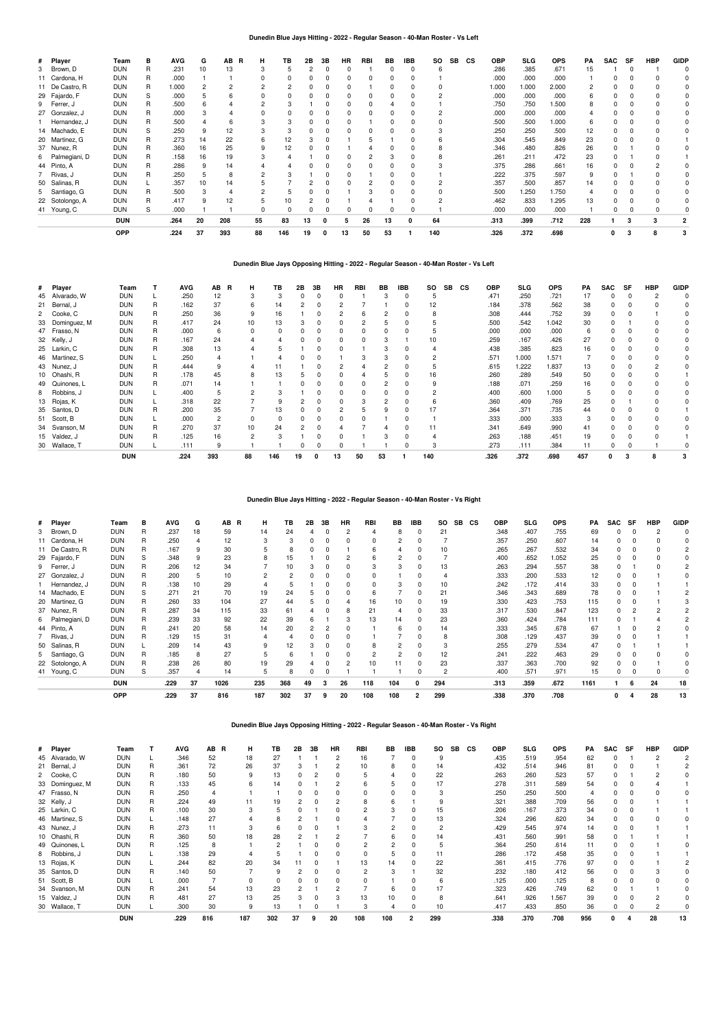## **Dunedin Blue Jays Hitting - 2022 - Regular Season - 40-Man Roster - Vs Left**

| # Player        | Team       | в | <b>AVG</b> | G  | AB<br>R | н  | TВ  | 2В | 3B | <b>HR</b> | RBI | BB | <b>IBB</b> | <b>SO</b> | <b>SB</b> | <b>CS</b> | <b>OBP</b> | <b>SLG</b> | <b>OPS</b> | PA  | <b>SAC</b> | SF | <b>HBP</b> | <b>GIDP</b> |
|-----------------|------------|---|------------|----|---------|----|-----|----|----|-----------|-----|----|------------|-----------|-----------|-----------|------------|------------|------------|-----|------------|----|------------|-------------|
| 3 Brown, D      | DUN        | R | .231       | 10 | 13      |    |     |    |    |           |     |    |            | n         |           |           | .286       | .385       | .671       | 15  |            |    |            |             |
| 11 Cardona, H   | DUN        | R | .000       |    |         |    |     |    |    |           |     |    |            |           |           |           | .000       | .000       | .000       |     |            |    |            |             |
| 11 De Castro, R | <b>DUN</b> | R | 1.000      |    |         |    |     |    |    |           |     |    |            |           |           |           | 1.000      | 1.000      | 2.000      |     |            |    |            |             |
| 29 Fajardo, F   | DUN        | S | .000       |    |         |    |     |    |    |           |     |    |            |           |           |           | .000       | .000       | .000       |     |            |    |            |             |
| 9 Ferrer, J     | DUN        | R | .500       |    |         |    |     |    |    |           |     |    |            |           |           |           | .750       | .750       | 1.500      |     |            |    |            |             |
| 27 Gonzalez, J  | <b>DUN</b> | R | .000       |    |         |    |     |    |    |           |     |    |            |           |           |           | .000       | .000       | .000       |     |            |    |            |             |
| 1 Hernandez, J  | DUN        | R | .500       |    |         |    |     |    |    |           |     |    |            |           |           |           | .500       | .500       | 1.000      |     |            |    |            |             |
| 14 Machado, E   | DUN        | S | .250       |    | 12      |    |     |    |    |           |     |    |            |           |           |           | .250       | .250       | .500       | 12  |            |    |            |             |
| 20 Martinez, G  | DUN        | R | .273       | 14 | 22      |    |     |    |    |           |     |    |            |           |           |           | .304       | .545       | .849       | 23  |            |    |            |             |
| 37 Nunez, R     | DUN        | R | .360       | 16 | 25      |    | 12  |    |    |           |     |    |            |           |           |           | .346       | .480       | .826       | 26  |            |    |            |             |
| 6 Palmegiani, D | DUN        | R | .158       | 16 | 19      |    |     |    |    |           |     |    |            |           |           |           | .261       | .211       | .472       | 23  |            |    |            |             |
| 44 Pinto, A     | DUN        | R | .286       |    | 14      |    |     |    |    |           |     |    |            |           |           |           | .375       | .286       | .661       | 16  |            |    |            |             |
| 7 Rivas, J      | <b>DUN</b> | B | .250       |    | 8       |    |     |    |    |           |     |    |            |           |           |           | .222       | .375       | .597       |     |            |    |            |             |
| 50 Salinas, R   | DUN        |   | .357       | 10 | 14      |    |     |    |    |           |     |    |            |           |           |           | .357       | .500       | .857       | 14  |            |    |            |             |
| 5 Santiago, G   | DUN        | R | .500       |    |         |    |     |    |    |           |     |    |            |           |           |           | .500       | 1.250      | 1.750      |     |            |    |            |             |
| 22 Sotolongo, A | DUN        | R | .417       |    | 12      |    |     |    |    |           |     |    |            |           |           |           | .462       | .833       | 1.295      | 13  |            |    |            |             |
| 41 Young, C     | DUN        | S | .000       |    |         |    |     |    |    |           |     |    |            |           |           |           | .000       | .000       | .000       |     |            |    |            |             |
|                 | <b>DUN</b> |   | .264       | 20 | 208     | 55 | 83  | 13 | 0  | 5         | 26  | 13 | 0          | 64        |           |           | .313       | .399       | .712       | 228 |            |    |            |             |
|                 | OPP        |   | .224       | 37 | 393     | 88 | 146 | 19 | 0  | 13        | 50  | 53 |            | 140       |           |           | .326       | .372       | .698       |     | 0          |    |            |             |

## **Dunedin Blue Jays Opposing Hitting - 2022 - Regular Season - 40-Man Roster - Vs Left**

| # Player        | Team       |   | AVG  | AB  | R<br>н.  | TB  | 2Β | 3В | HR | RBI | BB | <b>IBB</b> | <b>SO</b> | <b>SB</b> | <b>CS</b> | OBP  | SLG   | <b>OPS</b> | PA  | SAC | <b>SF</b> | <b>HBP</b> | <b>GIDP</b> |
|-----------------|------------|---|------|-----|----------|-----|----|----|----|-----|----|------------|-----------|-----------|-----------|------|-------|------------|-----|-----|-----------|------------|-------------|
| 45 Alvarado, W  | DUN        |   | .250 | 12  |          |     |    |    |    |     |    |            |           |           |           | .471 | .250  | .721       | 17  | 0   |           |            |             |
| 21 Bernal, J    | DUN        | R | .162 | 37  | 6        | 14  |    |    |    |     |    |            | 12        |           |           | .184 | .378  | .562       | 38  |     |           |            |             |
| 2 Cooke, C      | DUN        | R | .250 | 36  | 9        | 16  |    |    |    | ĥ   |    |            |           |           |           | .308 | .444  | .752       | 39  | 0   |           |            |             |
| 33 Dominguez, M | <b>DUN</b> | R | .417 | 24  | 10       | 13  |    |    |    |     |    |            |           |           |           | .500 | .542  | 1.042      | 30  | O   |           |            |             |
| 47 Frasso, N    | <b>DUN</b> | R | .000 | 6   | $\Omega$ | 0   |    |    |    |     |    |            |           |           |           | .000 | .000  | .000       | 6   | n   |           |            |             |
| 32 Kelly, J     | <b>DUN</b> | R | .167 | 24  |          |     |    |    |    |     |    |            | 10        |           |           | .259 | .167  | .426       | 27  |     |           |            |             |
| 25 Larkin, C    | DUN        | R | .308 | 13  |          |     |    |    |    |     |    |            |           |           |           | .438 | .385  | .823       | 16  | n   |           |            |             |
| 46 Martinez, S  | DUN        |   | .250 |     |          |     |    |    |    | 3   | з  |            |           |           |           | .571 | 1.000 | 1.571      |     | 0   |           |            |             |
| 43 Nunez, J     | <b>DUN</b> | R | .444 | 9   |          | 11  |    |    |    |     |    |            |           |           |           | .615 | 1.222 | 1.837      | 13  |     |           |            |             |
| 10 Ohashi, R    | DUN        | R | .178 | 45  | 8        | 13  |    |    |    |     |    |            | 16        |           |           | .260 | .289  | .549       | 50  | 0   |           |            |             |
| 49 Quinones, L  | DUN        | R | .071 | 14  |          |     |    |    |    |     |    |            |           |           |           | .188 | .071  | .259       | 16  | 0   |           |            |             |
| 8 Robbins, J    | DUN        |   | .400 | 5   |          |     |    |    |    |     |    |            |           |           |           | .400 | .600  | 1.000      |     |     |           |            |             |
| 13 Rojas, K     | DUN        |   | .318 | 22  |          | 9   |    |    |    | 3   |    |            |           |           |           | .360 | .409  | .769       | 25  | 0   |           |            |             |
| 35 Santos, D    | <b>DUN</b> | R | .200 | 35  |          | 13  |    |    |    |     |    |            | 17        |           |           | .364 | .371  | .735       | 44  |     |           |            |             |
| 51 Scott, B     | DUN        |   | .000 | 2   | $\Omega$ | 0   |    |    |    |     |    |            |           |           |           | .333 | .000  | .333       |     | n   |           |            |             |
| 34 Svanson, M   | <b>DUN</b> | R | .270 | 37  | 10       | 24  |    |    |    |     |    |            | 11        |           |           | .341 | .649  | .990       | 41  | n   |           |            |             |
| 15 Valdez, J    | <b>DUN</b> | R | .125 | 16  | 2        |     |    |    |    |     |    |            |           |           |           | .263 | .188  | .451       | 19  |     |           |            |             |
| 30 Wallace, T   | DUN        |   | .111 | 9   |          |     |    |    |    |     |    |            |           |           |           | .273 | .111  | .384       |     | 0   |           |            |             |
|                 | <b>DUN</b> |   | .224 | 393 | 88       | 146 | 19 | 0  | 13 | 50  | 53 |            | 140       |           |           | .326 | 372   | .698       | 457 | 0   | з         |            |             |

# **Dunedin Blue Jays Hitting - 2022 - Regular Season - 40-Man Roster - Vs Right**

| # Player        | Team       | в | AVG  | G  | AВ<br>R | н   | TB  | 2B | 3B | HR | <b>RBI</b> | BB                       | <b>IBB</b> | so  | SB | <b>CS</b> | <b>OBP</b> | <b>SLG</b> | <b>OPS</b> | PA   | <b>SAC</b> | SF | HBP | <b>GIDF</b> |
|-----------------|------------|---|------|----|---------|-----|-----|----|----|----|------------|--------------------------|------------|-----|----|-----------|------------|------------|------------|------|------------|----|-----|-------------|
| 3 Brown, D      | DUN        | R | .237 | 18 | 59      | 14  | 24  |    |    |    |            | 8                        | 0          | 21  |    |           | .348       | .407       | .755       | 69   |            |    |     |             |
| 11 Cardona, H   | DUN        | R | .250 |    | 12      | 3   | з   | O  |    |    | $\Omega$   | $\overline{\phantom{a}}$ |            |     |    |           | .357       | .250       | .607       | 14   |            |    |     |             |
| 11 De Castro, R | DUN        | R | .167 | 9  | 30      |     | 8   |    |    |    | 6          |                          | 0          | 10  |    |           | .265       | .267       | .532       | 34   |            |    |     |             |
| 29 Fajardo, F   | DUN        | S | .348 | 9  | 23      | 8   | 15  |    |    |    |            |                          |            |     |    |           | .400       | .652       | 1.052      | 25   |            |    |     |             |
| 9 Ferrer, J     | DUN        | R | .206 | 12 | 34      |     | 10  |    |    |    |            | з                        |            | 13  |    |           | .263       | .294       | .557       | 38   |            |    |     |             |
| 27 Gonzalez, J  | <b>DUN</b> | R | .200 | 5  | 10      |     |     |    |    |    |            |                          |            |     |    |           | .333       | .200       | .533       | 12   |            |    |     |             |
| Hernandez, J    | DUN        | R | .138 | 10 | 29      |     |     |    |    |    |            |                          |            | 10  |    |           | .242       | .172       | .414       | 33   |            |    |     |             |
| 14 Machado, E   | <b>DUN</b> | S | .271 | 21 | 70      | 19  | 24  |    |    |    | 6          |                          |            | 21  |    |           | .346       | .343       | .689       | 78   |            |    |     |             |
| 20 Martinez, G  | DUN        | R | .260 | 33 | 104     | 27  | 44  |    |    |    | 16         | 10                       |            | 19  |    |           | .330       | .423       | .753       | 115  |            |    |     |             |
| 37 Nunez, R     | DUN        | R | .287 | 34 | 115     | 33  | 61  |    |    |    | 21         |                          |            | 33  |    |           | .317       | .530       | .847       | 123  |            |    |     |             |
| 6 Palmegiani, D | DUN        | R | .239 | 33 | 92      | 22  | 39  | 6  |    |    | 13         | 14                       |            | 23  |    |           | .360       | .424       | .784       | 111  |            |    |     |             |
| 44 Pinto, A     | DUN        | R | .241 | 20 | 58      | 14  | 20  |    |    |    |            | 6                        |            | 14  |    |           | .333       | .345       | .678       | 67   |            |    |     |             |
| 7 Rivas, J      | <b>DUN</b> | R | .129 | 15 | 31      |     |     |    |    |    |            |                          |            |     |    |           | .308       | .129       | .437       | 39   |            |    |     |             |
| 50 Salinas, R   | <b>DUN</b> |   | .209 | 14 | 43      | q   | 12  |    |    |    | 8          |                          |            |     |    |           | .255       | .279       | .534       | 47   |            |    |     |             |
| 5 Santiago, G   | DUN        | R | .185 | 8  | 27      | h   | 6   |    |    |    |            |                          |            | 12  |    |           | .241       | .222       | .463       | 29   |            |    |     |             |
| 22 Sotolongo, A | DUN        | R | .238 | 26 | 80      | 19  | 29  |    |    |    | 10         |                          |            | 23  |    |           | .337       | .363       | .700       | 92   |            |    |     |             |
| 41 Young, C     | DUN        | S | .357 |    | 14      | 5   | 8   | O  |    |    |            |                          |            |     |    |           | .400       | .571       | .971       | 15   |            |    |     |             |
|                 | <b>DUN</b> |   | .229 | 37 | 1026    | 235 | 368 | 49 | 3  | 26 | 118        | 104                      | 0          | 294 |    |           | .313       | .359       | .672       | 1161 |            |    | 24  | 18          |
|                 | <b>OPP</b> |   | .229 | 37 | 816     | 187 | 302 | 37 | 9  | 20 | 108        | 108                      | 2          | 299 |    |           | .338       | .370       | .708       |      | U          |    | 28  | 13          |

**Dunedin Blue Jays Opposing Hitting - 2022 - Regular Season - 40-Man Roster - Vs Right**

| # Player        | Team       |   | <b>AVG</b> | AB<br>R | н   | TВ  | 2B | 3В | <b>HR</b>      | <b>RBI</b> | <b>BB</b> | <b>IBB</b> | <b>SO</b> | <b>SB</b> | CS | <b>OBP</b> | <b>SLG</b> | <b>OPS</b> | PA  | <b>SAC</b> | SF | <b>HBP</b> | GIDP |
|-----------------|------------|---|------------|---------|-----|-----|----|----|----------------|------------|-----------|------------|-----------|-----------|----|------------|------------|------------|-----|------------|----|------------|------|
| 45 Alvarado, W  | <b>DUN</b> |   | .346       | 52      | 18  | 27  |    |    | $\overline{2}$ | 16         |           | $\Omega$   | 9         |           |    | .435       | .519       | .954       | 62  |            |    | 2          |      |
| 21 Bernal, J    | <b>DUN</b> | R | .361       | 72      | 26  | 37  |    |    | 2              | 10         | 8         |            | 14        |           |    | .432       | .514       | .946       | 81  |            |    |            |      |
| 2 Cooke, C      | <b>DUN</b> | R | .180       | 50      | 9   | 13  |    |    |                |            |           |            | 22        |           |    | .263       | .260       | .523       | 57  |            |    |            |      |
| 33 Dominguez, M | <b>DUN</b> | R | .133       | 45      | 6   | 14  |    |    |                |            |           |            | 17        |           |    | .278       | .311       | .589       | 54  |            |    |            |      |
| 47 Frasso, N    | <b>DUN</b> | R | .250       | 4       |     |     |    |    |                |            |           |            |           |           |    | .250       | .250       | .500       |     |            |    |            |      |
| 32 Kelly, J     | <b>DUN</b> | R | .224       | 49      | 11  | 19  |    |    | 2              | 8          | հ         |            |           |           |    | .321       | .388       | .709       | 56  |            |    |            |      |
| 25 Larkin, C    | <b>DUN</b> | R | .100       | 30      | 3   |     |    |    |                | 2          |           |            | 15        |           |    | .206       | .167       | .373       | 34  |            |    |            |      |
| 46 Martinez, S  | <b>DUN</b> |   | .148       | 27      |     |     |    |    |                |            |           | $\Omega$   | 13        |           |    | .324       | .296       | .620       | 34  |            |    |            |      |
| 43 Nunez, J     | <b>DUN</b> | R | .273       | 11      | 3   |     |    |    |                |            |           |            | 2         |           |    | .429       | .545       | .974       | 14  |            |    |            |      |
| 10 Ohashi, R    | <b>DUN</b> | R | .360       | 50      | 18  | 28  |    |    |                |            |           |            | 14        |           |    | .431       | .560       | .991       | 58  |            |    |            |      |
| 49 Quinones, L  | <b>DUN</b> | R | .125       | 8       |     |     |    |    |                |            |           |            | 5         |           |    | .364       | .250       | .614       | 11  |            |    |            |      |
| 8 Robbins, J    | <b>DUN</b> |   | .138       | 29      |     |     |    |    |                |            |           |            | 11        |           |    | .286       | .172       | .458       | 35  |            |    |            |      |
| 13 Rojas, K     | <b>DUN</b> |   | .244       | 82      | 20  | 34  |    | n  |                | 13         | 14        |            | 22        |           |    | .361       | .415       | .776       | 97  | 0          |    |            |      |
| 35 Santos, D    | <b>DUN</b> | R | .140       | 50      |     |     |    | 0  |                |            | з         |            | 32        |           |    | .232       | .180       | .412       | 56  | 0          |    |            |      |
| 51 Scott, B     | <b>DUN</b> |   | .000       |         | C   |     |    |    |                |            |           |            | 6         |           |    | .125       | .000       | .125       | 8   |            |    |            |      |
| 34 Svanson, M   | <b>DUN</b> | R | .241       | 54      | 13  | 23  |    |    |                |            | 6         |            | 17        |           |    | .323       | .426       | .749       | 62  |            |    |            |      |
| 15 Valdez, J    | <b>DUN</b> | R | .481       | 27      | 13  | 25  |    |    |                | 13         | 10        |            | 8         |           |    | .641       | .926       | 1.567      | 39  |            |    |            |      |
| 30 Wallace, T   | <b>DUN</b> |   | .300       | 30      | 9   | 13  |    |    |                |            |           |            | 10        |           |    | .417       | .433       | .850       | 36  |            |    |            |      |
|                 | <b>DUN</b> |   | .229       | 816     | 187 | 302 | 37 |    | 20             | 108        | 108       | 2          | 299       |           |    | .338       | .370       | .708       | 956 | 0          |    | 28         | 13   |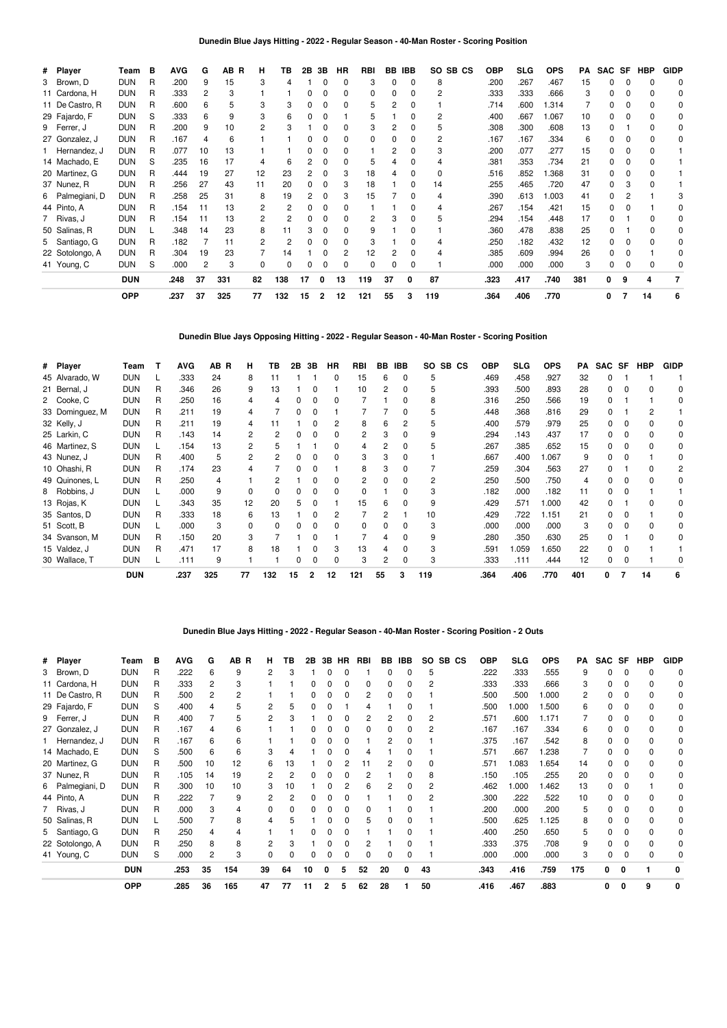| # Player        | Team       | в | <b>AVG</b> | G  | AB<br>R | н            | ΤВ  | 2Β | 3В           | HR           | RBI      |    | BB IBB   | SO.<br>SB CS   | <b>OBP</b> | <b>SLG</b> | <b>OPS</b> | PA  | <b>SAC</b> | SF | <b>HBP</b> | <b>GIDP</b> |
|-----------------|------------|---|------------|----|---------|--------------|-----|----|--------------|--------------|----------|----|----------|----------------|------------|------------|------------|-----|------------|----|------------|-------------|
| 3 Brown, D      | <b>DUN</b> | R | .200       | 9  | 15      | 3            |     |    | 0            | 0            | 3        |    | 0        | 8              | .200       | .267       | .467       | 15  | o          |    |            |             |
| 11 Cardona, H   | <b>DUN</b> | R | .333       |    | 3       |              |     |    | 0            |              | $\Omega$ |    |          | 2              | .333       | .333       | .666       | 3   |            |    |            |             |
| 11 De Castro, R | <b>DUN</b> | R | .600       | 6  | 5       | 3            | 3   |    | 0            | 0            | 5        | 2  | 0        |                | .714       | .600       | 1.314      |     | n          |    | 0          |             |
| 29 Fajardo, F   | <b>DUN</b> | S | .333       | 6  | 9       | 3            | 6   |    | 0            |              | 5        |    | 0        | 2              | .400       | .667       | 1.067      | 10  | n          |    | O          |             |
| 9 Ferrer, J     | <b>DUN</b> | R | .200       | 9  | 10      | 2            |     |    | 0            | 0            | 3        | 2  | 0        | 5              | .308       | .300       | .608       | 13  | 0          |    |            |             |
| 27 Gonzalez, J  | <b>DUN</b> | R | .167       |    | 6       |              |     |    |              | 0            | ŋ        |    |          | 2              | .167       | .167       | .334       | 6   | 0          |    |            |             |
| Hernandez, J    | <b>DUN</b> | R | .077       | 10 | 13      |              |     |    | 0            | <sup>0</sup> |          | 2  |          | 3              | .200       | .077       | .277       | 15  | n          |    |            |             |
| 14 Machado, E   | <b>DUN</b> | S | .235       | 16 | 17      |              |     |    | 0            | 0            | 5        |    |          | 4              | .381       | .353       | .734       | 21  | 0          |    |            |             |
| 20 Martinez, G  | <b>DUN</b> | R | .444       | 19 | 27      | 12           | 23  | 2  | 0            | 3            | 18       | 4  | $\Omega$ | 0              | .516       | .852       | 1.368      | 31  | 0          |    | O          |             |
| 37 Nunez, R     | <b>DUN</b> | R | .256       | 27 | 43      | 11           | 20  | 0  | $\Omega$     | 3            | 18       |    | 0        | 14             | .255       | .465       | .720       | 47  | 0          |    |            |             |
| 6 Palmegiani, D | <b>DUN</b> | R | .258       | 25 | 31      | 8            | 19  |    | $\Omega$     | 3            | 15       |    |          | 4              | .390       | .613       | 1.003      | 41  | n          |    |            |             |
| 44 Pinto, A     | <b>DUN</b> | R | .154       | 11 | 13      | 2            |     |    | $\Omega$     | 0            |          |    | $\Omega$ | 4              | .267       | .154       | .421       | 15  | n          |    |            |             |
| 7 Rivas, J      | <b>DUN</b> | R | .154       | 11 | 13      | 2            |     |    | $\Omega$     | $\Omega$     | 2        | З  | 0        | 5              | .294       | .154       | .448       | 17  | 0          |    |            |             |
| 50 Salinas, R   | <b>DUN</b> |   | .348       | 14 | 23      | 8            | 11  | 3  | 0            | 0            | 9        |    | 0        |                | .360       | .478       | .838       | 25  | 0          |    |            |             |
| 5 Santiago, G   | <b>DUN</b> | R | .182       |    | 11      |              |     |    | 0            | 0            | 3        |    | 0        | 4              | .250       | .182       | .432       | 12  | 0          |    |            |             |
| 22 Sotolongo, A | <b>DUN</b> | R | .304       | 19 | 23      |              | 14  |    | 0            | 2            | 12       |    | $\Omega$ | $\overline{4}$ | .385       | .609       | .994       | 26  | 0          |    |            |             |
| 41 Young, C     | <b>DUN</b> | S | .000       | 2  | 3       | <sup>0</sup> |     |    | 0            | $\Omega$     | $\Omega$ |    |          |                | .000       | .000       | .000       | 3   | n          |    |            |             |
|                 | <b>DUN</b> |   | .248       | 37 | 331     | 82           | 138 | 17 | 0            | 13           | 119      | 37 | 0        | 87             | .323       | .417       | .740       | 381 | 0          | 9  |            |             |
|                 | <b>OPP</b> |   | .237       | 37 | 325     | 77           | 132 | 15 | $\mathbf{2}$ | 12           | 121      | 55 | з        | 119            | .364       | .406       | .770       |     | 0          |    | 14         | 6           |

**Dunedin Blue Jays Opposing Hitting - 2022 - Regular Season - 40-Man Roster - Scoring Position**

| # Player        | Team       |   | <b>AVG</b> | AB R | н  | ΤВ  | 2B | 3В | <b>HR</b> | <b>RBI</b> | BB | <b>IBB</b>   | SO.<br>SB CS | <b>OBP</b> | <b>SLG</b> | <b>OPS</b> | PА  | SAC SF |              | <b>HBP</b> | <b>GIDP</b> |
|-----------------|------------|---|------------|------|----|-----|----|----|-----------|------------|----|--------------|--------------|------------|------------|------------|-----|--------|--------------|------------|-------------|
| 45 Alvarado, W  | <b>DUN</b> |   | .333       | 24   | 8  | 11  |    |    | 0         | 15         | 6  | 0            | 5            | .469       | .458       | .927       | 32  |        |              |            |             |
| 21 Bernal, J    | <b>DUN</b> | R | .346       | 26   | 9  | 13  |    |    |           | 10         | 2  | 0            | 5            | .393       | .500       | .893       | 28  | 0      |              |            |             |
| 2 Cooke, C      | <b>DUN</b> | R | .250       | 16   | 4  |     |    |    | 0         |            |    | 0            | 8            | .316       | .250       | .566       | 19  | 0      |              |            |             |
| 33 Dominguez, M | <b>DUN</b> | R | .211       | 19   | 4  |     |    |    |           |            |    | 0            | 5            | .448       | .368       | .816       | 29  | 0      |              |            |             |
| 32 Kelly, J     | <b>DUN</b> | R | .211       | 19   | 4  |     |    |    | 2         | 8          | 6  | 2            | 5            | .400       | .579       | .979       | 25  | 0      |              |            | 0           |
| 25 Larkin, C    | <b>DUN</b> | R | .143       | 14   | 2  |     |    |    | 0         | 2          | 3  | 0            | 9            | .294       | .143       | .437       | 17  | 0      |              |            |             |
| 46 Martinez, S  | <b>DUN</b> |   | .154       | 13   | 2  |     |    |    |           |            |    |              | 5            | .267       | .385       | .652       | 15  |        |              |            |             |
| 43 Nunez, J     | <b>DUN</b> | R | .400       | 5    | 2  |     |    |    |           | 3          | 3  |              |              | .667       | .400       | .067       | 9   |        |              |            |             |
| 10 Ohashi, R    | <b>DUN</b> | R | .174       | 23   | Δ  |     |    |    |           | 8          | з  | $\Omega$     |              | .259       | .304       | .563       | 27  |        |              |            |             |
| 49 Quinones, L  | <b>DUN</b> | R | .250       | 4    |    |     |    |    | O         |            | 0  | 0            | 2            | .250       | .500       | .750       | 4   |        |              |            |             |
| 8 Robbins, J    | <b>DUN</b> |   | .000       | 9    | 0  |     |    |    | 0         | ŋ          |    | $\Omega$     | 3            | .182       | .000       | .182       | 11  | 0      |              |            |             |
| 13 Rojas, K     | <b>DUN</b> |   | .343       | 35   | 12 | 20  |    |    |           | 15         | 6  | 0            | 9            | .429       | .571       | 000.1      | 42  | 0      |              |            |             |
| 35 Santos, D    | <b>DUN</b> | R | .333       | 18   | 6  | 13  |    |    | 2         |            | 2  |              | 10           | .429       | .722       | 1.151      | 21  | 0      |              |            |             |
| 51 Scott, B     | <b>DUN</b> |   | .000       | 3    | 0  |     |    |    | 0         | ŋ          | 0  |              | 3            | .000       | .000       | .000       | 3   |        |              |            |             |
| 34 Svanson, M   | <b>DUN</b> | R | .150       | 20   | 3  |     |    |    |           |            | 4  | <sup>0</sup> | 9            | .280       | .350       | .630       | 25  |        |              |            |             |
| 15 Valdez, J    | <b>DUN</b> | R | .471       | 17   | 8  | 18  |    |    | 3         | 13         | 4  | $\Omega$     | 3            | .591       | 1.059      | .650       | 22  | 0      | o            |            |             |
| 30 Wallace, T   | <b>DUN</b> |   | .111       | 9    |    |     |    |    | 0         | 3          | 2  | $\Omega$     | 3            | .333       | .111       | .444       | 12  | 0      | <sup>0</sup> |            |             |
|                 | <b>DUN</b> |   | .237       | 325  | 77 | 132 | 15 | 2  | 12        | 121        | 55 | 3            | 119          | .364       | .406       | .770       | 401 | 0      |              | 14         | 6           |

**Dunedin Blue Jays Hitting - 2022 - Regular Season - 40-Man Roster - Scoring Position - 2 Outs**

| # Player        | Team       | в | <b>AVG</b> | G  | AB R | н. | ΤВ | 2В | 3В | HR | RBI | BB | IBB. | SO. | SB CS | <b>OBP</b> | <b>SLG</b> | <b>OPS</b> | PA  | SAC SF |   | <b>HBP</b> | <b>GIDP</b> |
|-----------------|------------|---|------------|----|------|----|----|----|----|----|-----|----|------|-----|-------|------------|------------|------------|-----|--------|---|------------|-------------|
| 3 Brown, D      | <b>DUN</b> | R | .222       | 6  | 9    | 2  | 3  |    |    |    |     |    |      | 5   |       | .222       | .333       | .555       | 9   |        |   |            |             |
| 11 Cardona, H   | <b>DUN</b> | R | .333       |    |      |    |    |    |    |    |     |    |      |     |       | .333       | .333       | .666       | 3   |        | n |            |             |
| 11 De Castro, R | <b>DUN</b> | R | .500       | 2  | 2    |    |    |    |    |    | 2   | ი  |      |     |       | .500       | .500       | 1.000      | 2   |        | o |            |             |
| 29 Fajardo, F   | <b>DUN</b> | S | .400       | 4  | 5    | 2  | 5  |    |    |    |     |    |      |     |       | .500       | .000       | 1.500      | 6   |        | 0 |            |             |
| 9 Ferrer, J     | <b>DUN</b> | R | .400       |    | 5    |    | 3  |    |    |    | 2   |    | 0    | 2   |       | .571       | .600       | 1.171      |     |        | 0 |            |             |
| 27 Gonzalez, J  | <b>DUN</b> | R | .167       |    | 6    |    |    |    |    |    |     |    |      |     |       | .167       | .167       | .334       | 6   |        |   |            |             |
| 1 Hernandez, J  | <b>DUN</b> | R | .167       | 6  | 6    |    |    |    |    |    |     | 2  |      |     |       | .375       | .167       | .542       | 8   |        | n |            |             |
| 14 Machado, E   | <b>DUN</b> | S | .500       | 6  | 6    | 3  |    |    |    |    |     |    |      |     |       | .571       | .667       | 1.238      |     |        |   |            |             |
| 20 Martinez, G  | <b>DUN</b> | R | .500       | 10 | 12   | 6  | 13 |    |    |    |     | 2  |      | 0   |       | .571       | .083       | 1.654      | 14  |        |   |            |             |
| 37 Nunez, R     | <b>DUN</b> | R | .105       | 14 | 19   | 2  | 2  | ŋ  |    |    | 2   |    | 0    | 8   |       | .150       | .105       | .255       | 20  | 0      | 0 |            |             |
| 6 Palmegiani, D | <b>DUN</b> | R | .300       | 10 | 10   | 3  | 10 |    |    |    | 6   |    |      |     |       | .462       | .000       | 1.462      | 13  |        |   |            |             |
| 44 Pinto, A     | <b>DUN</b> | R | .222       |    | 9    |    |    |    |    |    |     |    |      |     |       | .300       | .222       | .522       | 10  | 0      |   |            |             |
| 7 Rivas, J      | <b>DUN</b> | R | .000       | 3  |      | ŋ  |    |    |    |    |     |    |      |     |       | .200       | .000       | .200       | 5   |        |   |            |             |
| 50 Salinas, R   | <b>DUN</b> |   | .500       |    | 8    | 4  | 5  |    |    | n  | 5   | 0  |      |     |       | .500       | .625       | 1.125      | 8   | n.     |   |            |             |
| 5 Santiago, G   | <b>DUN</b> | R | .250       | 4  |      |    |    |    |    |    |     |    |      |     |       | .400       | .250       | .650       | 5   |        |   |            |             |
| 22 Sotolongo, A | <b>DUN</b> | R | .250       | 8  | 8    | 2  | 3  |    |    |    |     |    |      |     |       | .333       | .375       | .708       | 9   |        | 0 |            |             |
| 41 Young, C     | <b>DUN</b> | S | .000       | 2  | 3    | 0  | n  |    |    |    |     | 0  |      |     |       | .000       | .000       | .000       | 3   |        | 0 |            |             |
|                 | <b>DUN</b> |   | .253       | 35 | 154  | 39 | 64 | 10 | 0  | 5  | 52  | 20 | 0    | 43  |       | .343       | .416       | .759       | 175 | 0      | 0 |            | 0           |
|                 | <b>OPP</b> |   | .285       | 36 | 165  | 47 | 77 | 11 | 2  | 5  | 62  | 28 |      | 50  |       | .416       | .467       | .883       |     | 0      | 0 | 9          | 0           |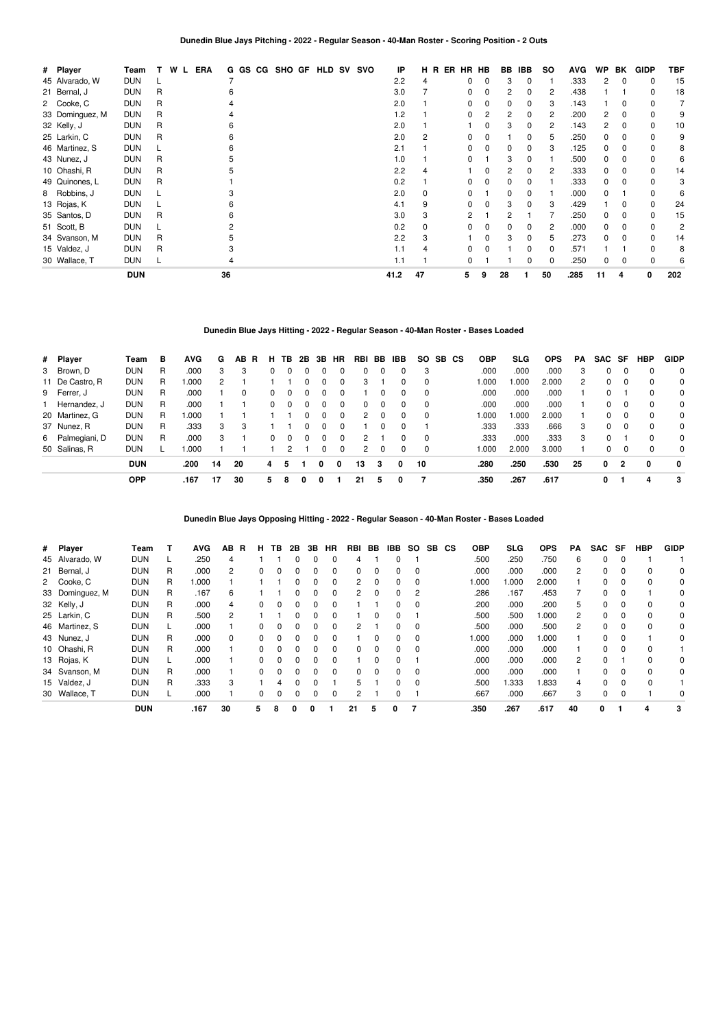| # Player        | Team       | т | ERA<br>W<br>L. |    | G GS CG SHO GF |  |  | <b>HLD SV SVO</b> | IP   | н  | ER<br>B. | HR HB |          | BB | <b>IBB</b> | SO. | <b>AVG</b> | <b>WP</b> | BK           | <b>GIDP</b> | <b>TBF</b> |
|-----------------|------------|---|----------------|----|----------------|--|--|-------------------|------|----|----------|-------|----------|----|------------|-----|------------|-----------|--------------|-------------|------------|
| 45 Alvarado, W  | <b>DUN</b> |   |                |    |                |  |  |                   | 2.2  | 4  |          | 0     | 0        | 3  | 0          |     | .333       | 2         | 0            | 0           | 15         |
| 21 Bernal, J    | <b>DUN</b> | R |                |    |                |  |  |                   | 3.0  |    |          | 0     | 0        | 2  | $\Omega$   | 2   | .438       |           |              | 0           | 18         |
| 2 Cooke, C      | <b>DUN</b> | R |                |    |                |  |  |                   | 2.0  |    |          | 0     | 0        | 0  | 0          | 3   | .143       |           | O            |             |            |
| 33 Dominguez, M | <b>DUN</b> | R |                |    |                |  |  |                   | 1.2  |    |          | 0     | 2        | 2  | 0          | 2   | .200       | 2         |              |             |            |
| 32 Kelly, J     | DUN        | R |                |    |                |  |  |                   | 2.0  |    |          |       |          |    | O          | 2   | .143       | 2         |              |             | 10         |
| 25 Larkin, C    | <b>DUN</b> | R |                |    |                |  |  |                   | 2.0  | 2  |          | 0     | 0        |    | O          | 5   | .250       | 0         |              |             |            |
| 46 Martinez, S  | <b>DUN</b> |   |                |    |                |  |  |                   | 2.1  |    |          | 0     | 0        | 0  | 0          | 3   | .125       | 0         | O            |             |            |
| 43 Nunez, J     | <b>DUN</b> | R |                |    |                |  |  |                   | 1.0  |    |          | 0     |          | 3  | 0          |     | .500       | 0         | $\Omega$     |             |            |
| 10 Ohashi, R    | <b>DUN</b> | R |                |    |                |  |  |                   | 2.2  | 4  |          |       | 0        | 2  | 0          | 2   | .333       | 0         | 0            |             | 14         |
| 49 Quinones, L  | <b>DUN</b> | R |                |    |                |  |  |                   | 0.2  |    |          | 0     | 0        | 0  | $\Omega$   |     | .333       | 0         | <sup>0</sup> |             |            |
| 8 Robbins, J    | <b>DUN</b> |   |                |    |                |  |  |                   | 2.0  | 0  |          | 0     |          | 0  | O          |     | .000       | 0         |              |             |            |
| 13 Rojas, K     | <b>DUN</b> |   |                |    |                |  |  |                   | 4.1  | 9  |          | 0     | 0        | 3  | O          | 3   | .429       |           | O            |             | 24         |
| 35 Santos, D    | <b>DUN</b> | R |                |    |                |  |  |                   | 3.0  | 3  |          | 2     |          | 2  |            |     | .250       | 0         |              |             | 15         |
| 51 Scott, B     | DUN        |   |                |    |                |  |  |                   | 0.2  | 0  |          | 0     | 0        | 0  | 0          | 2   | .000       | 0         |              |             |            |
| 34 Svanson, M   | <b>DUN</b> | R |                |    |                |  |  |                   | 2.2  | 3  |          |       | $\Omega$ | 3  | O          | 5   | .273       | 0         |              |             | 14         |
| 15 Valdez, J    | <b>DUN</b> | R |                |    |                |  |  |                   | 1.1  | 4  |          | 0     | $\Omega$ |    | 0          | 0   | .571       |           |              |             | 8          |
| 30 Wallace, T   | <b>DUN</b> |   |                |    |                |  |  |                   | 1.1  |    |          | 0     |          |    | O          | 0   | .250       | 0         | O            |             |            |
|                 | <b>DUN</b> |   |                | 36 |                |  |  |                   | 41.2 | 47 |          | 5     | 9        | 28 |            | 50  | .285       | 11        | 4            | 0           | 202        |

# **Dunedin Blue Jays Hitting - 2022 - Regular Season - 40-Man Roster - Bases Loaded**

| # Player        | Team       | в  | <b>AVG</b> | G  | AB R | н.       | ΤВ           | 2B           | 3В       | HR.      | RBI           | BB       | IBB.     | SO.      | SB CS | <b>OBP</b> | SLG    | OPS   | PA | SAC SF |          | <b>HBP</b> | <b>GIDP</b> |
|-----------------|------------|----|------------|----|------|----------|--------------|--------------|----------|----------|---------------|----------|----------|----------|-------|------------|--------|-------|----|--------|----------|------------|-------------|
| 3 Brown, D      | <b>DUN</b> | R  | .000       | 3  | 3    |          |              |              |          | 0        | 0             | $\Omega$ | 0        | 3        |       | .000       | .000   | .000  | 3  |        |          |            | $\Omega$    |
| 11 De Castro, R | <b>DUN</b> | R. | .000       | 2  |      |          |              |              | $\Omega$ | $\Omega$ | 3             |          | $\Omega$ | $\Omega$ |       | 1.000      | .000   | 2.000 | 2  |        | $\Omega$ | $\Omega$   | $\Omega$    |
| 9 Ferrer, J     | <b>DUN</b> | R  | .000       |    | 0    |          |              |              |          | 0        |               | 0        | 0        | $\Omega$ |       | .000       | .000   | .000  |    |        |          | $\Omega$   | $\Omega$    |
| Hernandez, J    | <b>DUN</b> | R  | .000       |    |      | $\Omega$ |              |              |          | 0        | 0             |          | $\Omega$ | $\Omega$ |       | .000       | .000   | .000  |    |        |          |            | $\Omega$    |
| 20 Martinez, G  | <b>DUN</b> | R  | .000       |    |      |          |              | 0            | $\Omega$ | 0        | 2             |          | $\Omega$ | $\Omega$ |       | 1.000      | 000. ا | 2.000 |    |        |          |            | $\Omega$    |
| 37 Nunez, R     | <b>DUN</b> | R  | .333       | 3  | 3    |          |              |              |          | 0        |               |          | 0        |          |       | .333       | .333   | .666  | 3  |        |          |            | $\Omega$    |
| 6 Palmegiani, D | <b>DUN</b> | R  | .000       | 3  |      | $\Omega$ | <sup>0</sup> | <sup>o</sup> |          | $\Omega$ | 2             |          | 0        | $\Omega$ |       | .333       | .000   | .333  | 3  |        |          |            | $\Omega$    |
| 50 Salinas, R   | <b>DUN</b> |    | .000       |    |      |          |              |              |          | 0        | $\mathcal{P}$ | $\Omega$ | 0        | $\Omega$ |       | 1.000      | 2.000  | 3.000 |    |        |          | $\Omega$   | $\Omega$    |
|                 | <b>DUN</b> |    | .200       | 14 | 20   | 4        | 5            |              | 0        | 0        | 13            | 3        | 0        | 10       |       | .280       | .250   | .530  | 25 | 0      | 2        | 0          | $\mathbf 0$ |
|                 | <b>OPP</b> |    | .167       | 17 | 30   | 5        | 8            | 0            | 0        |          | 21            | 5        | 0        |          |       | .350       | .267   | .617  |    | 0      |          | 4          | 3           |

**Dunedin Blue Jays Opposing Hitting - 2022 - Regular Season - 40-Man Roster - Bases Loaded**

| # Player        | Team       |    | <b>AVG</b> | AB.      | R | н            | ΤВ       | 2Β           | 3В           | <b>HR</b> | <b>RBI</b>    | BB.      | IBB.     | <b>SO</b> | SB. | <b>CS</b> | <b>OBP</b> | <b>SLG</b> | <b>OPS</b> | PA | SAC SF   |          | <b>HBP</b> | <b>GIDP</b> |
|-----------------|------------|----|------------|----------|---|--------------|----------|--------------|--------------|-----------|---------------|----------|----------|-----------|-----|-----------|------------|------------|------------|----|----------|----------|------------|-------------|
| 45 Alvarado, W  | <b>DUN</b> |    | .250       | 4        |   |              |          | 0            | 0            | 0         | 4             |          | 0        |           |     |           | .500       | .250       | .750       | 6  | $\Omega$ | 0        |            |             |
| 21 Bernal, J    | <b>DUN</b> | R  | .000       | 2        |   | 0            | ŋ        |              | 0            | 0         | $\Omega$      | $\Omega$ | 0        |           |     |           | .000       | .000       | .000       | 2  | $\Omega$ | 0        | $\Omega$   |             |
| 2 Cooke, C      | <b>DUN</b> | R. | 1.000      |          |   |              |          | 0            | 0            | 0         | 2             | $\Omega$ | 0        | 0         |     |           | 1.000      | 1.000      | 2.000      |    | 0        | 0        | 0          |             |
| 33 Dominguez, M | <b>DUN</b> | R  | .167       | 6        |   |              |          | 0            | <sup>0</sup> | 0         | $\mathcal{P}$ | $\Omega$ | $\Omega$ | 2         |     |           | .286       | .167       | .453       | 7  | $\Omega$ | 0        |            |             |
| 32 Kelly, J     | <b>DUN</b> | R  | .000       | 4        |   | <sup>0</sup> |          |              |              | 0         |               |          |          |           |     |           | .200       | .000       | .200       | 5  | $\Omega$ | 0        | $\Omega$   |             |
| 25 Larkin, C    | <b>DUN</b> | R  | .500       | 2        |   |              |          | 0            | $\Omega$     | $\Omega$  |               | 0        | 0        |           |     |           | .500       | .500       | 1.000      | 2  | $\Omega$ | 0        | 0          | 0           |
| 46 Martinez, S  | <b>DUN</b> |    | .000       |          |   | <sup>0</sup> | $\Omega$ | <sup>0</sup> | <sup>0</sup> | 0         | 2             |          | $\Omega$ | $\Omega$  |     |           | .500       | .000       | .500       | 2  | $\Omega$ | 0        | $\Omega$   | 0           |
| 43 Nunez, J     | <b>DUN</b> | R  | .000       | $\Omega$ |   | 0            | 0        |              | 0            | 0         |               | 0        | 0        |           |     |           | 1.000      | .000       | 1.000      |    | $\Omega$ | 0        |            |             |
| 10 Ohashi, R    | <b>DUN</b> | R. | .000       |          |   | 0            | $\Omega$ | $\Omega$     | $\Omega$     | $\Omega$  | $\Omega$      | $\Omega$ | 0        | $\Omega$  |     |           | .000       | .000       | .000       |    | $\Omega$ | $\Omega$ | $\Omega$   |             |
| 13 Rojas, K     | <b>DUN</b> |    | .000       |          |   | <sup>0</sup> |          |              | 0            | 0         |               | 0        | $\Omega$ |           |     |           | .000       | .000       | .000       | 2  | $\Omega$ |          | $\Omega$   |             |
| 34 Svanson, M   | <b>DUN</b> | R  | .000       |          |   | 0            | 0        | 0            | 0            | 0         | $\Omega$      | $\Omega$ | 0        | $\Omega$  |     |           | .000       | .000       | .000       |    | $\Omega$ | 0        | $\Omega$   | 0           |
| 15 Valdez, J    | <b>DUN</b> | R  | .333       | 3        |   |              | 4        | $\Omega$     | $\Omega$     |           | 5.            |          | 0        | $\Omega$  |     |           | .500       | 1.333      | 1.833      | 4  | $\Omega$ | $\Omega$ | $\Omega$   |             |
| 30 Wallace, T   | <b>DUN</b> |    | .000       |          |   | 0            |          |              | 0            | 0         |               |          |          |           |     |           | .667       | .000       | .667       | 3  | 0        | $\Omega$ |            |             |
|                 | <b>DUN</b> |    | .167       | 30       |   | 5.           | 8        | 0            | 0            |           | 21            | 5        | 0        |           |     |           | .350       | .267       | .617       | 40 | 0        |          | 4          | 3           |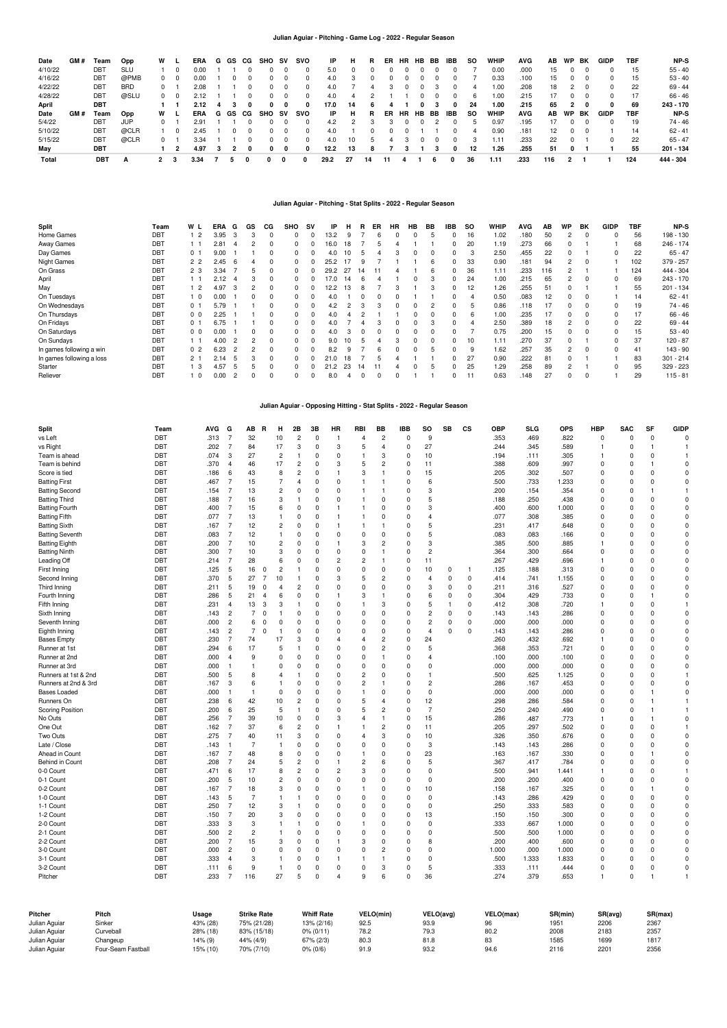## **Julian Aguiar - Pitching - Game Log - 2022 - Regular Season**

| Date    | GM # | Team       | Opp        | w            |     | ERA  |  | G GS CG    | SHO | sv       | svo          | IP   | н   | R        | ER | <b>HR</b> | HB | BB       | IBB | so | <b>WHIP</b> | <b>AVG</b> | AB  | WP | BK | GIDP | TBF | NP-S      |
|---------|------|------------|------------|--------------|-----|------|--|------------|-----|----------|--------------|------|-----|----------|----|-----------|----|----------|-----|----|-------------|------------|-----|----|----|------|-----|-----------|
| 4/10/22 |      | <b>DBT</b> | SLU        |              |     | 0.00 |  |            |     |          |              | 5.0  |     | $\Omega$ |    |           |    | 0        |     |    | 0.00        | .000       | 15  |    |    | 0.   | 15  | $55 - 40$ |
| 4/16/22 |      | <b>DBT</b> | @PMB       | 0            |     | 0.00 |  |            | 0.  |          |              | 4.0  |     | 0        |    |           |    | $^{(1)}$ |     |    | 0.33        | .100       | 15  | 0. |    | 0.   | 15  | $53 - 40$ |
| 4/22/22 |      | <b>DBT</b> | <b>BRD</b> | 0            |     | 2.08 |  | 0          | 0.  |          | <sup>0</sup> | 4.0  |     | 4        | 3  |           | 0. |          |     | 4  | 1.00        | .208       | 18  |    |    | 0    | 22  | $69 - 44$ |
| 4/28/22 |      | <b>DBT</b> | @SLU       |              | 0 0 | 2.12 |  |            | 0.  |          | <sup>0</sup> | 4.0  |     |          |    |           |    | $^{(1)}$ | 0   | 6  | 1.00        | .215       | 17  | 0  |    |      | 17  | $66 - 46$ |
| April   |      | DBT        |            |              |     | 2.12 |  |            |     | 0        |              | 17.0 | 14  | 6        |    |           |    |          | 0   | 24 | 1.00        | .215       | 65  |    |    |      | 69  | 243 - 170 |
| Date    | GM # | Team       | Opp        | w            |     | ERA  |  | G GS CG    | SHO | sv       | svo          | IP   | н   | R        | ER | HR        | HB | BB       | IBB | so | <b>WHIP</b> | <b>AVG</b> | AB  | WP | BK | GIDP | TBF | NP-S      |
| 5/4/22  |      | <b>DBT</b> | JUP        | 0            |     | 2.91 |  |            |     |          |              | 4.2  |     | 3        | 3  |           |    |          | 0   |    | 0.97        | .195       | 17  |    |    | 0    | 19  | 74 - 46   |
| 5/10/22 |      | <b>DBT</b> | @CLR       |              |     | 2.45 |  | $^{\circ}$ | 0   | $\Omega$ |              | 4.0  |     | 0        |    |           |    |          |     |    | 0.90        | .181       | 12  | 0. |    |      | 14  | $62 - 41$ |
| 5/15/22 |      | DBT        | @CLR       | 0            |     | 3.34 |  | 0          | 0.  | $\Omega$ | 0            | 4.0  | 10  | 5        |    |           |    | $^{(1)}$ | 0   |    | 1.11        | .233       | 22  | 0. |    | 0    | 22  | $65 - 47$ |
| May     |      | DBT        |            |              |     | 4.97 |  | 0          | 0   | 0        | 0            | 12.2 | 13  | 8        |    |           |    |          | 0   | 12 | 1.26        | .255       | 51  | 0  |    |      | 55  | 201 - 134 |
| Total   |      | <b>DBT</b> | A          | $\mathbf{2}$ | -3  | 3.34 |  |            | 0   |          | 0            | 29.2 | -27 | 14       |    |           |    | ь        |     | 36 | 1.11        | .233       | 116 |    |    |      | 124 | 444 - 304 |

# **Julian Aguiar - Pitching - Stat Splits - 2022 - Regular Season**

| <b>Split</b>              | Team       | W L                     | ERA  | G              | GS | СG       | <b>SHO</b> | <b>SV</b> | IP   | н  | R  | ER | HR | HB       | BB | <b>IBB</b> | <b>SO</b> | WHIP | <b>AVG</b> | AВ  | WP       | BK       | <b>GIDP</b> | <b>TBF</b> | NP-S        |
|---------------------------|------------|-------------------------|------|----------------|----|----------|------------|-----------|------|----|----|----|----|----------|----|------------|-----------|------|------------|-----|----------|----------|-------------|------------|-------------|
| Home Games                | DBT        | 1 <sub>2</sub>          | 3.95 | 3              |    | 0        | 0          | $\Omega$  | 13.2 | a  |    | 6  |    |          |    |            | 16        | 1.02 | .180       | 50  |          | $\Omega$ |             | 56         | 198 - 130   |
| Away Games                | DBT        | 1 <sub>1</sub>          | 2.81 | $\mathbf{4}$   |    |          | 0          | $\Omega$  | 16.0 | 18 |    |    |    |          |    |            | 20        | 1.19 | .273       | 66  | 0        |          |             | 68         | 246 - 174   |
| Day Games                 | DBT        | 0 <sub>1</sub>          | 9.00 |                |    |          | 0          |           | 4.0  | 10 |    |    |    |          |    |            | 3         | 2.50 | .455       | 22  | $\Omega$ |          | $\Omega$    | 22         | $65 - 47$   |
| Night Games               | DBT        | 2 <sub>2</sub>          | 2.45 | - 6            |    |          | $\Omega$   |           | 25.2 |    |    |    |    |          | 6  |            | 33        | 0.90 | .181       | 94  | 2        | $\Omega$ |             | 102        | $379 - 257$ |
| On Grass                  | DBT        | 2 <sub>3</sub>          | 3.34 |                | 5  | 0        | 0          |           | 29.2 | 27 | 14 |    |    |          | 6  |            | 36        | 1.11 | .233       | 116 |          |          |             | 124        | 444 - 304   |
| April                     | <b>DBT</b> | $1 \quad 1$             | 2.12 | 4              |    | 0        | 0          |           | 17.0 | 14 | 6  |    |    |          |    |            | 24        | 1.00 | .215       | 65  | 2        | 0        | $\Omega$    | 69         | $243 - 170$ |
| May                       | DBT        | 1 <sub>2</sub>          | 4.97 | 3              |    | $\Omega$ | $\Omega$   | $\Omega$  | 12.2 | 13 | 8  |    |    |          |    |            | 12        | 1.26 | .255       | 51  | 0        |          |             | 55         | $201 - 134$ |
| On Tuesdays               | DBT        | 1 <sub>0</sub>          | 0.00 |                | 0  | $\Omega$ | $\Omega$   | $\Omega$  | 4.0  |    |    |    |    |          |    | 0          | 4         | 0.50 | .083       | 12  | 0        | 0        |             | 14         | $62 - 41$   |
| On Wednesdays             | DBT        | 0 <sub>1</sub>          | 5.79 |                |    | $\Omega$ | 0          | $\Omega$  | 4.2  |    |    |    |    |          |    |            | 5         | 0.86 | .118       | 17  | 0        | $\Omega$ | $\Omega$    | 19         | $74 - 46$   |
| On Thursdays              | DBT        | 0 <sub>0</sub>          | 2.25 |                |    | $\Omega$ | 0          | $\Omega$  | 4.0  |    |    |    |    |          |    |            | 6         | 1.00 | .235       | 17  | 0        | $\Omega$ | $\Omega$    | 17         | $66 - 46$   |
| On Fridays                | DBT        | 0 <sub>1</sub>          | 6.75 |                |    | $\Omega$ | $\Omega$   | $\Omega$  | 4.0  |    |    |    |    |          | 3  |            | 4         | 2.50 | .389       | 18  | 2        | $\Omega$ | $\Omega$    | 22         | $69 - 44$   |
| On Saturdays              | DBT        | 0 <sub>0</sub>          | 0.00 |                | 0  | $\Omega$ | $\Omega$   | $\Omega$  | 4.0  |    |    |    |    |          |    |            |           | 0.75 | .200       | 15  | 0        | $\Omega$ | $\Omega$    | 15         | $53 - 40$   |
| On Sundays                | <b>DBT</b> | 1 <sub>1</sub>          | 4.00 |                |    | $\Omega$ | $\Omega$   | $\Omega$  | 9.0  | 10 | h  |    |    |          |    |            | 10        | 1.11 | .270       | 37  | 0        |          | $\Omega$    | 37         | $120 - 87$  |
| In games following a win  | DBT        | 0 <sub>2</sub>          | 6.23 | $\overline{2}$ |    | $\Omega$ | $\Omega$   | $\Omega$  | 8.2  | a  |    | 6  |    | $\Omega$ | ь  |            | 9         | 1.62 | .257       | 35  | 2        | $\Omega$ | $\Omega$    | 41         | $143 - 90$  |
| In games following a loss | DBT        | 2 <sub>1</sub>          | 2.14 | 5              |    | 0        | 0          | 0         | 21.0 | 18 |    | 5  |    |          |    |            | 27        | 0.90 | .222       | 81  | 0        |          |             | 83         | $301 - 214$ |
| Starter                   | DBT        | 13                      | 4.57 | 5              |    | 0        | 0          |           | 21.2 | 23 | 14 |    |    |          | h  |            | 25        | 1.29 | .258       | 89  | 2        |          | 0           | 95         | 329 - 223   |
| Reliever                  | DBT        | $^{\tiny \texttt{+}~0}$ | 0.00 | $\overline{2}$ |    |          | 0          |           | 8.0  |    |    |    |    |          |    |            | 11        | 0.63 | .148       | 27  | $\Omega$ |          |             | 29         | $115 - 81$  |

# **Julian Aguiar - Opposing Hitting - Stat Splits - 2022 - Regular Season**

| <b>Split</b>                                    |                 | Team       | AVG               | G                   | ΑВ<br>R                           | н                       | 2Β                               | 3B                              | HR               | <b>RBI</b>     | BB                               | IBB         | so             | SB          | CS       | OBP             | <b>SLG</b>   | <b>OPS</b>      | HBP                         | <b>SAC</b>                 | SF                          | GIDF                        |
|-------------------------------------------------|-----------------|------------|-------------------|---------------------|-----------------------------------|-------------------------|----------------------------------|---------------------------------|------------------|----------------|----------------------------------|-------------|----------------|-------------|----------|-----------------|--------------|-----------------|-----------------------------|----------------------------|-----------------------------|-----------------------------|
| vs Left                                         |                 | <b>DBT</b> | .313              | $\overline{7}$      | 32                                | 10                      | $\overline{c}$                   | $\mathbf 0$<br>$\mathbf 0$      | $\mathbf{1}$     | $\overline{4}$ | $\overline{c}$<br>$\overline{4}$ | $\mathbf 0$ | 9              |             |          | .353            | .469         | .822            | $\mathbf 0$<br>$\mathbf{1}$ | $\mathbf 0$<br>$\mathbf 0$ | $\mathbf 0$<br>$\mathbf{1}$ |                             |
| vs Right<br>Team is ahead                       |                 | DBT<br>DBT | .202<br>.074      | $\overline{7}$<br>3 | 84<br>27                          | 17                      | 3<br>$\mathbf{1}$                | $\Omega$                        | 3<br>$\mathbf 0$ | 5<br>1         | 3                                | 0<br>0      | 27<br>10       |             |          | .244            | .345<br>.111 | .589<br>.305    | $\mathbf{1}$                | $\Omega$                   | $\mathsf 0$                 |                             |
|                                                 |                 |            |                   |                     |                                   | 2                       |                                  |                                 | 3                |                |                                  |             |                |             |          | .194            |              |                 |                             |                            |                             | ſ                           |
| Team is behind                                  |                 | DBT<br>DBT | .370<br>.186      | $\overline{4}$<br>6 | 46<br>43                          | 17<br>8                 | $\overline{c}$<br>$\overline{c}$ | $\pmb{0}$<br>$\mathbf 0$        | $\mathbf{1}$     | 5<br>3         | $\overline{c}$                   | 0<br>0      | 11<br>15       |             |          | .388<br>.205    | .609<br>.302 | .997<br>.507    | 0<br>$\mathbf 0$            | 0                          | $\overline{1}$<br>0         | ſ                           |
| Score is tied                                   |                 | DBT        |                   | $\overline{7}$      | 15                                | $\overline{7}$          | $\overline{4}$                   | $\mathbf 0$                     | 0                | 1              | $\mathbf{1}$<br>$\mathbf{1}$     |             |                |             |          |                 | .733         | 1.233           | $\mathbf 0$                 | 0<br>$\mathbf 0$           | 0                           |                             |
| <b>Batting First</b>                            |                 | DBT        | .467<br>.154      | $\overline{7}$      | 13                                |                         | 0                                | $\Omega$                        | $\Omega$         | $\mathbf{1}$   | $\mathbf{1}$                     | 0<br>0      | 6<br>3         |             |          | .500<br>.200    | .154         | .354            | $\Omega$                    | $\Omega$                   | $\overline{1}$              |                             |
| <b>Batting Second</b><br><b>Batting Third</b>   |                 | DBT        | .188              | 7                   | 16                                | 2<br>3                  | $\mathbf{1}$                     | 0                               | $\Omega$         | 1              | $^{\circ}$                       | 0           | 5              |             |          | .188            | .250         | .438            | 0                           | $\Omega$                   | $\Omega$                    |                             |
| <b>Batting Fourth</b>                           |                 | DBT        | .400              | $\overline{7}$      | 15                                | 6                       | $\pmb{0}$                        | 0                               | $\mathbf{1}$     | 1              | $\mathbf 0$                      | 0           | 3              |             |          | .400            | .600         | 1.000           | $\Omega$                    | $\mathbf 0$                | $\mathbf 0$                 |                             |
| <b>Batting Fifth</b>                            |                 | DBT        | .077              | $\overline{7}$      | 13                                | $\overline{1}$          | $\pmb{0}$                        | $\mathbf 0$                     | $\mathbf{1}$     | 1              | $\mathbf 0$                      | 0           | $\overline{4}$ |             |          | .077            | .308         | .385            | $\mathbf 0$                 | 0                          | $\Omega$                    |                             |
|                                                 |                 | DBT        |                   | $\overline{7}$      |                                   |                         | 0                                | 0                               | $\mathbf{1}$     | $\mathbf{1}$   | $\mathbf{1}$                     |             | 5              |             |          |                 |              | .648            | $\Omega$                    | $\Omega$                   | $\Omega$                    |                             |
| <b>Batting Sixth</b>                            |                 | <b>DBT</b> | .167<br>.083      | $\overline{7}$      | 12<br>12                          | 2<br>$\mathbf{1}$       | 0                                | 0                               | 0                | $\Omega$       | $\mathbf 0$                      | 0<br>0      | 5              |             |          | .231<br>.083    | .417<br>.083 | .166            | $\Omega$                    | $\Omega$                   | $\Omega$                    |                             |
| <b>Batting Seventh</b><br><b>Batting Eighth</b> |                 | DBT        | .200              | $\overline{7}$      | 10                                | 2                       | $\pmb{0}$                        | $\mathbf 0$                     | $\mathbf{1}$     | 3              | $\overline{c}$                   | 0           | 3              |             |          | .385            | .500         | .885            | $\mathbf{1}$                | $\Omega$                   | $\Omega$                    |                             |
| <b>Batting Ninth</b>                            |                 | DBT        | .300              | $\overline{7}$      | 10                                | 3                       | $\Omega$                         | $\mathbf 0$                     | 0                | $\Omega$       | $\mathbf{1}$                     | 0           | $\overline{c}$ |             |          | .364            | .300         | .664            | $\Omega$                    | $\Omega$                   | $\Omega$                    |                             |
|                                                 |                 | <b>DBT</b> | .214              | $\overline{7}$      | 28                                | 6                       | $\Omega$                         | $\Omega$                        | $\overline{c}$   | 2              | $\mathbf{1}$                     | 0           | 11             |             |          | .267            | .429         | .696            | 1                           | $\Omega$                   | $\Omega$                    |                             |
| Leading Off<br>First Inning                     |                 | DBT        | .125              | 5                   | 16<br>0                           | $\overline{\mathbf{c}}$ | $\mathbf{1}$                     | 0                               | 0                | 0              | $\mathbf 0$                      | 0           | 10             | 0           | 1        | .125            | .188         | .313            | 0                           | 0                          | $\mathbf 0$                 |                             |
|                                                 |                 | DBT        | .370              | 5                   | 27<br>$\overline{7}$              | 10                      | $\mathbf{1}$                     | $\mathbf 0$                     | 3                | 5              | $\overline{c}$                   | 0           | $\overline{4}$ | $\Omega$    | 0        | .414            | .741         | 1.155           | $\Omega$                    | $\Omega$                   | $\Omega$                    |                             |
| Second Inning<br>Third Inning                   |                 | DBT        | .211              | 5                   | 19<br>$^{\circ}$                  | $\overline{4}$          | $\overline{c}$                   | $\Omega$                        | $\Omega$         | $\Omega$       | $\mathbf 0$                      | 0           | 3              | $\Omega$    | $\Omega$ | .211            | .316         | .527            | $\Omega$                    | $\Omega$                   | $\Omega$                    |                             |
|                                                 |                 | DBT        |                   | 5                   | $\overline{4}$                    | 6                       | $\Omega$                         | $\Omega$                        | $\overline{1}$   | 3              | $\mathbf{1}$                     | 0           | 6              | $\Omega$    | 0        | .304            |              |                 | $\Omega$                    | $\Omega$                   | $\mathbf{1}$                |                             |
| Fourth Inning                                   |                 | DBT        | .286<br>.231      | $\overline{4}$      | 21<br>13<br>3                     | 3                       | $\mathbf{1}$                     | 0                               | 0                | 1              | 3                                | 0           | 5              | 1           | 0        | .412            | .429<br>.308 | .733<br>.720    | $\mathbf{1}$                | 0                          | 0                           |                             |
| Fifth Inning<br>Sixth Inning                    |                 | DBT        | .143              | $\overline{c}$      | $\overline{7}$<br>$\mathbf 0$     | $\mathbf{1}$            | 0                                | 0                               | 0                | $\mathbf 0$    | 0                                | 0           | $\overline{c}$ | $\mathbf 0$ | 0        | .143            | .143         | .286            | 0                           | 0                          | 0                           | ſ                           |
| Seventh Inning                                  |                 | DBT        | .000              | $\overline{c}$      | 6<br>$\Omega$                     | 0                       | $\pmb{0}$                        | $\Omega$                        | $\Omega$         | $\Omega$       | $\mathbf 0$                      | 0           | $\overline{c}$ | $\Omega$    | 0        | .000            | .000         | .000            | $\Omega$                    | $\Omega$                   | $\Omega$                    |                             |
| Eighth Inning                                   |                 | <b>DBT</b> | .143              | $\overline{c}$      | 7<br>0                            | $\overline{1}$          | $\Omega$                         | $\Omega$                        | $\Omega$         | $\Omega$       | $^{\circ}$                       | $\mathbf 0$ | $\overline{4}$ | $\Omega$    | $\Omega$ | .143            | .143         | .286            | $\Omega$                    | $\Omega$                   | $\Omega$                    |                             |
|                                                 |                 | DBT        | .230              | $\overline{7}$      | 74                                | 17                      | 3                                | 0                               | 4                | 4              | $\overline{c}$                   | 0           | 24             |             |          | .260            | .432         | .692            | $\mathbf{1}$                | 0                          | $\mathbf 0$                 |                             |
| <b>Bases Empty</b><br>Runner at 1st             |                 | DBT        | .294              | 6                   | 17                                | 5                       | $\mathbf{1}$                     | 0                               | 0                | $\mathbf 0$    | $\overline{c}$                   | 0           | 5              |             |          | .368            | .353         | .721            | 0                           | $\mathbf 0$                | $\mathbf 0$                 |                             |
| Runner at 2nd                                   |                 | DBT        | .000              | $\overline{4}$      | 9                                 | 0                       | $\mathbf 0$                      | $\Omega$                        | $\Omega$         | $\Omega$       | $\mathbf{1}$                     | 0           | 4              |             |          | .100            | .000         | .100            | $\Omega$                    | $\Omega$                   | $\Omega$                    |                             |
| Runner at 3rd                                   |                 | <b>DBT</b> | .000              | $\overline{1}$      | $\mathbf{1}$                      | 0                       | $\mathbf 0$                      | $\mathbf 0$                     | 0                | $\mathbf 0$    | $\mathbf 0$                      | $\mathbf 0$ | 0              |             |          | .000            | .000         | .000            | 0                           | 0                          | 0                           |                             |
| Runners at 1st & 2nd                            |                 | DBT        | .500              | 5                   | 8                                 | 4                       | $\mathbf{1}$                     | $\mathbf 0$                     | $\mathbf 0$      | $\overline{c}$ | $\mathbf 0$                      | 0           | 1              |             |          | .500            | .625         | 1.125           | $\Omega$                    | $\mathbf 0$                | $\mathbf 0$                 |                             |
| Runners at 2nd & 3rd                            |                 | DBT        | .167              | 3                   | 6                                 | $\overline{1}$          | $\pmb{0}$                        | $\Omega$                        | 0                | $\overline{c}$ | $\mathbf{1}$                     | 0           | $\overline{c}$ |             |          | .286            | .167         | .453            | $\Omega$                    | $\mathbf 0$                | 0                           |                             |
| <b>Bases Loaded</b>                             |                 | DBT        | .000              | $\overline{1}$      | -1                                | 0                       | $\mathbf 0$                      | $\Omega$                        | $\Omega$         | 1              | $\mathbf 0$                      | 0           | 0              |             |          | .000            | .000         | .000            | $\Omega$                    | $\Omega$                   | $\overline{1}$              |                             |
| Runners On                                      |                 | DBT        | .238              | 6                   | 42                                | 10                      | $\overline{c}$                   | $\mathbf 0$                     | $\mathbf 0$      | 5              | $\overline{4}$                   | 0           | 12             |             |          | .298            | .286         | .584            | $\mathbf 0$                 | $\mathbf 0$                | $\overline{1}$              |                             |
| <b>Scoring Position</b>                         |                 | DBT        | .200              | 6                   | 25                                | 5                       | $\mathbf{1}$                     | $\mathbf 0$                     | $\mathbf 0$      | 5              | $\overline{c}$                   | 0           | $\overline{7}$ |             |          | .250            | .240         | .490            | $\Omega$                    | $\mathbf 0$                | $\mathbf{1}$                |                             |
| No Outs                                         |                 | DBT        | .256              | 7                   | 39                                | 10                      | 0                                | 0                               | 3                | $\overline{4}$ | $\mathbf{1}$                     | 0           | 15             |             |          | .286            | .487         | .773            | 1                           | 0                          | $\overline{1}$              | ſ                           |
| One Out                                         |                 | DBT        | .162              | $\overline{7}$      | 37                                | 6                       | $\overline{c}$                   | $\mathbf 0$                     | $\mathbf{1}$     | 1              | $\overline{c}$                   | 0           | 11             |             |          | .205            | .297         | .502            | $\Omega$                    | $\Omega$                   | $\mathbf 0$                 |                             |
| Two Outs                                        |                 | DBT        | .275              | $\overline{7}$      | 40                                | 11                      | 3                                | $\mathbf 0$                     | 0                | $\overline{4}$ | 3                                | 0           | 10             |             |          | .326            | .350         | .676            | $\mathbf 0$                 | $\mathbf 0$                | 0                           |                             |
| Late / Close                                    |                 | DBT        | .143              | $\overline{1}$      | $\overline{7}$                    | $\mathbf{1}$            | $\mathbf 0$                      | $\Omega$                        | $\mathbf 0$      | $\Omega$       | $\mathbf 0$                      | 0           | 3              |             |          | .143            | .143         | .286            | $\Omega$                    | $\pmb{0}$                  | 0                           |                             |
| Ahead in Count                                  |                 | DBT        | .167              | 7                   | 48                                | 8                       | $\pmb{0}$                        | $\pmb{0}$                       | 0                | 1              | $\mathbf 0$                      | 0           | 23             |             |          | .163            | .167         | .330            | 0                           | 0                          | $\mathbf{1}$                |                             |
| Behind in Count                                 |                 | DBT        | .208              | $\overline{7}$      | 24                                | 5                       | $\overline{c}$                   | $\mathbf 0$                     | $\mathbf{1}$     | $\overline{c}$ | 6                                | 0           | 5              |             |          | .367            | .417         | .784            | $\Omega$                    | 0                          | $\Omega$                    |                             |
| 0-0 Count                                       |                 | DBT        | .471              | 6                   | 17                                | 8                       | $\overline{\mathbf{c}}$          | $\mathbf 0$                     | 2                | 3              | $\mathbf 0$                      | 0           | 0              |             |          | .500            | .941         | 1.441           | 1                           | $\mathbf 0$                | $\mathbf 0$                 |                             |
| 0-1 Count                                       |                 | DBT        | .200              | 5                   | 10                                | 2                       | $\mathbf 0$                      | $\Omega$                        | $\Omega$         | $\Omega$       | $\mathbf 0$                      | 0           | $\pmb{0}$      |             |          | .200            | .200         | .400            | $\Omega$                    | $\Omega$                   | $\Omega$                    |                             |
| 0-2 Count                                       |                 | <b>DBT</b> | .167              | 7                   | 18                                | 3                       | 0                                | 0                               | 0                | 1              | $^{\circ}$                       | 0           | 10             |             |          | .158            | .167         | .325            | 0                           | 0                          | $\overline{1}$              |                             |
| 1-0 Count                                       |                 | DBT        | .143              | 5                   | $\overline{7}$                    | 1                       | $\mathbf{1}$                     | $\mathbf 0$                     | 0                | $\mathbf 0$    | $\mathbf 0$                      | 0           | $\mathbf 0$    |             |          | .143            | .286         | .429            | $\mathbf 0$                 | $\mathbf 0$                | $\mathbf 0$                 | ſ                           |
| 1-1 Count                                       |                 | DBT        | .250              | $\overline{7}$      | 12                                | 3                       | $\mathbf{1}$                     | $\mathbf 0$                     | 0                | $\mathbf 0$    | $\mathbf 0$                      | 0           | $\pmb{0}$      |             |          | .250            | .333         | .583            | $\mathbf 0$                 | $\mathbf 0$                | 0                           |                             |
| 1-2 Count                                       |                 | DBT        | .150              | 7                   | 20                                | 3                       | 0                                | $\Omega$                        | $\Omega$         | $\Omega$       | $^{\circ}$                       | 0           | 13             |             |          | .150            | .150         | .300            | $\Omega$                    | $\Omega$                   | $\Omega$                    |                             |
| 2-0 Count                                       |                 | <b>DBT</b> | .333              | 3                   | 3                                 | $\overline{1}$          | $\mathbf{1}$                     | 0                               | $\Omega$         | 1              | $^{\circ}$                       | 0           | $\mathbf 0$    |             |          | .333            | .667         | 1.000           | $\Omega$                    | $\Omega$                   | $\Omega$                    |                             |
| 2-1 Count                                       |                 | DBT        | .500              | $\overline{c}$      | $\overline{2}$                    | $\overline{1}$          | $\pmb{0}$                        | $\mathbf 0$                     | $\Omega$         | $\Omega$       | $\mathbf 0$                      | 0           | 0              |             |          | .500            | .500         | 1.000           | $\Omega$                    | $\Omega$                   | $\Omega$                    |                             |
| 2-2 Count                                       |                 | DBT        | .200              | $\overline{7}$      | 15                                | 3                       | $\Omega$                         | $\Omega$                        | $\mathbf{1}$     | 3              | $\mathbf 0$                      | 0           | 8              |             |          | .200            | .400         | .600            | $\Omega$                    | $\Omega$                   | $\Omega$                    |                             |
| 3-0 Count                                       |                 | DBT        | .000              | $\overline{c}$      | $\Omega$                          | 0                       | 0                                | 0                               | $\Omega$         | $\Omega$       | $\overline{c}$                   | 0           | 0              |             |          | 1.000           | .000         | 1.000           | $\Omega$                    | $\Omega$                   | $\Omega$                    |                             |
| 3-1 Count                                       |                 | <b>DBT</b> | .333              | $\overline{4}$      | 3                                 | $\overline{1}$          | 0                                | 0                               | $\mathbf{1}$     | 1              | $\mathbf{1}$                     | 0           | $\Omega$       |             |          | .500            | 1.333        | 1.833           | $\Omega$                    | $\Omega$                   | $\Omega$                    | ſ                           |
| 3-2 Count                                       |                 | DBT        | .111              | 6                   | 9                                 | $\overline{1}$          | $\pmb{0}$                        | 0                               | 0                | $\Omega$       | 3                                | 0           | 5              |             |          | .333            | .111         | .444            | $\Omega$                    | 0                          | 0                           | $\mathcal{C}_{\mathcal{C}}$ |
| Pitcher                                         |                 | DBT        | .233              | $\overline{7}$      | 116                               | 27                      | 5                                | $\mathbf 0$                     | $\overline{4}$   | 9              | 6                                | 0           | 36             |             |          | .274            | .379         | .653            | $\mathbf{1}$                | 0                          | $\overline{1}$              |                             |
|                                                 |                 |            |                   |                     |                                   |                         |                                  |                                 |                  |                |                                  |             |                |             |          |                 |              |                 |                             |                            |                             |                             |
| Pitcher<br>Julian Aguiar                        | Pitch<br>Sinker |            | Usage<br>43% (28) |                     | <b>Strike Rate</b><br>75% (21/28) |                         |                                  | <b>Whiff Rate</b><br>13% (2/16) |                  | 92.5           | VELO(min)                        |             | 93.9           | VELO(avg)   |          | VELO(max)<br>96 |              | SR(min)<br>1951 | SR(avg)<br>2206             |                            | SR(max)<br>2367             |                             |
| Julian Aguiar                                   | Curveball       |            | 28% (18)          |                     | 83% (15/18)                       |                         |                                  | $0\%$ (0/11)                    |                  | 78.2           |                                  |             | 79.3           |             |          | 80.2            |              | 2008            | 2183                        |                            | 2357                        |                             |
| Julian Aguiar                                   | Changeup        |            | 14% (9)           |                     | 44% (4/9)                         |                         |                                  | 67% (2/3)                       |                  | 80.3           |                                  |             | 81.8           |             |          | 83              |              | 1585            | 1699                        |                            | 1817                        |                             |

Julian Aguiar Four-Seam Fastball 15% (10) 70% (7/10) 0% (0/6) 91.9 93.2 94.6 2116 2201 2356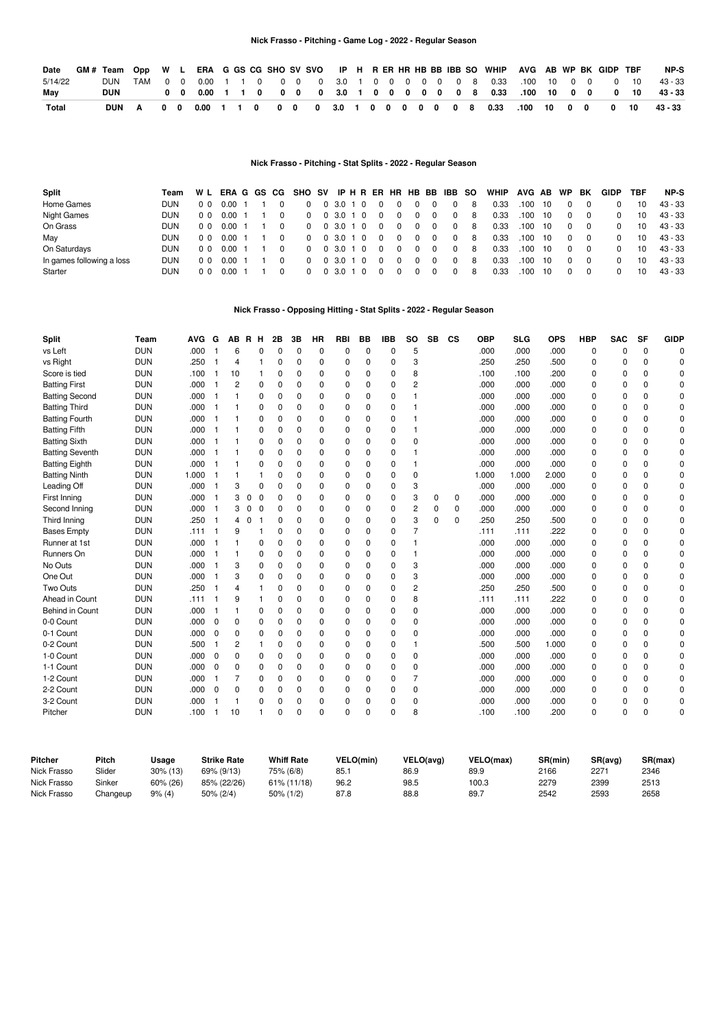# **Nick Frasso - Pitching - Game Log - 2022 - Regular Season**

| Date         | GM # Team |  |  |  |  |  |  |  |  |  | Opp W L ERA G GS CG SHO SV SVO IP H R ER HR HB BB IBB SO WHIP AVG AB WP BK GIDP TBF |  |  |  | NP-S      |
|--------------|-----------|--|--|--|--|--|--|--|--|--|-------------------------------------------------------------------------------------|--|--|--|-----------|
| 5/14/22      | DUN.      |  |  |  |  |  |  |  |  |  | TAM 0 0 0.00 1 1 0 0 0 0 3.0 1 0 0 0 0 0 0 8 0.33 100 10 0 0 0 10 10                |  |  |  | $43 - 33$ |
| Mav          | DUN       |  |  |  |  |  |  |  |  |  | 0 0 0.00 1 1 0 0 0 0 0 3.0 1 0 0 0 0 0 0 0 8 0.33 .100 10 0 0 0 10                  |  |  |  | 43 - 33   |
| <b>Total</b> | DUN       |  |  |  |  |  |  |  |  |  | A 0 0 0.00 1 1 0 0 0 0 3.0 1 0 0 0 0 0 0 0 8 0.33 .100 10 0 0 0 10                  |  |  |  | 43 - 33   |

# **Nick Frasso - Pitching - Stat Splits - 2022 - Regular Season**

| Split                     | Team | WL             |      |  | ERA G GS CG SHO SV IP H R ER HR HB BB IBB SO |              |     |          |          |          |          |             |    | <b>WHIP</b> | AVG AB |      | <b>WP</b> | BK       | <b>GIDP</b> | TBF | NP-S    |
|---------------------------|------|----------------|------|--|----------------------------------------------|--------------|-----|----------|----------|----------|----------|-------------|----|-------------|--------|------|-----------|----------|-------------|-----|---------|
| Home Games                | DUN  | 0 <sub>0</sub> | 0.00 |  |                                              | 0, 3.0, 1, 0 |     | 0        | 0        | 0        | 0        | $\mathbf 0$ | -8 | 0.33        | .100   | - 10 | $\Omega$  | 0        | 0           | 10  | 43 - 33 |
| <b>Night Games</b>        | DUN  | 0 <sub>0</sub> | 0.00 |  | $\Omega$                                     | 0, 3.0, 1, 0 |     | 0        | $\Omega$ | 0        | $\Omega$ | $\Omega$    | 8  | 0.33        | .100   | - 10 | $\Omega$  | $\Omega$ | 0           | 10  | 43 - 33 |
| On Grass                  | DUN  | 0 <sub>0</sub> | 0.00 |  | $\Omega$                                     | 0, 3.0, 1, 0 |     | $\Omega$ | $\Omega$ | $\Omega$ | $\Omega$ | $\Omega$    | 8  | 0.33        | .100   | - 10 | $\Omega$  | $\Omega$ | $\Omega$    | 10  | 43 - 33 |
| May                       | DUN  | 0 <sub>0</sub> | 0.00 |  | $\Omega$                                     | 0, 3.0, 1, 0 |     | $\Omega$ | $\Omega$ | 0        | $\Omega$ | $\Omega$    | 8  | 0.33        | .100   | - 10 | $\Omega$  | $\Omega$ | $\Omega$    | 10  | 43 - 33 |
| On Saturdays              | DUN  | n n            | 0.00 |  | $\Omega$                                     | 0, 3.0, 1, 0 |     | 0        | $\Omega$ | 0        | $\Omega$ | $\mathbf 0$ | 8  | 0.33        | .100   | - 10 | $\Omega$  | - 0      | $\Omega$    | 10  | 43 - 33 |
| In games following a loss | DUN  | 0 <sub>0</sub> | 0.00 |  | $\Omega$                                     | 3.0 1 0      |     | 0        | $\Omega$ | 0        | $\Omega$ | $^{\circ}$  | 8  | 0.33        | .100   | - 10 | $\Omega$  | - 0      | $\Omega$    | 10  | 43 - 33 |
| Starter                   | DUN  | n n            | 0.OO |  |                                              | 3.0 1        | - 0 |          |          | 0        | 0        | 0           | 8  | 0.33        | 100    | -10  | $\Omega$  | $\Omega$ | $\Omega$    | 10  | 43 - 33 |

# **Nick Frasso - Opposing Hitting - Stat Splits - 2022 - Regular Season**

| <b>Split</b>           | Team       | <b>AVG</b> | G           | АΒ       | R H              | 2Β           | 3B       | <b>HR</b> | <b>RBI</b> | BB       | <b>IBB</b>  | <b>SO</b>   | <b>SB</b> | <b>CS</b> | <b>OBP</b> | <b>SLG</b> | <b>OPS</b> | <b>HBP</b> | <b>SAC</b> | <b>SF</b> | <b>GIDP</b> |
|------------------------|------------|------------|-------------|----------|------------------|--------------|----------|-----------|------------|----------|-------------|-------------|-----------|-----------|------------|------------|------------|------------|------------|-----------|-------------|
| vs Left                | <b>DUN</b> | .000       |             | 6        | $\Omega$         | $\Omega$     | $\Omega$ | 0         | 0          | 0        | $\Omega$    | 5           |           |           | .000       | .000       | .000       | 0          | 0          | 0         | ŋ           |
| vs Right               | <b>DUN</b> | .250       |             | 4        |                  | $\Omega$     | 0        | 0         | 0          | 0        | 0           | 3           |           |           | .250       | .250       | .500       | 0          | 0          | 0         | n           |
| Score is tied          | <b>DUN</b> | .100       | 1           | 10       | 1                | 0            | $\Omega$ | 0         | 0          | $\Omega$ | $\mathbf 0$ | 8           |           |           | .100       | .100       | .200       | 0          | 0          | 0         | n           |
| <b>Batting First</b>   | <b>DUN</b> | .000       |             | 2        | 0                | $\Omega$     | 0        | 0         | 0          | 0        | $\mathbf 0$ | 2           |           |           | .000       | .000       | .000       | 0          | 0          | 0         |             |
| <b>Batting Second</b>  | <b>DUN</b> | .000       |             |          | 0                | $\Omega$     | $\Omega$ | 0         | 0          | $\Omega$ | 0           |             |           |           | .000       | .000       | .000       | 0          | $\Omega$   | 0         |             |
| <b>Batting Third</b>   | <b>DUN</b> | .000       |             |          | $\Omega$         | $\Omega$     | $\Omega$ | 0         | 0          | $\Omega$ | $\Omega$    |             |           |           | .000       | .000       | .000       | 0          | $\Omega$   | 0         | U           |
| <b>Batting Fourth</b>  | <b>DUN</b> | .000       |             |          | 0                | $\Omega$     | O        | 0         | 0          | O        | $\mathbf 0$ |             |           |           | .000       | .000       | .000       | 0          | 0          | 0         | O           |
| <b>Batting Fifth</b>   | <b>DUN</b> | .000       | -1          |          | 0                | $\Omega$     | 0        | 0         | 0          | 0        | $\mathbf 0$ |             |           |           | .000       | .000       | .000       | 0          | 0          | 0         | n           |
| <b>Batting Sixth</b>   | <b>DUN</b> | .000       | -1          |          | 0                | $\Omega$     | 0        | 0         | 0          | 0        | $\mathbf 0$ | $\mathbf 0$ |           |           | .000       | .000       | .000       | $\Omega$   | 0          | $\Omega$  |             |
| <b>Batting Seventh</b> | <b>DUN</b> | .000       |             |          | 0                | 0            | $\Omega$ | 0         | 0          | $\Omega$ | $\mathbf 0$ |             |           |           | .000       | .000       | .000       | 0          | 0          | $\Omega$  |             |
| <b>Batting Eighth</b>  | <b>DUN</b> | .000       |             |          | $\Omega$         | $\Omega$     | O        | 0         | 0          | O        | $\mathbf 0$ |             |           |           | .000       | .000       | .000       | $\Omega$   | $\Omega$   | 0         |             |
| <b>Batting Ninth</b>   | <b>DUN</b> | 1.000      |             |          |                  | $\Omega$     | $\Omega$ | 0         | 0          | O        | 0           | $\mathbf 0$ |           |           | 1.000      | 1.000      | 2.000      | 0          | $\Omega$   | 0         | n           |
| Leading Off            | <b>DUN</b> | .000       |             | 3        | 0                | <sup>0</sup> | 0        | 0         | 0          | $\Omega$ | 0           | 3           |           |           | .000       | .000       | .000       | 0          | 0          | 0         | n           |
| First Inning           | <b>DUN</b> | .000       | -1          | 3        | $\mathbf 0$<br>0 | 0            | $\Omega$ | 0         | 0          | $\Omega$ | 0           | 3           | 0         | 0         | .000       | .000       | .000       | $\Omega$   | 0          | 0         |             |
| Second Inning          | <b>DUN</b> | .000       | 1           | 3        | 0<br>0           | 0            | 0        | 0         | 0          | 0        | 0           | 2           | 0         | 0         | .000       | .000       | .000       | 0          | 0          | 0         |             |
| Third Inning           | <b>DUN</b> | .250       |             | 4        | 0                | $\Omega$     | 0        | 0         | 0          | 0        | 0           | 3           | $\Omega$  | 0         | .250       | .250       | .500       | 0          | 0          | 0         |             |
| <b>Bases Empty</b>     | <b>DUN</b> | .111       |             | 9        |                  | $\Omega$     | 0        | 0         | 0          | $\Omega$ | $\Omega$    |             |           |           | .111       | .111       | .222       | 0          | $\Omega$   | 0         |             |
| Runner at 1st          | <b>DUN</b> | .000       |             |          | 0                | $\Omega$     | $\Omega$ | 0         | 0          | 0        | 0           |             |           |           | .000       | .000       | .000       | 0          | $\Omega$   | 0         |             |
| Runners On             | <b>DUN</b> | .000       |             | 1        | 0                | $\Omega$     | $\Omega$ | 0         | 0          | $\Omega$ | $\mathbf 0$ |             |           |           | .000       | .000       | .000       | 0          | $\Omega$   | 0         | n           |
| No Outs                | <b>DUN</b> | .000       | 1           | 3        | 0                | 0            | 0        | 0         | 0          | 0        | $\mathbf 0$ | 3           |           |           | .000       | .000       | .000       | 0          | 0          | $\Omega$  |             |
| One Out                | <b>DUN</b> | .000       |             | 3        | 0                | $\Omega$     | 0        | 0         | 0          | 0        | $\mathbf 0$ | 3           |           |           | .000       | .000       | .000       | 0          | O          | $\Omega$  |             |
| Two Outs               | <b>DUN</b> | .250       |             | 4        |                  | $\Omega$     | $\Omega$ | 0         | 0          | O        | $\Omega$    | 2           |           |           | .250       | .250       | .500       | 0          | $\Omega$   | 0         |             |
| Ahead in Count         | <b>DUN</b> | .111       |             | 9        |                  | $\Omega$     | $\Omega$ | 0         | 0          | O        | 0           | 8           |           |           | .111       | .111       | .222       | 0          | $\Omega$   | 0         |             |
| Behind in Count        | <b>DUN</b> | .000       |             | 1        | 0                | $\Omega$     | $\Omega$ | 0         | 0          | $\Omega$ | $\mathbf 0$ | $\mathbf 0$ |           |           | .000       | .000       | .000       | 0          | 0          | 0         | n           |
| 0-0 Count              | <b>DUN</b> | .000       | $\mathbf 0$ | 0        | 0                | $\Omega$     | O        | 0         | 0          | $\Omega$ | $\mathbf 0$ | $\mathbf 0$ |           |           | .000       | .000       | .000       | 0          | 0          | 0         |             |
| 0-1 Count              | <b>DUN</b> | .000       | 0           | 0        | 0                | 0            | 0        | 0         | 0          | 0        | $\mathbf 0$ | 0           |           |           | .000       | .000       | .000       | 0          | 0          | $\Omega$  |             |
| 0-2 Count              | <b>DUN</b> | .500       |             | 2        | 1                | $\Omega$     | $\Omega$ | 0         | 0          | $\Omega$ | $\mathbf 0$ |             |           |           | .500       | .500       | 1.000      | 0          | $\Omega$   | 0         |             |
| 1-0 Count              | <b>DUN</b> | .000       | $\mathbf 0$ | 0        | 0                | $\Omega$     | $\Omega$ | 0         | 0          | O        | $\mathbf 0$ | $\mathbf 0$ |           |           | .000       | .000       | .000       | 0          | $\Omega$   | 0         |             |
| 1-1 Count              | <b>DUN</b> | .000       | $\mathbf 0$ | 0        | 0                | 0            | 0        | 0         | 0          | 0        | 0           | $\mathbf 0$ |           |           | .000       | .000       | .000       | 0          | 0          | 0         | n           |
| 1-2 Count              | <b>DUN</b> | .000       | -1          | 7        | 0                | $\Omega$     | 0        | 0         | 0          | 0        | 0           | 7           |           |           | .000       | .000       | .000       | 0          | 0          | 0         | n           |
| 2-2 Count              | <b>DUN</b> | .000       | $\mathbf 0$ | $\Omega$ | 0                | $\Omega$     | $\Omega$ | 0         | 0          | 0        | $\mathbf 0$ | 0           |           |           | .000       | .000       | .000       | 0          | 0          | 0         |             |
| 3-2 Count              | <b>DUN</b> | .000       |             | 1        | 0                | <sup>0</sup> | 0        | 0         | 0          | 0        | 0           | 0           |           |           | .000       | .000       | .000       | 0          | 0          | 0         | C           |
| Pitcher                | <b>DUN</b> | .100       |             | 10       |                  | $\Omega$     | $\Omega$ | 0         | $\Omega$   | $\Omega$ | $\Omega$    | 8           |           |           | .100       | .100       | .200       | $\Omega$   | $\Omega$   | $\Omega$  | $\Omega$    |

| Pitcher     | Pitch    | Usaɑe       | <b>Strike Rate</b> | <b>Whiff Rate</b> | VELO(min) | VELO(avg) | VELO(max) | SR(min) | SR(avg) | SR(max) |
|-------------|----------|-------------|--------------------|-------------------|-----------|-----------|-----------|---------|---------|---------|
| Nick Frasso | Slider   | $30\%$ (13) | 69% (9/13)         | 75% (6/8)         | 85.       | 86.9      | 89.9      | 2166    | 2271    | 2346    |
| Nick Frasso | Sinker   | 60% (26)    | 85% (22/26)        | 61% (11/18)       | 96.2      | 98.5      | 100.3     | 2279    | 2399    | 2513    |
| Nick Frasso | Changeup | 9% (4)      | 50% (2/4)          | 50% (1/2)         | 87.8      | 88.8      | 89.       | 2542    | 2593    | 2658    |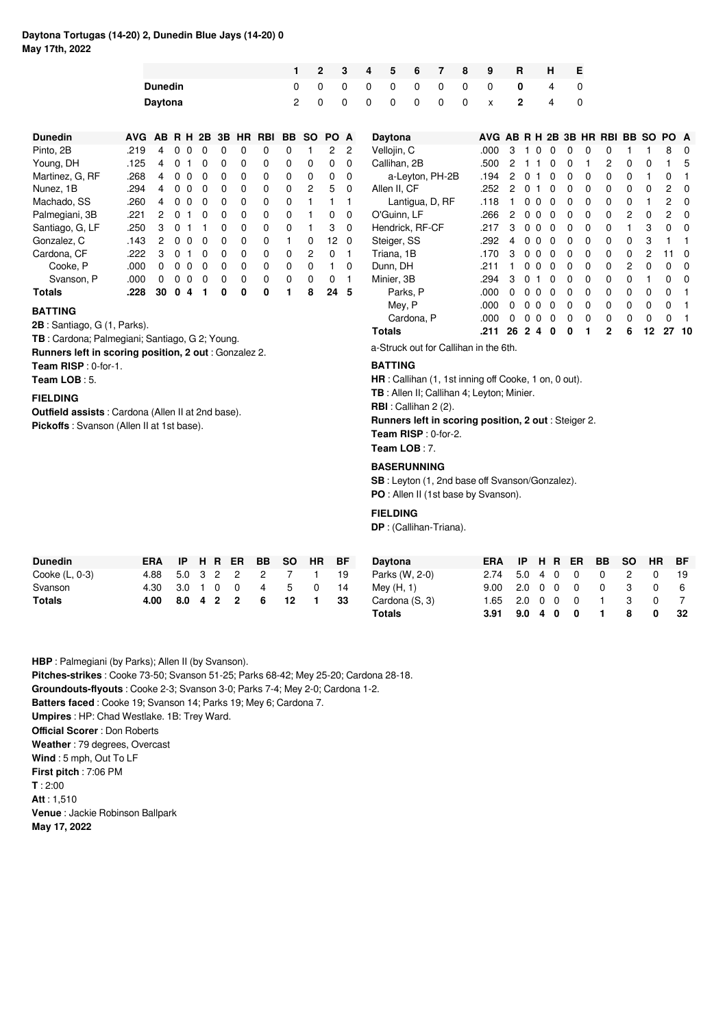# **Daytona Tortugas (14-20) 2, Dunedin Blue Jays (14-20) 0 May 17th, 2022**

|                |                |                |  |  | 1 2 3 4 5 6 7 8 9 | R H E               |                   |  |
|----------------|----------------|----------------|--|--|-------------------|---------------------|-------------------|--|
| <b>Dunedin</b> | $\overline{0}$ |                |  |  |                   | 0 0 0 0 0 0 0 0 4 0 |                   |  |
| Daytona        | 2 0            | $\overline{0}$ |  |  |                   | 0 0 0 0 0 x 2       | $\sim$ 4 $\ldots$ |  |

| <b>Dunedin</b>  | <b>AVG</b> | AB. |              |   | <b>RH 2B 3B</b> |   |          | HR RBI | BB.      | SO.            | PO A |          |
|-----------------|------------|-----|--------------|---|-----------------|---|----------|--------|----------|----------------|------|----------|
| Pinto, 2B       | .219       | 4   | O            | O | O               | ŋ | O        | 0      | 0        |                | 2    | 2        |
| Young, DH       | .125       | 4   | U            | 1 | ŋ               | 0 | 0        | 0      | 0        | 0              | 0    | 0        |
| Martinez, G. RF | .268       | 4   | ŋ            | O | ŋ               | O | $\Omega$ | 0      | 0        | $\Omega$       | 0    | 0        |
| Nunez. 1B       | .294       | 4   | <sup>0</sup> | O | ŋ               | O | $\Omega$ | 0      | 0        | $\overline{2}$ | 5    | $\Omega$ |
| Machado, SS     | .260       | 4   | <sup>0</sup> | O | 0               | ŋ | $\Omega$ | 0      | 0        |                |      | 1        |
| Palmegiani, 3B  | .221       | 2   | <sup>0</sup> | 1 | ŋ               | ŋ | 0        | 0      | $\Omega$ |                | 0    | $\Omega$ |
| Santiago, G, LF | .250       | з   | 0            | 1 |                 | 0 | 0        | 0      | 0        |                | 3    | 0        |
| Gonzalez. C     | .143       | 2   | O            | 0 | 0               | 0 | 0        | 0      |          | 0              | 12   | $\Omega$ |
| Cardona, CF     | .222       | 3   | O            | 1 | O               | 0 | 0        | 0      | 0        | 2              | 0    |          |
| Cooke, P        | .റററ       | 0   | ŋ            | 0 | 0               | O | 0        | 0      | 0        | 0              | 1    | ŋ        |
| Svanson, P      | .റററ       | ŋ   | ŋ            | ŋ | ŋ               | ŋ | 0        | O      | 0        | 0              | O    | 1        |
| Totals          | .228       | 30  | ŋ            | 4 |                 | ŋ | ŋ        | ŋ      |          | 8              | 24   | 5        |

# **BATTING**

**2B** : Santiago, G (1, Parks).

**TB** : Cardona; Palmegiani; Santiago, G 2; Young.

**Runners left in scoring position, 2 out** : Gonzalez 2.

**Team RISP** : 0-for-1.

**Team LOB** : 5.

# **FIELDING**

**Outfield assists** : Cardona (Allen II at 2nd base). **Pickoffs** : Svanson (Allen II at 1st base).

| Daytona         | AVG AB R H 2B 3B HR RBI BB SO PO |    |    |          |          |   |   |   |   |          |          | A        |
|-----------------|----------------------------------|----|----|----------|----------|---|---|---|---|----------|----------|----------|
| Vellojin, C     | .000                             | 3  |    | O        | 0        | 0 | 0 | 0 | 1 |          | 8        | 0        |
| Callihan, 2B    | .500                             | 2  |    |          | 0        | 0 | 1 | 2 | 0 | 0        |          | 5        |
| a-Leyton, PH-2B | .194                             | 2  | 0  | 1        | $\Omega$ | 0 | 0 | 0 | 0 | 1        | 0        |          |
| Allen II. CF    | .252                             | 2  | 0  | 1        | $\Omega$ | 0 | 0 | 0 | 0 | 0        | 2        | 0        |
| Lantigua, D, RF | .118                             | 1  | 0  | 0        | 0        | 0 | 0 | 0 | 0 | 1        | 2        | 0        |
| O'Guinn, LF     | .266                             | 2  | 0  | 0        | 0        | 0 | 0 | 0 | 2 | 0        | 2        | 0        |
| Hendrick, RF-CF | .217                             | 3  | 0  | $\Omega$ | 0        | 0 | 0 | 0 | 1 | 3        | 0        | 0        |
| Steiger, SS     | .292                             | 4  | 0  | O        | 0        | 0 | 0 | 0 | 0 | 3        | 1        |          |
| Triana, 1B      | .170                             | 3  | 0  | $\Omega$ | 0        | 0 | 0 | 0 | 0 | 2        | 11       | O        |
| Dunn, DH        | .211                             | 1  | U  | 0        | 0        | 0 | 0 | 0 | 2 | 0        | 0        | 0        |
| Minier, 3B      | .294                             | З  | 0  | 1        | $\Omega$ | 0 | 0 | 0 | 0 | 1        | 0        | $\Omega$ |
| Parks, P        | .000                             | 0  | 0  | 0        | 0        | 0 | 0 | 0 | 0 | $\Omega$ | 0        |          |
| Mey, P          | .000                             | 0  | O. | $\Omega$ | 0        | 0 | 0 | 0 | 0 | 0        | 0        |          |
| Cardona, P      | .000                             | 0  | ŋ  | ŋ        | ŋ        | 0 | 0 | ŋ | 0 | 0        | $\Omega$ |          |
| <b>Totals</b>   | .211                             | 26 | 2  | 4        | 0        | 0 | 1 | 2 | 6 | 12       | 27       | 10       |

a-Struck out for Callihan in the 6th.

## **BATTING**

**HR** : Callihan (1, 1st inning off Cooke, 1 on, 0 out).

**TB** : Allen II; Callihan 4; Leyton; Minier.

**RBI** : Callihan 2 (2).

# **Runners left in scoring position, 2 out** : Steiger 2.

**Team RISP** : 0-for-2. **Team LOB** : 7.

#### **BASERUNNING**

**SB** : Leyton (1, 2nd base off Svanson/Gonzalez). **PO** : Allen II (1st base by Svanson).

# **FIELDING**

**DP** : (Callihan-Triana).

| Dunedin        | <b>ERA</b>              |  |                |  | IP H R ER BB SO HR BF |     |
|----------------|-------------------------|--|----------------|--|-----------------------|-----|
| Cooke (L, 0-3) | 4.88 5.0 3 2 2 2 7 1 19 |  |                |  |                       |     |
| Svanson        | 4.30 3.0 1 0 0 4 5 0    |  |                |  |                       | -14 |
| <b>Totals</b>  | 4.00                    |  | 8.0 4 2 2 6 12 |  | $\sim$ 1              | -33 |

|         | SO HR BF | Davtona               | ERA IP H R ER BB SO HR BF |  |  |  |                |      |
|---------|----------|-----------------------|---------------------------|--|--|--|----------------|------|
|         |          | 7 1 19 Parks (W, 2-0) | 2.74 5.0 4 0 0 0 2        |  |  |  | $\overline{0}$ |      |
|         |          | 5 0 14 Mey (H, 1)     | 9.00 2.0 0 0 0 0 3        |  |  |  | 0              |      |
| 12 1 33 |          | Cardona (S. 3)        | 1.65 2.0 0 0 0 1 3        |  |  |  | 0 7            |      |
|         |          | Totals                | $3.91$ $9.0$ $4$ 0 0 1    |  |  |  | 80             | - 32 |

**HBP** : Palmegiani (by Parks); Allen II (by Svanson). **Pitches-strikes** : Cooke 73-50; Svanson 51-25; Parks 68-42; Mey 25-20; Cardona 28-18. **Groundouts-flyouts** : Cooke 2-3; Svanson 3-0; Parks 7-4; Mey 2-0; Cardona 1-2. **Batters faced** : Cooke 19; Svanson 14; Parks 19; Mey 6; Cardona 7. **Umpires** : HP: Chad Westlake. 1B: Trey Ward. **Official Scorer** : Don Roberts **Weather** : 79 degrees, Overcast **Wind** : 5 mph, Out To LF **First pitch** : 7:06 PM **T** : 2:00 **Att** : 1,510 **Venue** : Jackie Robinson Ballpark **May 17, 2022**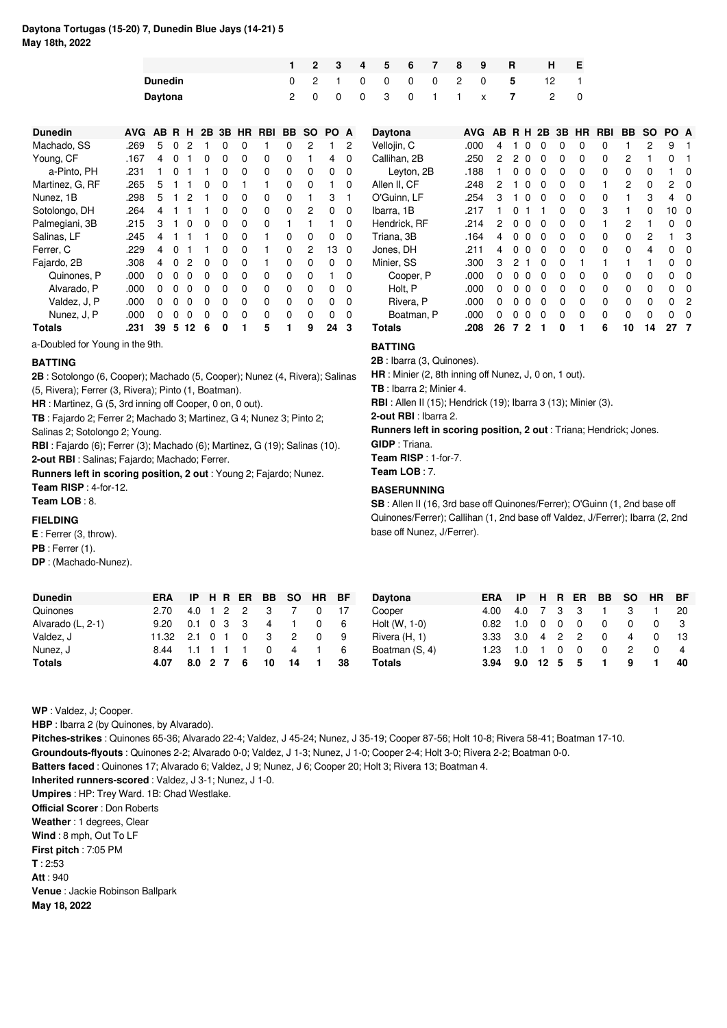# **Daytona Tortugas (15-20) 7, Dunedin Blue Jays (14-21) 5 May 18th, 2022**

|                |     |  |  |  | 1 2 3 4 5 6 7 8 9 |                 | R H E                    |  |
|----------------|-----|--|--|--|-------------------|-----------------|--------------------------|--|
| <b>Dunedin</b> |     |  |  |  |                   |                 | 0 2 1 0 0 0 0 2 0 5 12 1 |  |
| <b>Davtona</b> | 2 0 |  |  |  |                   | 0 0 3 0 1 1 x 7 | 2 0                      |  |

| <b>Dunedin</b>  | AVG  | AB. | R        | н        | 2B       |   | 3B HR    | <b>RBI</b> | BB. | <b>SO</b> | PO. | A |
|-----------------|------|-----|----------|----------|----------|---|----------|------------|-----|-----------|-----|---|
| Machado, SS     | .269 | 5   | 0        | 2        | 1        | 0 | 0        |            | 0   | 2         |     | 2 |
| Young, CF       | .167 | 4   | 0        | 1        | 0        | 0 | 0        | 0          | 0   |           | 4   | 0 |
| a-Pinto, PH     | .231 | 1   | 0        | 1        | 1        | 0 | 0        | 0          | 0   | 0         | 0   | 0 |
| Martinez, G, RF | .265 | 5   | 1        | 1        | 0        | 0 | 1        | 1          | 0   | 0         | 1   | 0 |
| Nunez. 1B       | .298 | 5   | 1        | 2        | 1        | 0 | 0        | 0          | 0   |           | 3   |   |
| Sotolongo, DH   | .264 | 4   | 1        | 1        | 1        | 0 | 0        | 0          | 0   | 2         | 0   | 0 |
| Palmegiani, 3B  | .215 | 3   | 1        | 0        | 0        | 0 | 0        | 0          | 1   | 1         | 1   | O |
| Salinas, LF     | .245 | 4   | 1        | 1        | 1        | 0 | 0        | 1          | 0   | 0         | 0   | 0 |
| Ferrer. C       | .229 | 4   | 0        | 1        | 1        | 0 | 0        |            | 0   | 2         | 13  | 0 |
| Fajardo, 2B     | .308 | 4   | 0        | 2        | 0        | 0 | 0        | 1          | 0   | 0         | 0   | 0 |
| Quinones. P     | .000 | 0   | $\Omega$ | $\Omega$ | $\Omega$ | 0 | 0        | 0          | 0   | 0         | 1   | 0 |
| Alvarado, P     | .000 | 0   | 0        | $\Omega$ | $\Omega$ | 0 | 0        | 0          | 0   | 0         | 0   | 0 |
| Valdez, J, P    | .000 | 0   | 0        | 0        | 0        | 0 | 0        | 0          | 0   | 0         | 0   | 0 |
| Nunez, J, P     | .000 | O   | 0        | O        | 0        | O | $\Omega$ | 0          | 0   | ŋ         | O   | 0 |
| Totals          | .231 | 39  | 5        | 12       | 6        | 0 | 1        | 5          | 1   | 9         | 24  | 3 |

a-Doubled for Young in the 9th.

## **BATTING**

**2B** : Sotolongo (6, Cooper); Machado (5, Cooper); Nunez (4, Rivera); Salinas (5, Rivera); Ferrer (3, Rivera); Pinto (1, Boatman).

**HR** : Martinez, G (5, 3rd inning off Cooper, 0 on, 0 out).

**TB** : Fajardo 2; Ferrer 2; Machado 3; Martinez, G 4; Nunez 3; Pinto 2;

Salinas 2; Sotolongo 2; Young.

**RBI** : Fajardo (6); Ferrer (3); Machado (6); Martinez, G (19); Salinas (10). **2-out RBI** : Salinas; Fajardo; Machado; Ferrer.

**Runners left in scoring position, 2 out** : Young 2; Fajardo; Nunez. **Team RISP** : 4-for-12.

**Team LOB** : 8.

# **FIELDING**

**E** : Ferrer (3, throw). **PB** : Ferrer (1). **DP** : (Machado-Nunez).

| <b>Daytona</b> | <b>AVG</b> | AВ | R | н            | 2B           | 3B | ΗR | RBI | ВB | <b>SO</b> | PO | A |
|----------------|------------|----|---|--------------|--------------|----|----|-----|----|-----------|----|---|
| Vellojin, C    | .000       | 4  |   | 0            | 0            | 0  | 0  | 0   | 1  | 2         | 9  |   |
| Callihan, 2B   | .250       | 2  | 2 | $\mathbf{0}$ | 0            | 0  | 0  | 0   | 2  | 1         | 0  |   |
| Leyton, 2B     | .188       | 1  | 0 | 0            | 0            | 0  | 0  | 0   | 0  | 0         |    | 0 |
| Allen II, CF   | .248       | 2  | 1 | 0            | 0            | 0  | 0  |     | 2  | 0         | 2  | 0 |
| O'Guinn, LF    | .254       | 3  | 1 | $\Omega$     | $\Omega$     | 0  | 0  | 0   |    | 3         | 4  | 0 |
| Ibarra, 1B     | .217       | 1  | 0 | 1            | 1            | 0  | 0  | 3   |    | 0         | 10 | 0 |
| Hendrick, RF   | .214       | 2  | 0 | 0            | $\Omega$     | 0  | 0  | 1   | 2  | 1         | 0  | O |
| Triana, 3B     | .164       | 4  | 0 | 0            | $\Omega$     | 0  | 0  | 0   | 0  | 2         |    | 3 |
| Jones, DH      | .211       | 4  | 0 | $\Omega$     | $\Omega$     | 0  | 0  | 0   | 0  | 4         | 0  | 0 |
| Minier, SS     | .300       | 3  | 2 | 1            | $\Omega$     | 0  | 1  |     |    | 1         | 0  | O |
| Cooper, P      | .000       | 0  | 0 | 0            | $\Omega$     | 0  | 0  | 0   | 0  | 0         | 0  | O |
| Holt, P        | .000       | 0  | 0 | 0            | $\Omega$     | 0  | 0  | 0   | 0  | 0         | 0  | 0 |
| Rivera, P      | .000       | 0  | 0 | $\Omega$     | $\mathbf{0}$ | 0  | 0  | 0   | O  | 0         | 0  | 2 |
| Boatman, P     | .000       | 0  | 0 | 0            | $\Omega$     | 0  | 0  | 0   | 0  | 0         | 0  | O |
| Totals         | .208       | 26 | 7 | $\mathbf{2}$ | 1            | 0  | 1  | 6   | 10 | 14        | 27 |   |

**BATTING**

**2B** : Ibarra (3, Quinones).

**HR** : Minier (2, 8th inning off Nunez, J, 0 on, 1 out).

**TB** : Ibarra 2; Minier 4.

**RBI** : Allen II (15); Hendrick (19); Ibarra 3 (13); Minier (3).

**2-out RBI** : Ibarra 2.

**Runners left in scoring position, 2 out** : Triana; Hendrick; Jones. **GIDP** : Triana.

**Team RISP** : 1-for-7.

**Team LOB** : 7.

# **BASERUNNING**

**SB** : Allen II (16, 3rd base off Quinones/Ferrer); O'Guinn (1, 2nd base off Quinones/Ferrer); Callihan (1, 2nd base off Valdez, J/Ferrer); Ibarra (2, 2nd base off Nunez, J/Ferrer).

| <b>Dunedin</b>    | <b>ERA</b> | $\mathsf{IP}$ |  | HR ER | BB | so | HR BF    |     | Davtona        | <b>ERA</b> | - IP  | HR.            |   | ER | <b>BB</b> | - SO | HR BF |                |
|-------------------|------------|---------------|--|-------|----|----|----------|-----|----------------|------------|-------|----------------|---|----|-----------|------|-------|----------------|
| Quinones          | 2.70       | 4.0           |  |       |    |    |          |     | Cooper         | 4.00       | 4.0   |                |   |    |           |      |       | -20            |
| Alvarado (L, 2-1) | 9.20       | 0.1           |  |       | 4  |    |          | - 6 | Holt (W, 1-0)  | 0.82       | 1.0   |                | 0 |    |           |      | 0     | - 3            |
| Valdez, J         | 11.32      | 2.1           |  | 0     |    |    | $\Omega$ |     | Rivera (H, 1)  | 3.33       | - 3.0 | $\overline{a}$ | 2 | 2  |           | 4    |       | -13            |
| Nunez, J          | 8.44       |               |  |       |    | 4  |          | -6  | Boatman (S, 4) | 1.23       | 1.0   |                |   |    |           |      |       | $\overline{4}$ |
| <b>Totals</b>     | 4.07       | 8.0           |  | 6     | 10 | 14 |          | 38  | <b>Totals</b>  | 3.94       | 9.0   | 12             |   |    |           |      |       | 40             |

**WP** : Valdez, J; Cooper.

**HBP** : Ibarra 2 (by Quinones, by Alvarado).

**Pitches-strikes** : Quinones 65-36; Alvarado 22-4; Valdez, J 45-24; Nunez, J 35-19; Cooper 87-56; Holt 10-8; Rivera 58-41; Boatman 17-10. **Groundouts-flyouts** : Quinones 2-2; Alvarado 0-0; Valdez, J 1-3; Nunez, J 1-0; Cooper 2-4; Holt 3-0; Rivera 2-2; Boatman 0-0.

**Batters faced** : Quinones 17; Alvarado 6; Valdez, J 9; Nunez, J 6; Cooper 20; Holt 3; Rivera 13; Boatman 4.

**Inherited runners-scored** : Valdez, J 3-1; Nunez, J 1-0.

**Umpires** : HP: Trey Ward. 1B: Chad Westlake.

**Official Scorer** : Don Roberts **Weather** : 1 degrees, Clear **Wind** : 8 mph, Out To LF **First pitch** : 7:05 PM **T** : 2:53 **Att** : 940

**Venue** : Jackie Robinson Ballpark **May 18, 2022**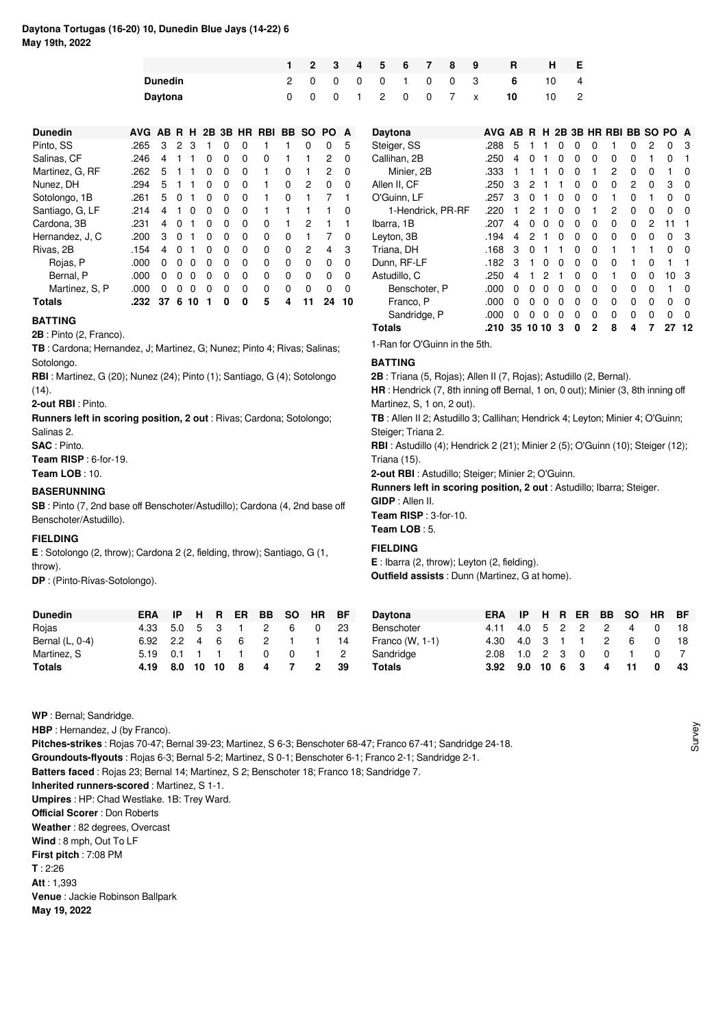# **Daytona Tortugas (16-20) 10, Dunedin Blue Jays (14-22) 6 May 19th, 2022**

|                |  |  |  |  |                   | 1 2 3 4 5 6 7 8 9 R H E |        |  |
|----------------|--|--|--|--|-------------------|-------------------------|--------|--|
| <b>Dunedin</b> |  |  |  |  | 2 0 0 0 0 1 0 0 3 |                         | 6 10 4 |  |
| Davtona        |  |  |  |  | 0 0 1 2 0 0 7 x   | 10                      | 10 2   |  |

| <b>Dunedin</b>  | AVG AB R H 2B 3B HR RBI |    |          |    |          |          |          |   |          | BB SO | PO.      | A        |
|-----------------|-------------------------|----|----------|----|----------|----------|----------|---|----------|-------|----------|----------|
| Pinto, SS       | .265                    | 3  | 2        | 3  | 1        | 0        | 0        |   |          | 0     | 0        | 5        |
| Salinas, CF     | .246                    | 4  |          | 1  | 0        | 0        | 0        | 0 |          |       | 2        | 0        |
| Martinez, G, RF | .262                    | 5  | 1        |    | 0        | 0        | 0        |   | 0        |       | 2        | 0        |
| Nunez. DH       | .294                    | 5  | 1        | 1  | $\Omega$ | 0        | $\Omega$ | 1 | $\Omega$ | 2     | 0        | 0        |
| Sotolongo, 1B   | .261                    | 5  | $\Omega$ | 1  | 0        | 0        | 0        | 1 | 0        | 1     | 7        | 1        |
| Santiago, G, LF | .214                    | 4  | 1        | O  | 0        | 0        | 0        | 1 |          |       |          | O        |
| Cardona, 3B     | .231                    | 4  | O        | 1  | 0        | 0        | 0        | ŋ |          | 2     | 1        |          |
| Hernandez, J, C | .200                    | 3  | 0        | 1  | 0        | 0        | 0        | 0 | 0        |       | 7        | 0        |
| Rivas, 2B       | .154                    | 4  | O        |    | 0        | 0        | 0        | 0 | 0        | 2     | 4        | 3        |
| Rojas, P        | .000                    | ŋ  | ŋ        | ŋ  | 0        | O        | 0        | U | 0        | 0     | 0        | $\Omega$ |
| Bernal, P       | .000                    | 0  | ŋ        | ŋ  | 0        | 0        | 0        | 0 | 0        | 0     | $\Omega$ | $\Omega$ |
| Martinez, S. P. | .000                    | 0  | ŋ        | O  | $\Omega$ | $\Omega$ | 0        | O | 0        | O     | $\Omega$ | $\Omega$ |
| Totals          | .232                    | 37 | 6        | 10 | 1        | ŋ        | 0        | 5 | 4        |       | 24       | 10       |

**TB** : Cardona; Hernandez, J; Martinez, G; Nunez; Pinto 4; Rivas; Salinas;

**RBI** : Martinez, G (20); Nunez (24); Pinto (1); Santiago, G (4); Sotolongo

**Runners left in scoring position, 2 out** : Rivas; Cardona; Sotolongo;

**SB** : Pinto (7, 2nd base off Benschoter/Astudillo); Cardona (4, 2nd base off

**E** : Sotolongo (2, throw); Cardona 2 (2, fielding, throw); Santiago, G (1,

# **Daytona AVG AB R H 2B 3B HR RBI BB SO PO A** Steiger, SS .288 5 1 1 0 0 0 1 0 2 0 3<br>Callihan. 2B .250 4 0 1 0 0 0 0 0 1 0 1 Callihan, 2B .250 4 0 1 0 0 0 0 0 1 0 1<br>Minier. 2B .333 1 1 1 0 0 1 2 0 0 1 0 Minier, 2B .333 1 1 1 0 0 1 2 0 0 1 0<br>en II CE 250 3 2 1 1 0 0 0 2 0 3 0 Allen II, CF .250 3 2 1 1 0 0 0 2 0 3 0<br>
O'Guinn I F 257 3 0 1 0 0 0 1 0 1 0 0 O'Guinn, LF .257 3 0 1 0 0 0 1 0 1<br>1-Hendrick. PR-RF .220 1 2 1 0 0 1 2 0 0 1-Hendrick, PR-RF .220 1 2 1 0 0 1 2 0 0 0 0 0<br>
Ibarra 1B 207 4 0 0 0 0 0 0 0 2 11 1 Ibarra, 1B .207 4 0 0 0 0 0 0 0 2 11 1 Leyton, 3B .194 4 2 1 0 0 0 0 0 0 0 3<br>Triana. DH .168 3 0 1 1 0 0 1 1 1 0 0 Triana, DH .168 3 0 1 1<br>Dunn, RF-LF .182 3 1 0 0 182 3 1 0 0 0 0 0 1 0 1 1<br>-250 4 1 2 1 0 0 1 0 0 10 3 Astudillo, C .250 4 1 2 1 0 0 1 0 0 10 3<br>Benschoter, P .000 0 0 0 0 0 0 0 0 0 1 0 Benschoter, P .000 0 0 0 0 0 0 0 0 0 1 0<br>Franco, P .000 0 0 0 0 0 0 0 0 0 0 0 Franco, P .000 0 0 0 0 0 0 0 0 0 0 0<br>Sandridge, P .000 0 0 0 0 0 0 0 0 0 0 0 Sandridge, P **Totals .210 35 10 10 3 0 2 8 4 7 27 12** 1-Ran for O'Guinn in the 5th.

**BATTING**

**2B** : Triana (5, Rojas); Allen II (7, Rojas); Astudillo (2, Bernal).

**HR** : Hendrick (7, 8th inning off Bernal, 1 on, 0 out); Minier (3, 8th inning off Martinez, S, 1 on, 2 out).

**TB** : Allen II 2; Astudillo 3; Callihan; Hendrick 4; Leyton; Minier 4; O'Guinn; Steiger; Triana 2.

**RBI** : Astudillo (4); Hendrick 2 (21); Minier 2 (5); O'Guinn (10); Steiger (12); Triana (15).

**2-out RBI** : Astudillo; Steiger; Minier 2; O'Guinn.

**Runners left in scoring position, 2 out** : Astudillo; Ibarra; Steiger.

**GIDP** : Allen II.

**Team RISP** : 3-for-10. **Team LOB** : 5.

# **FIELDING**

**E** : Ibarra (2, throw); Leyton (2, fielding). **Outfield assists** : Dunn (Martinez, G at home).

| <b>Dunedin</b>  | ERA                |             |  |   | IP H R ER BB SO HR BF |              |     | <b>Dayte</b> |
|-----------------|--------------------|-------------|--|---|-----------------------|--------------|-----|--------------|
| Rojas           | 4.33 5.0 5 3 1 2   |             |  |   | 6                     | 0            | -23 | <b>Bens</b>  |
| Bernal (L, 0-4) | 6.92 2.2 4 6       |             |  |   | 6 2 1 1               |              | -14 | Franc        |
| Martinez, S     | 5.19  0.1  1  1  1 |             |  | 0 | $\overline{0}$        |              | 2   | Sand         |
| Totals          | 4.19               | 8.0 10 10 8 |  |   | 47                    | $\mathbf{2}$ | -39 | Total        |

| Daytona           | FRA   |     |               |    |           |               | IP H R ER BB SO HR | - BF |
|-------------------|-------|-----|---------------|----|-----------|---------------|--------------------|------|
| Benschoter        | 4 1 1 |     |               |    | 4.0 5 2 2 | $\mathcal{P}$ | 4                  | 18   |
| Franco $(W, 1-1)$ | 4.30  |     |               |    | 4.0 3 1 1 | 2             | 6                  | 18   |
| Sandridge         | 2.08  |     | $1.0 \t2 \t3$ |    | - 0       | 0             |                    |      |
| <b>Totals</b>     | 3.92  | 9.0 | 10            | -6 | -3        | 4             | 11                 | 43   |

**WP** : Bernal; Sandridge.

**BATTING**

Sotolongo.

Salinas 2. **SAC** : Pinto.

**FIELDING**

throw).

 $(14)$ .

**2B** : Pinto (2, Franco).

**2-out RBI** : Pinto.

**Team RISP** : 6-for-19. **Team LOB** : 10. **BASERUNNING**

Benschoter/Astudillo).

**DP** : (Pinto-Rivas-Sotolongo).

**HBP** : Hernandez, J (by Franco).

**Pitches-strikes** : Rojas 70-47; Bernal 39-23; Martinez, S 6-3; Benschoter 68-47; Franco 67-41; Sandridge 24-18.

**Groundouts-flyouts** : Rojas 6-3; Bernal 5-2; Martinez, S 0-1; Benschoter 6-1; Franco 2-1; Sandridge 2-1.

**Batters faced** : Rojas 23; Bernal 14; Martinez, S 2; Benschoter 18; Franco 18; Sandridge 7.

**Inherited runners-scored** : Martinez, S 1-1.

**Umpires** : HP: Chad Westlake. 1B: Trey Ward.

**Official Scorer** : Don Roberts

**Weather** : 82 degrees, Overcast

**Wind** : 8 mph, Out To LF

**First pitch** : 7:08 PM

**T** : 2:26

**Att** : 1,393

**Venue** : Jackie Robinson Ballpark

**May 19, 2022**